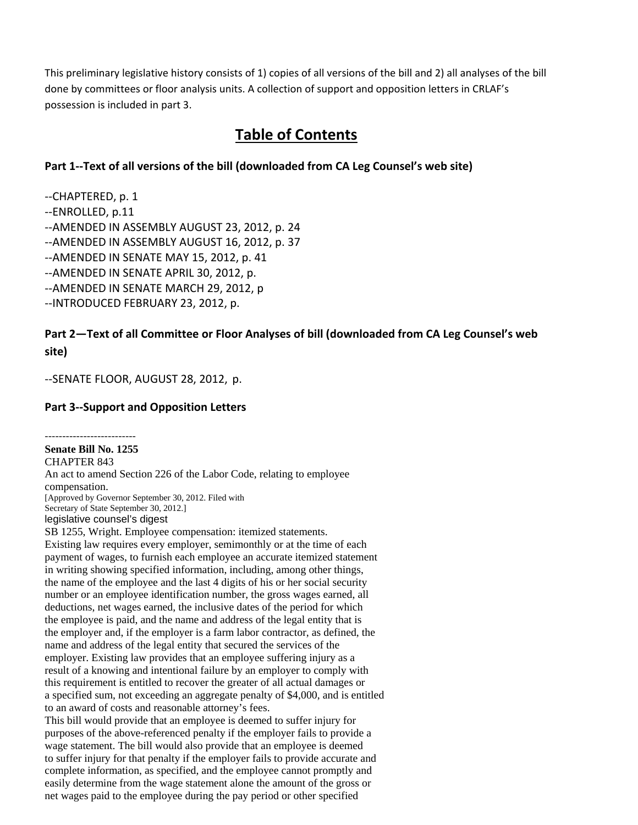This preliminary legislative history consists of 1) copies of all versions of the bill and 2) all analyses of the bill done by committees or floor analysis units. A collection of support and opposition letters in CRLAF's possession is included in part 3.

# **Table of Contents**

# **Part 1‐‐Text of all versions of the bill (downloaded from CA Leg Counsel's web site)**

‐‐CHAPTERED, p. 1 ‐‐ENROLLED, p.11 ‐‐AMENDED IN ASSEMBLY AUGUST 23, 2012, p. 24 ‐‐AMENDED IN ASSEMBLY AUGUST 16, 2012, p. 37 ‐‐AMENDED IN SENATE MAY 15, 2012, p. 41 ‐‐AMENDED IN SENATE APRIL 30, 2012, p. ‐‐AMENDED IN SENATE MARCH 29, 2012, p ‐‐INTRODUCED FEBRUARY 23, 2012, p.

# **Part 2—Text of all Committee or Floor Analyses of bill (downloaded from CA Leg Counsel's web site)**

‐‐SENATE FLOOR, AUGUST 28, 2012, p.

# **Part 3‐‐Support and Opposition Letters**

‐‐‐‐‐‐‐‐‐‐‐‐‐‐‐‐‐‐‐‐‐‐‐‐‐‐ **Senate Bill No. 1255**  CHAPTER 843 An act to amend Section 226 of the Labor Code, relating to employee compensation. [Approved by Governor September 30, 2012. Filed with Secretary of State September 30, 2012.] legislative counsel's digest SB 1255, Wright. Employee compensation: itemized statements. Existing law requires every employer, semimonthly or at the time of each payment of wages, to furnish each employee an accurate itemized statement in writing showing specified information, including, among other things, the name of the employee and the last 4 digits of his or her social security number or an employee identification number, the gross wages earned, all deductions, net wages earned, the inclusive dates of the period for which the employee is paid, and the name and address of the legal entity that is the employer and, if the employer is a farm labor contractor, as defined, the

name and address of the legal entity that secured the services of the employer. Existing law provides that an employee suffering injury as a result of a knowing and intentional failure by an employer to comply with this requirement is entitled to recover the greater of all actual damages or a specified sum, not exceeding an aggregate penalty of \$4,000, and is entitled to an award of costs and reasonable attorney's fees.

This bill would provide that an employee is deemed to suffer injury for purposes of the above-referenced penalty if the employer fails to provide a wage statement. The bill would also provide that an employee is deemed to suffer injury for that penalty if the employer fails to provide accurate and complete information, as specified, and the employee cannot promptly and easily determine from the wage statement alone the amount of the gross or net wages paid to the employee during the pay period or other specified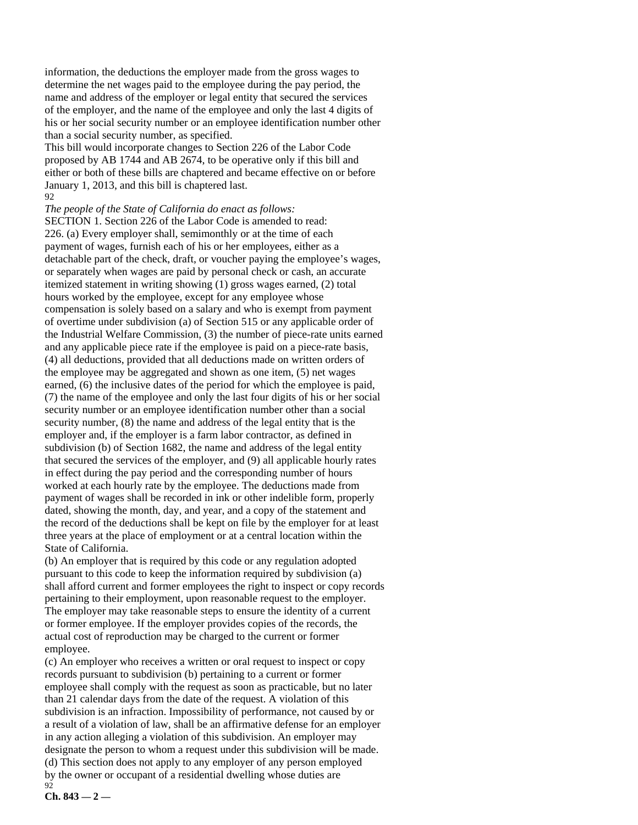information, the deductions the employer made from the gross wages to determine the net wages paid to the employee during the pay period, the name and address of the employer or legal entity that secured the services of the employer, and the name of the employee and only the last 4 digits of his or her social security number or an employee identification number other than a social security number, as specified.

This bill would incorporate changes to Section 226 of the Labor Code proposed by AB 1744 and AB 2674, to be operative only if this bill and either or both of these bills are chaptered and became effective on or before January 1, 2013, and this bill is chaptered last. 92

*The people of the State of California do enact as follows:* 

SECTION 1. Section 226 of the Labor Code is amended to read: 226. (a) Every employer shall, semimonthly or at the time of each payment of wages, furnish each of his or her employees, either as a detachable part of the check, draft, or voucher paying the employee's wages, or separately when wages are paid by personal check or cash, an accurate itemized statement in writing showing (1) gross wages earned, (2) total hours worked by the employee, except for any employee whose compensation is solely based on a salary and who is exempt from payment of overtime under subdivision (a) of Section 515 or any applicable order of the Industrial Welfare Commission, (3) the number of piece-rate units earned and any applicable piece rate if the employee is paid on a piece-rate basis, (4) all deductions, provided that all deductions made on written orders of the employee may be aggregated and shown as one item, (5) net wages earned, (6) the inclusive dates of the period for which the employee is paid, (7) the name of the employee and only the last four digits of his or her social security number or an employee identification number other than a social security number, (8) the name and address of the legal entity that is the employer and, if the employer is a farm labor contractor, as defined in subdivision (b) of Section 1682, the name and address of the legal entity that secured the services of the employer, and (9) all applicable hourly rates in effect during the pay period and the corresponding number of hours worked at each hourly rate by the employee. The deductions made from payment of wages shall be recorded in ink or other indelible form, properly dated, showing the month, day, and year, and a copy of the statement and the record of the deductions shall be kept on file by the employer for at least three years at the place of employment or at a central location within the State of California.

(b) An employer that is required by this code or any regulation adopted pursuant to this code to keep the information required by subdivision (a) shall afford current and former employees the right to inspect or copy records pertaining to their employment, upon reasonable request to the employer. The employer may take reasonable steps to ensure the identity of a current or former employee. If the employer provides copies of the records, the actual cost of reproduction may be charged to the current or former employee.

(c) An employer who receives a written or oral request to inspect or copy records pursuant to subdivision (b) pertaining to a current or former employee shall comply with the request as soon as practicable, but no later than 21 calendar days from the date of the request. A violation of this subdivision is an infraction. Impossibility of performance, not caused by or a result of a violation of law, shall be an affirmative defense for an employer in any action alleging a violation of this subdivision. An employer may designate the person to whom a request under this subdivision will be made. (d) This section does not apply to any employer of any person employed by the owner or occupant of a residential dwelling whose duties are 92

**Ch. 843 — 2 —**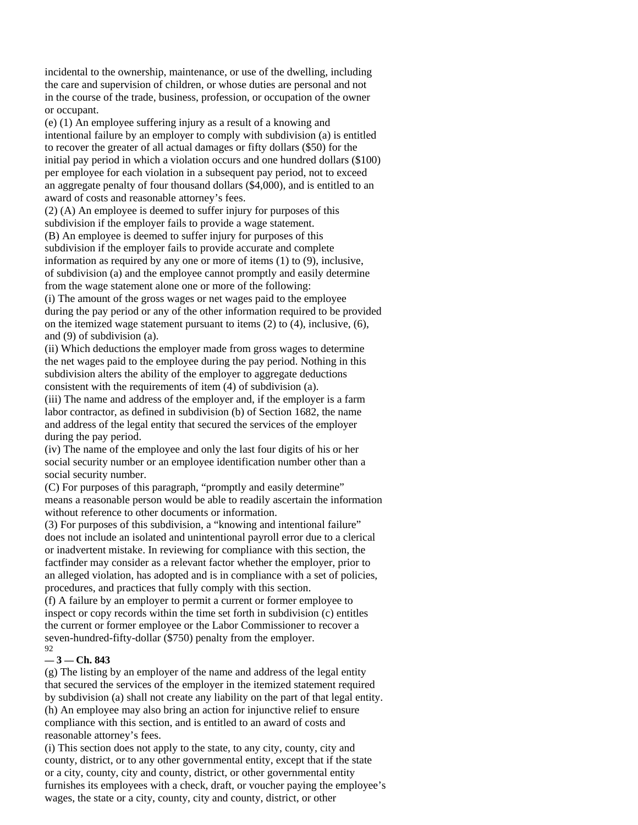incidental to the ownership, maintenance, or use of the dwelling, including the care and supervision of children, or whose duties are personal and not in the course of the trade, business, profession, or occupation of the owner or occupant.

(e) (1) An employee suffering injury as a result of a knowing and intentional failure by an employer to comply with subdivision (a) is entitled to recover the greater of all actual damages or fifty dollars (\$50) for the initial pay period in which a violation occurs and one hundred dollars (\$100) per employee for each violation in a subsequent pay period, not to exceed an aggregate penalty of four thousand dollars (\$4,000), and is entitled to an award of costs and reasonable attorney's fees.

(2) (A) An employee is deemed to suffer injury for purposes of this subdivision if the employer fails to provide a wage statement.

(B) An employee is deemed to suffer injury for purposes of this subdivision if the employer fails to provide accurate and complete information as required by any one or more of items (1) to (9), inclusive, of subdivision (a) and the employee cannot promptly and easily determine from the wage statement alone one or more of the following:

(i) The amount of the gross wages or net wages paid to the employee during the pay period or any of the other information required to be provided on the itemized wage statement pursuant to items (2) to (4), inclusive, (6), and (9) of subdivision (a).

(ii) Which deductions the employer made from gross wages to determine the net wages paid to the employee during the pay period. Nothing in this subdivision alters the ability of the employer to aggregate deductions consistent with the requirements of item (4) of subdivision (a).

(iii) The name and address of the employer and, if the employer is a farm labor contractor, as defined in subdivision (b) of Section 1682, the name and address of the legal entity that secured the services of the employer during the pay period.

(iv) The name of the employee and only the last four digits of his or her social security number or an employee identification number other than a social security number.

(C) For purposes of this paragraph, "promptly and easily determine" means a reasonable person would be able to readily ascertain the information without reference to other documents or information.

(3) For purposes of this subdivision, a "knowing and intentional failure" does not include an isolated and unintentional payroll error due to a clerical or inadvertent mistake. In reviewing for compliance with this section, the factfinder may consider as a relevant factor whether the employer, prior to an alleged violation, has adopted and is in compliance with a set of policies, procedures, and practices that fully comply with this section.

(f) A failure by an employer to permit a current or former employee to inspect or copy records within the time set forth in subdivision (c) entitles the current or former employee or the Labor Commissioner to recover a seven-hundred-fifty-dollar (\$750) penalty from the employer. 92

#### **— 3 — Ch. 843**

(g) The listing by an employer of the name and address of the legal entity that secured the services of the employer in the itemized statement required by subdivision (a) shall not create any liability on the part of that legal entity. (h) An employee may also bring an action for injunctive relief to ensure compliance with this section, and is entitled to an award of costs and reasonable attorney's fees.

(i) This section does not apply to the state, to any city, county, city and county, district, or to any other governmental entity, except that if the state or a city, county, city and county, district, or other governmental entity furnishes its employees with a check, draft, or voucher paying the employee's wages, the state or a city, county, city and county, district, or other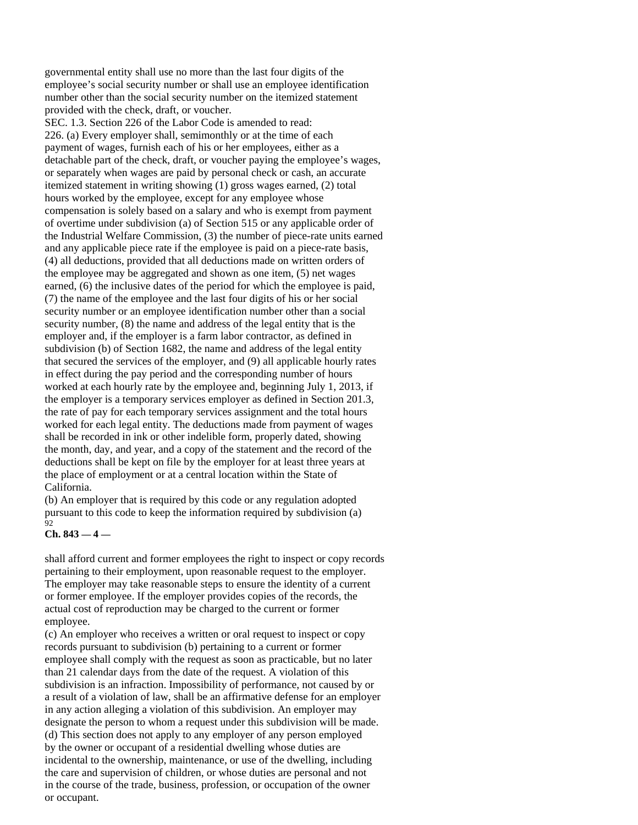governmental entity shall use no more than the last four digits of the employee's social security number or shall use an employee identification number other than the social security number on the itemized statement provided with the check, draft, or voucher.

SEC. 1.3. Section 226 of the Labor Code is amended to read: 226. (a) Every employer shall, semimonthly or at the time of each payment of wages, furnish each of his or her employees, either as a detachable part of the check, draft, or voucher paying the employee's wages, or separately when wages are paid by personal check or cash, an accurate itemized statement in writing showing (1) gross wages earned, (2) total hours worked by the employee, except for any employee whose compensation is solely based on a salary and who is exempt from payment of overtime under subdivision (a) of Section 515 or any applicable order of the Industrial Welfare Commission, (3) the number of piece-rate units earned and any applicable piece rate if the employee is paid on a piece-rate basis, (4) all deductions, provided that all deductions made on written orders of the employee may be aggregated and shown as one item, (5) net wages earned, (6) the inclusive dates of the period for which the employee is paid, (7) the name of the employee and the last four digits of his or her social security number or an employee identification number other than a social security number, (8) the name and address of the legal entity that is the employer and, if the employer is a farm labor contractor, as defined in subdivision (b) of Section 1682, the name and address of the legal entity that secured the services of the employer, and (9) all applicable hourly rates in effect during the pay period and the corresponding number of hours worked at each hourly rate by the employee and, beginning July 1, 2013, if the employer is a temporary services employer as defined in Section 201.3, the rate of pay for each temporary services assignment and the total hours worked for each legal entity. The deductions made from payment of wages shall be recorded in ink or other indelible form, properly dated, showing the month, day, and year, and a copy of the statement and the record of the deductions shall be kept on file by the employer for at least three years at the place of employment or at a central location within the State of California.

(b) An employer that is required by this code or any regulation adopted pursuant to this code to keep the information required by subdivision (a)  $92$ 

#### **Ch. 843 — 4 —**

shall afford current and former employees the right to inspect or copy records pertaining to their employment, upon reasonable request to the employer. The employer may take reasonable steps to ensure the identity of a current or former employee. If the employer provides copies of the records, the actual cost of reproduction may be charged to the current or former employee.

(c) An employer who receives a written or oral request to inspect or copy records pursuant to subdivision (b) pertaining to a current or former employee shall comply with the request as soon as practicable, but no later than 21 calendar days from the date of the request. A violation of this subdivision is an infraction. Impossibility of performance, not caused by or a result of a violation of law, shall be an affirmative defense for an employer in any action alleging a violation of this subdivision. An employer may designate the person to whom a request under this subdivision will be made. (d) This section does not apply to any employer of any person employed by the owner or occupant of a residential dwelling whose duties are incidental to the ownership, maintenance, or use of the dwelling, including the care and supervision of children, or whose duties are personal and not in the course of the trade, business, profession, or occupation of the owner or occupant.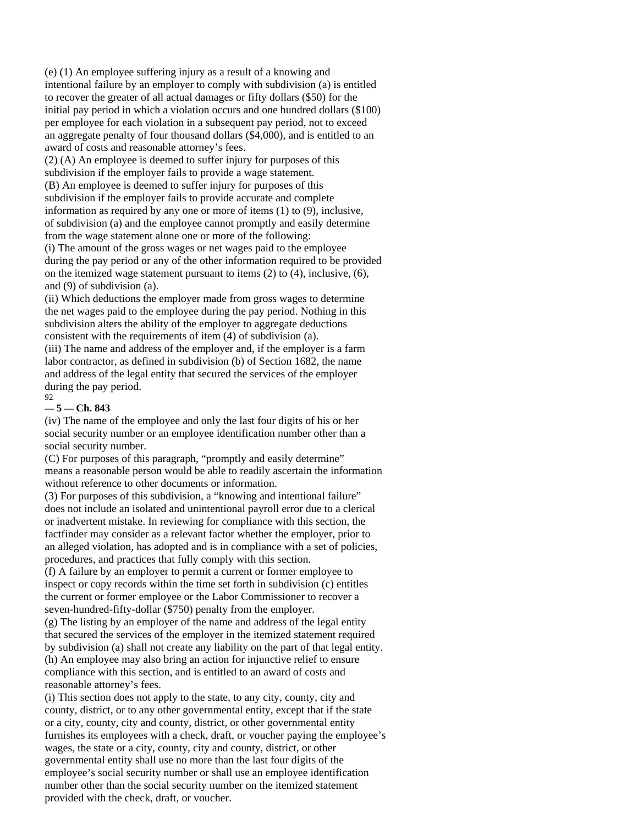(e) (1) An employee suffering injury as a result of a knowing and intentional failure by an employer to comply with subdivision (a) is entitled to recover the greater of all actual damages or fifty dollars (\$50) for the initial pay period in which a violation occurs and one hundred dollars (\$100) per employee for each violation in a subsequent pay period, not to exceed an aggregate penalty of four thousand dollars (\$4,000), and is entitled to an award of costs and reasonable attorney's fees.

(2) (A) An employee is deemed to suffer injury for purposes of this subdivision if the employer fails to provide a wage statement. (B) An employee is deemed to suffer injury for purposes of this subdivision if the employer fails to provide accurate and complete information as required by any one or more of items (1) to (9), inclusive, of subdivision (a) and the employee cannot promptly and easily determine from the wage statement alone one or more of the following: (i) The amount of the gross wages or net wages paid to the employee

during the pay period or any of the other information required to be provided on the itemized wage statement pursuant to items (2) to (4), inclusive, (6), and (9) of subdivision (a).

(ii) Which deductions the employer made from gross wages to determine the net wages paid to the employee during the pay period. Nothing in this subdivision alters the ability of the employer to aggregate deductions consistent with the requirements of item (4) of subdivision (a).

(iii) The name and address of the employer and, if the employer is a farm labor contractor, as defined in subdivision (b) of Section 1682, the name and address of the legal entity that secured the services of the employer during the pay period. 92

#### **— 5 — Ch. 843**

(iv) The name of the employee and only the last four digits of his or her social security number or an employee identification number other than a social security number.

(C) For purposes of this paragraph, "promptly and easily determine" means a reasonable person would be able to readily ascertain the information without reference to other documents or information.

(3) For purposes of this subdivision, a "knowing and intentional failure" does not include an isolated and unintentional payroll error due to a clerical or inadvertent mistake. In reviewing for compliance with this section, the factfinder may consider as a relevant factor whether the employer, prior to an alleged violation, has adopted and is in compliance with a set of policies, procedures, and practices that fully comply with this section.

(f) A failure by an employer to permit a current or former employee to inspect or copy records within the time set forth in subdivision (c) entitles the current or former employee or the Labor Commissioner to recover a seven-hundred-fifty-dollar (\$750) penalty from the employer.

(g) The listing by an employer of the name and address of the legal entity that secured the services of the employer in the itemized statement required by subdivision (a) shall not create any liability on the part of that legal entity. (h) An employee may also bring an action for injunctive relief to ensure compliance with this section, and is entitled to an award of costs and reasonable attorney's fees.

(i) This section does not apply to the state, to any city, county, city and county, district, or to any other governmental entity, except that if the state or a city, county, city and county, district, or other governmental entity furnishes its employees with a check, draft, or voucher paying the employee's wages, the state or a city, county, city and county, district, or other governmental entity shall use no more than the last four digits of the employee's social security number or shall use an employee identification number other than the social security number on the itemized statement provided with the check, draft, or voucher.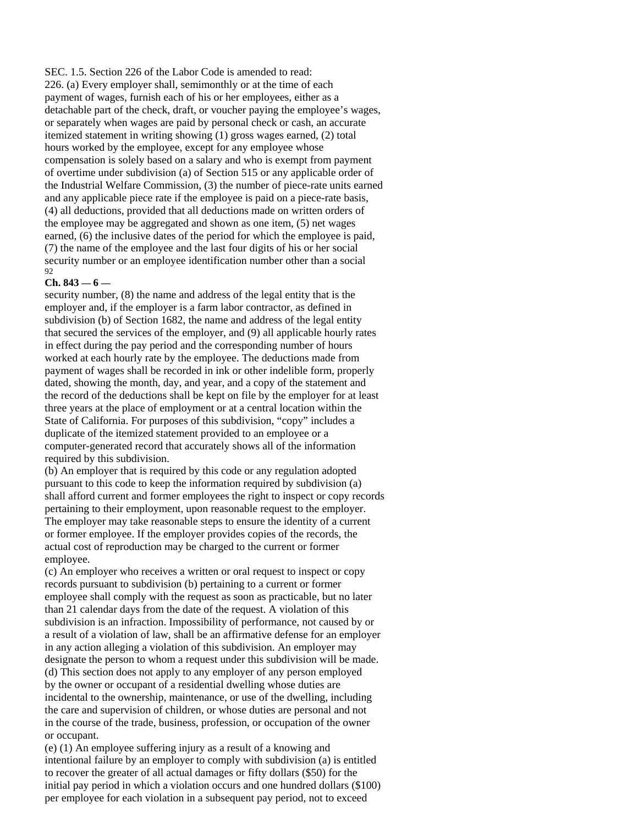SEC. 1.5. Section 226 of the Labor Code is amended to read: 226. (a) Every employer shall, semimonthly or at the time of each payment of wages, furnish each of his or her employees, either as a detachable part of the check, draft, or voucher paying the employee's wages, or separately when wages are paid by personal check or cash, an accurate itemized statement in writing showing (1) gross wages earned, (2) total hours worked by the employee, except for any employee whose compensation is solely based on a salary and who is exempt from payment of overtime under subdivision (a) of Section 515 or any applicable order of the Industrial Welfare Commission, (3) the number of piece-rate units earned and any applicable piece rate if the employee is paid on a piece-rate basis, (4) all deductions, provided that all deductions made on written orders of the employee may be aggregated and shown as one item, (5) net wages earned, (6) the inclusive dates of the period for which the employee is paid, (7) the name of the employee and the last four digits of his or her social security number or an employee identification number other than a social 92

#### **Ch. 843 — 6 —**

security number, (8) the name and address of the legal entity that is the employer and, if the employer is a farm labor contractor, as defined in subdivision (b) of Section 1682, the name and address of the legal entity that secured the services of the employer, and (9) all applicable hourly rates in effect during the pay period and the corresponding number of hours worked at each hourly rate by the employee. The deductions made from payment of wages shall be recorded in ink or other indelible form, properly dated, showing the month, day, and year, and a copy of the statement and the record of the deductions shall be kept on file by the employer for at least three years at the place of employment or at a central location within the State of California. For purposes of this subdivision, "copy" includes a duplicate of the itemized statement provided to an employee or a computer-generated record that accurately shows all of the information required by this subdivision.

(b) An employer that is required by this code or any regulation adopted pursuant to this code to keep the information required by subdivision (a) shall afford current and former employees the right to inspect or copy records pertaining to their employment, upon reasonable request to the employer. The employer may take reasonable steps to ensure the identity of a current or former employee. If the employer provides copies of the records, the actual cost of reproduction may be charged to the current or former employee.

(c) An employer who receives a written or oral request to inspect or copy records pursuant to subdivision (b) pertaining to a current or former employee shall comply with the request as soon as practicable, but no later than 21 calendar days from the date of the request. A violation of this subdivision is an infraction. Impossibility of performance, not caused by or a result of a violation of law, shall be an affirmative defense for an employer in any action alleging a violation of this subdivision. An employer may designate the person to whom a request under this subdivision will be made. (d) This section does not apply to any employer of any person employed by the owner or occupant of a residential dwelling whose duties are incidental to the ownership, maintenance, or use of the dwelling, including the care and supervision of children, or whose duties are personal and not in the course of the trade, business, profession, or occupation of the owner or occupant.

(e) (1) An employee suffering injury as a result of a knowing and intentional failure by an employer to comply with subdivision (a) is entitled to recover the greater of all actual damages or fifty dollars (\$50) for the initial pay period in which a violation occurs and one hundred dollars (\$100) per employee for each violation in a subsequent pay period, not to exceed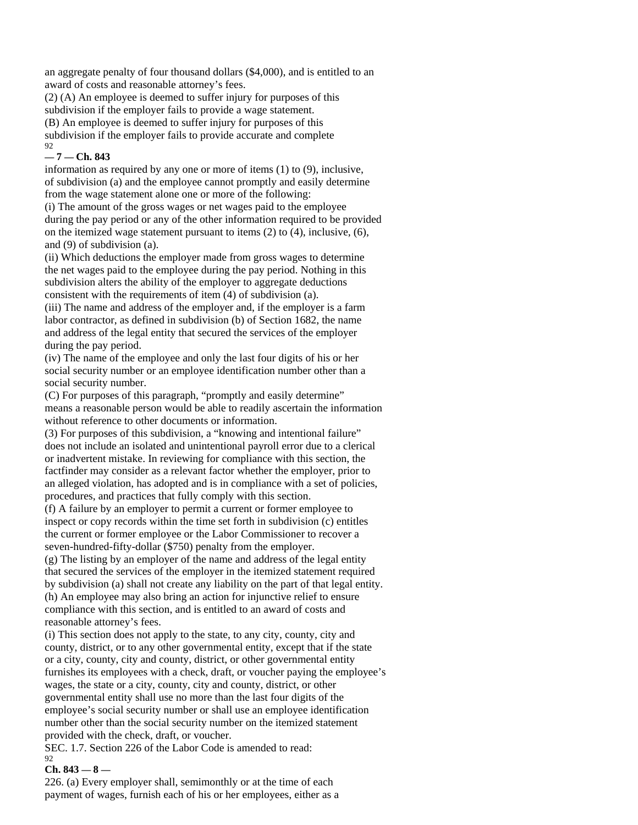an aggregate penalty of four thousand dollars (\$4,000), and is entitled to an award of costs and reasonable attorney's fees.

(2) (A) An employee is deemed to suffer injury for purposes of this subdivision if the employer fails to provide a wage statement. (B) An employee is deemed to suffer injury for purposes of this subdivision if the employer fails to provide accurate and complete 92

#### **— 7 — Ch. 843**

information as required by any one or more of items (1) to (9), inclusive, of subdivision (a) and the employee cannot promptly and easily determine from the wage statement alone one or more of the following:

(i) The amount of the gross wages or net wages paid to the employee during the pay period or any of the other information required to be provided on the itemized wage statement pursuant to items (2) to (4), inclusive, (6), and (9) of subdivision (a).

(ii) Which deductions the employer made from gross wages to determine the net wages paid to the employee during the pay period. Nothing in this subdivision alters the ability of the employer to aggregate deductions consistent with the requirements of item (4) of subdivision (a). (iii) The name and address of the employer and, if the employer is a farm labor contractor, as defined in subdivision (b) of Section 1682, the name and address of the legal entity that secured the services of the employer during the pay period.

(iv) The name of the employee and only the last four digits of his or her social security number or an employee identification number other than a social security number.

(C) For purposes of this paragraph, "promptly and easily determine" means a reasonable person would be able to readily ascertain the information without reference to other documents or information.

(3) For purposes of this subdivision, a "knowing and intentional failure" does not include an isolated and unintentional payroll error due to a clerical or inadvertent mistake. In reviewing for compliance with this section, the factfinder may consider as a relevant factor whether the employer, prior to an alleged violation, has adopted and is in compliance with a set of policies, procedures, and practices that fully comply with this section.

(f) A failure by an employer to permit a current or former employee to inspect or copy records within the time set forth in subdivision (c) entitles the current or former employee or the Labor Commissioner to recover a seven-hundred-fifty-dollar (\$750) penalty from the employer.

(g) The listing by an employer of the name and address of the legal entity that secured the services of the employer in the itemized statement required by subdivision (a) shall not create any liability on the part of that legal entity. (h) An employee may also bring an action for injunctive relief to ensure compliance with this section, and is entitled to an award of costs and reasonable attorney's fees.

(i) This section does not apply to the state, to any city, county, city and county, district, or to any other governmental entity, except that if the state or a city, county, city and county, district, or other governmental entity furnishes its employees with a check, draft, or voucher paying the employee's wages, the state or a city, county, city and county, district, or other governmental entity shall use no more than the last four digits of the employee's social security number or shall use an employee identification number other than the social security number on the itemized statement provided with the check, draft, or voucher.

SEC. 1.7. Section 226 of the Labor Code is amended to read: 92

#### **Ch. 843 — 8 —**

226. (a) Every employer shall, semimonthly or at the time of each payment of wages, furnish each of his or her employees, either as a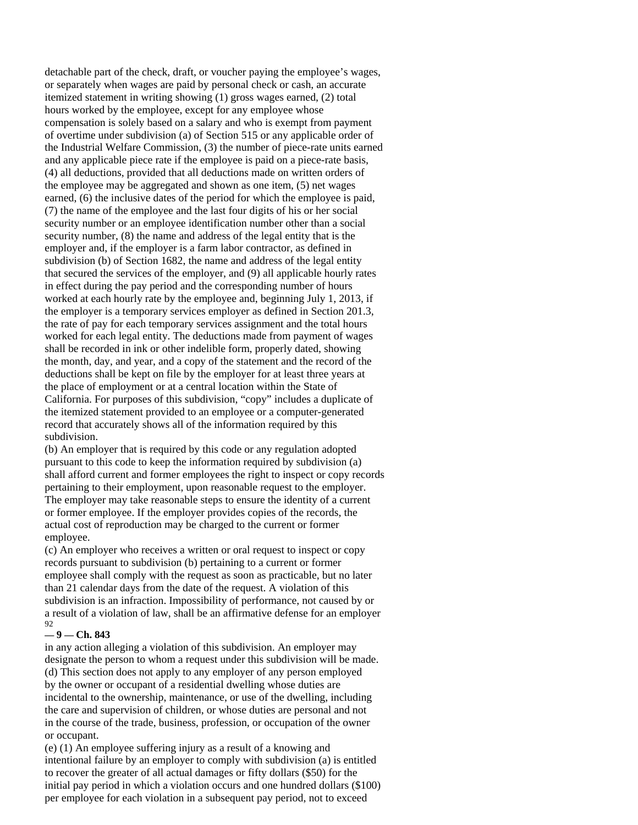detachable part of the check, draft, or voucher paying the employee's wages, or separately when wages are paid by personal check or cash, an accurate itemized statement in writing showing (1) gross wages earned, (2) total hours worked by the employee, except for any employee whose compensation is solely based on a salary and who is exempt from payment of overtime under subdivision (a) of Section 515 or any applicable order of the Industrial Welfare Commission, (3) the number of piece-rate units earned and any applicable piece rate if the employee is paid on a piece-rate basis, (4) all deductions, provided that all deductions made on written orders of the employee may be aggregated and shown as one item, (5) net wages earned, (6) the inclusive dates of the period for which the employee is paid, (7) the name of the employee and the last four digits of his or her social security number or an employee identification number other than a social security number, (8) the name and address of the legal entity that is the employer and, if the employer is a farm labor contractor, as defined in subdivision (b) of Section 1682, the name and address of the legal entity that secured the services of the employer, and (9) all applicable hourly rates in effect during the pay period and the corresponding number of hours worked at each hourly rate by the employee and, beginning July 1, 2013, if the employer is a temporary services employer as defined in Section 201.3, the rate of pay for each temporary services assignment and the total hours worked for each legal entity. The deductions made from payment of wages shall be recorded in ink or other indelible form, properly dated, showing the month, day, and year, and a copy of the statement and the record of the deductions shall be kept on file by the employer for at least three years at the place of employment or at a central location within the State of California. For purposes of this subdivision, "copy" includes a duplicate of the itemized statement provided to an employee or a computer-generated record that accurately shows all of the information required by this subdivision.

(b) An employer that is required by this code or any regulation adopted pursuant to this code to keep the information required by subdivision (a) shall afford current and former employees the right to inspect or copy records pertaining to their employment, upon reasonable request to the employer. The employer may take reasonable steps to ensure the identity of a current or former employee. If the employer provides copies of the records, the actual cost of reproduction may be charged to the current or former employee.

(c) An employer who receives a written or oral request to inspect or copy records pursuant to subdivision (b) pertaining to a current or former employee shall comply with the request as soon as practicable, but no later than 21 calendar days from the date of the request. A violation of this subdivision is an infraction. Impossibility of performance, not caused by or a result of a violation of law, shall be an affirmative defense for an employer 92

#### **— 9 — Ch. 843**

in any action alleging a violation of this subdivision. An employer may designate the person to whom a request under this subdivision will be made. (d) This section does not apply to any employer of any person employed by the owner or occupant of a residential dwelling whose duties are incidental to the ownership, maintenance, or use of the dwelling, including the care and supervision of children, or whose duties are personal and not in the course of the trade, business, profession, or occupation of the owner or occupant.

(e) (1) An employee suffering injury as a result of a knowing and intentional failure by an employer to comply with subdivision (a) is entitled to recover the greater of all actual damages or fifty dollars (\$50) for the initial pay period in which a violation occurs and one hundred dollars (\$100) per employee for each violation in a subsequent pay period, not to exceed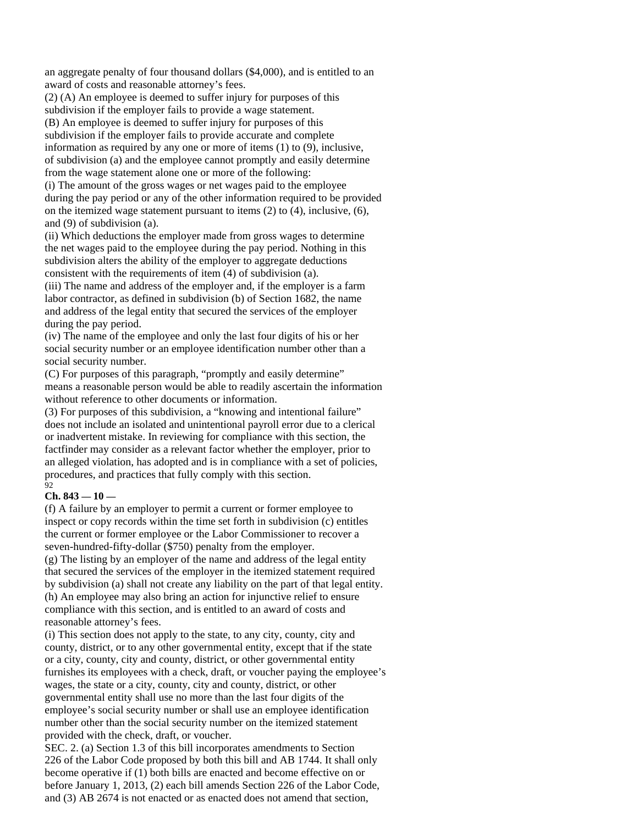an aggregate penalty of four thousand dollars (\$4,000), and is entitled to an award of costs and reasonable attorney's fees.

(2) (A) An employee is deemed to suffer injury for purposes of this subdivision if the employer fails to provide a wage statement. (B) An employee is deemed to suffer injury for purposes of this subdivision if the employer fails to provide accurate and complete information as required by any one or more of items (1) to (9), inclusive, of subdivision (a) and the employee cannot promptly and easily determine from the wage statement alone one or more of the following: (i) The amount of the gross wages or net wages paid to the employee during the pay period or any of the other information required to be provided on the itemized wage statement pursuant to items (2) to (4), inclusive, (6),

# and (9) of subdivision (a).

(ii) Which deductions the employer made from gross wages to determine the net wages paid to the employee during the pay period. Nothing in this subdivision alters the ability of the employer to aggregate deductions consistent with the requirements of item (4) of subdivision (a).

(iii) The name and address of the employer and, if the employer is a farm labor contractor, as defined in subdivision (b) of Section 1682, the name and address of the legal entity that secured the services of the employer during the pay period.

(iv) The name of the employee and only the last four digits of his or her social security number or an employee identification number other than a social security number.

(C) For purposes of this paragraph, "promptly and easily determine" means a reasonable person would be able to readily ascertain the information without reference to other documents or information.

(3) For purposes of this subdivision, a "knowing and intentional failure" does not include an isolated and unintentional payroll error due to a clerical or inadvertent mistake. In reviewing for compliance with this section, the factfinder may consider as a relevant factor whether the employer, prior to an alleged violation, has adopted and is in compliance with a set of policies, procedures, and practices that fully comply with this section. 92

#### **Ch. 843 — 10 —**

(f) A failure by an employer to permit a current or former employee to inspect or copy records within the time set forth in subdivision (c) entitles the current or former employee or the Labor Commissioner to recover a seven-hundred-fifty-dollar (\$750) penalty from the employer. (g) The listing by an employer of the name and address of the legal entity that secured the services of the employer in the itemized statement required by subdivision (a) shall not create any liability on the part of that legal entity. (h) An employee may also bring an action for injunctive relief to ensure compliance with this section, and is entitled to an award of costs and reasonable attorney's fees.

(i) This section does not apply to the state, to any city, county, city and county, district, or to any other governmental entity, except that if the state or a city, county, city and county, district, or other governmental entity furnishes its employees with a check, draft, or voucher paying the employee's wages, the state or a city, county, city and county, district, or other governmental entity shall use no more than the last four digits of the employee's social security number or shall use an employee identification number other than the social security number on the itemized statement provided with the check, draft, or voucher.

SEC. 2. (a) Section 1.3 of this bill incorporates amendments to Section 226 of the Labor Code proposed by both this bill and AB 1744. It shall only become operative if (1) both bills are enacted and become effective on or before January 1, 2013, (2) each bill amends Section 226 of the Labor Code, and (3) AB 2674 is not enacted or as enacted does not amend that section,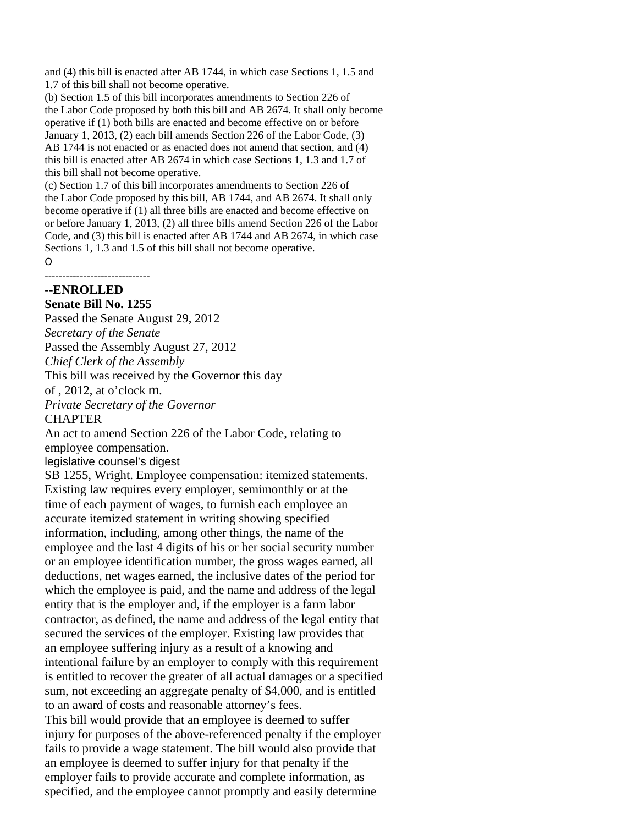and (4) this bill is enacted after AB 1744, in which case Sections 1, 1.5 and 1.7 of this bill shall not become operative.

(b) Section 1.5 of this bill incorporates amendments to Section 226 of the Labor Code proposed by both this bill and AB 2674. It shall only become operative if (1) both bills are enacted and become effective on or before January 1, 2013, (2) each bill amends Section 226 of the Labor Code, (3) AB 1744 is not enacted or as enacted does not amend that section, and (4) this bill is enacted after AB 2674 in which case Sections 1, 1.3 and 1.7 of this bill shall not become operative.

(c) Section 1.7 of this bill incorporates amendments to Section 226 of the Labor Code proposed by this bill, AB 1744, and AB 2674. It shall only become operative if (1) all three bills are enacted and become effective on or before January 1, 2013, (2) all three bills amend Section 226 of the Labor Code, and (3) this bill is enacted after AB 1744 and AB 2674, in which case Sections 1, 1.3 and 1.5 of this bill shall not become operative.

#### $\Omega$

#### ‐‐‐‐‐‐‐‐‐‐‐‐‐‐‐‐‐‐‐‐‐‐‐‐‐‐‐‐‐‐ **--ENROLLED**

# **Senate Bill No. 1255**

Passed the Senate August 29, 2012 *Secretary of the Senate*  Passed the Assembly August 27, 2012 *Chief Clerk of the Assembly*  This bill was received by the Governor this day of , 2012, at o'clock m. *Private Secretary of the Governor* 

# **CHAPTER**

An act to amend Section 226 of the Labor Code, relating to employee compensation.

legislative counsel's digest

SB 1255, Wright. Employee compensation: itemized statements. Existing law requires every employer, semimonthly or at the time of each payment of wages, to furnish each employee an accurate itemized statement in writing showing specified information, including, among other things, the name of the employee and the last 4 digits of his or her social security number or an employee identification number, the gross wages earned, all deductions, net wages earned, the inclusive dates of the period for which the employee is paid, and the name and address of the legal entity that is the employer and, if the employer is a farm labor contractor, as defined, the name and address of the legal entity that secured the services of the employer. Existing law provides that an employee suffering injury as a result of a knowing and intentional failure by an employer to comply with this requirement is entitled to recover the greater of all actual damages or a specified sum, not exceeding an aggregate penalty of \$4,000, and is entitled to an award of costs and reasonable attorney's fees. This bill would provide that an employee is deemed to suffer injury for purposes of the above-referenced penalty if the employer fails to provide a wage statement. The bill would also provide that an employee is deemed to suffer injury for that penalty if the employer fails to provide accurate and complete information, as specified, and the employee cannot promptly and easily determine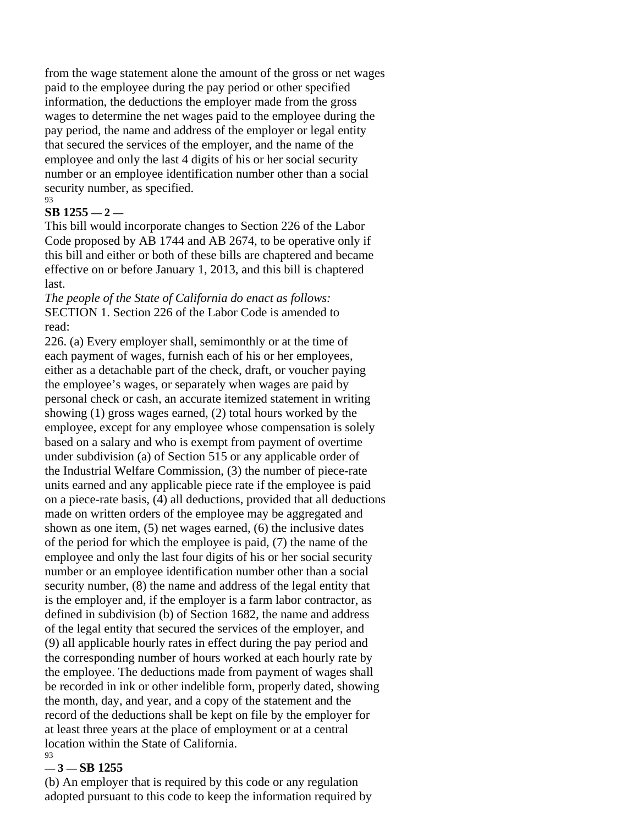from the wage statement alone the amount of the gross or net wages paid to the employee during the pay period or other specified information, the deductions the employer made from the gross wages to determine the net wages paid to the employee during the pay period, the name and address of the employer or legal entity that secured the services of the employer, and the name of the employee and only the last 4 digits of his or her social security number or an employee identification number other than a social security number, as specified.  $03$ 

# **SB 1255 — 2 —**

This bill would incorporate changes to Section 226 of the Labor Code proposed by AB 1744 and AB 2674, to be operative only if this bill and either or both of these bills are chaptered and became effective on or before January 1, 2013, and this bill is chaptered last.

*The people of the State of California do enact as follows:*  SECTION 1. Section 226 of the Labor Code is amended to read:

226. (a) Every employer shall, semimonthly or at the time of each payment of wages, furnish each of his or her employees, either as a detachable part of the check, draft, or voucher paying the employee's wages, or separately when wages are paid by personal check or cash, an accurate itemized statement in writing showing (1) gross wages earned, (2) total hours worked by the employee, except for any employee whose compensation is solely based on a salary and who is exempt from payment of overtime under subdivision (a) of Section 515 or any applicable order of the Industrial Welfare Commission, (3) the number of piece-rate units earned and any applicable piece rate if the employee is paid on a piece-rate basis, (4) all deductions, provided that all deductions made on written orders of the employee may be aggregated and shown as one item, (5) net wages earned, (6) the inclusive dates of the period for which the employee is paid, (7) the name of the employee and only the last four digits of his or her social security number or an employee identification number other than a social security number, (8) the name and address of the legal entity that is the employer and, if the employer is a farm labor contractor, as defined in subdivision (b) of Section 1682, the name and address of the legal entity that secured the services of the employer, and (9) all applicable hourly rates in effect during the pay period and the corresponding number of hours worked at each hourly rate by the employee. The deductions made from payment of wages shall be recorded in ink or other indelible form, properly dated, showing the month, day, and year, and a copy of the statement and the record of the deductions shall be kept on file by the employer for at least three years at the place of employment or at a central location within the State of California. 93

# **— 3 — SB 1255**

(b) An employer that is required by this code or any regulation adopted pursuant to this code to keep the information required by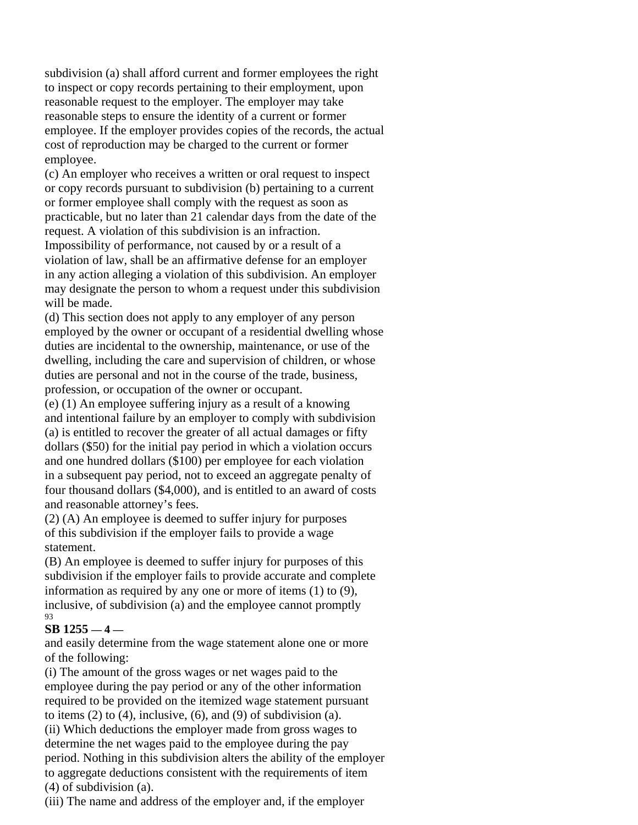subdivision (a) shall afford current and former employees the right to inspect or copy records pertaining to their employment, upon reasonable request to the employer. The employer may take reasonable steps to ensure the identity of a current or former employee. If the employer provides copies of the records, the actual cost of reproduction may be charged to the current or former employee.

(c) An employer who receives a written or oral request to inspect or copy records pursuant to subdivision (b) pertaining to a current or former employee shall comply with the request as soon as practicable, but no later than 21 calendar days from the date of the request. A violation of this subdivision is an infraction.

Impossibility of performance, not caused by or a result of a violation of law, shall be an affirmative defense for an employer in any action alleging a violation of this subdivision. An employer may designate the person to whom a request under this subdivision will be made.

(d) This section does not apply to any employer of any person employed by the owner or occupant of a residential dwelling whose duties are incidental to the ownership, maintenance, or use of the dwelling, including the care and supervision of children, or whose duties are personal and not in the course of the trade, business, profession, or occupation of the owner or occupant.

(e) (1) An employee suffering injury as a result of a knowing and intentional failure by an employer to comply with subdivision (a) is entitled to recover the greater of all actual damages or fifty dollars (\$50) for the initial pay period in which a violation occurs and one hundred dollars (\$100) per employee for each violation in a subsequent pay period, not to exceed an aggregate penalty of four thousand dollars (\$4,000), and is entitled to an award of costs and reasonable attorney's fees.

(2) (A) An employee is deemed to suffer injury for purposes of this subdivision if the employer fails to provide a wage statement.

(B) An employee is deemed to suffer injury for purposes of this subdivision if the employer fails to provide accurate and complete information as required by any one or more of items (1) to (9), inclusive, of subdivision (a) and the employee cannot promptly 93

# **SB 1255 — 4 —**

and easily determine from the wage statement alone one or more of the following:

(i) The amount of the gross wages or net wages paid to the employee during the pay period or any of the other information required to be provided on the itemized wage statement pursuant to items  $(2)$  to  $(4)$ , inclusive,  $(6)$ , and  $(9)$  of subdivision  $(a)$ .

(ii) Which deductions the employer made from gross wages to determine the net wages paid to the employee during the pay period. Nothing in this subdivision alters the ability of the employer to aggregate deductions consistent with the requirements of item (4) of subdivision (a).

(iii) The name and address of the employer and, if the employer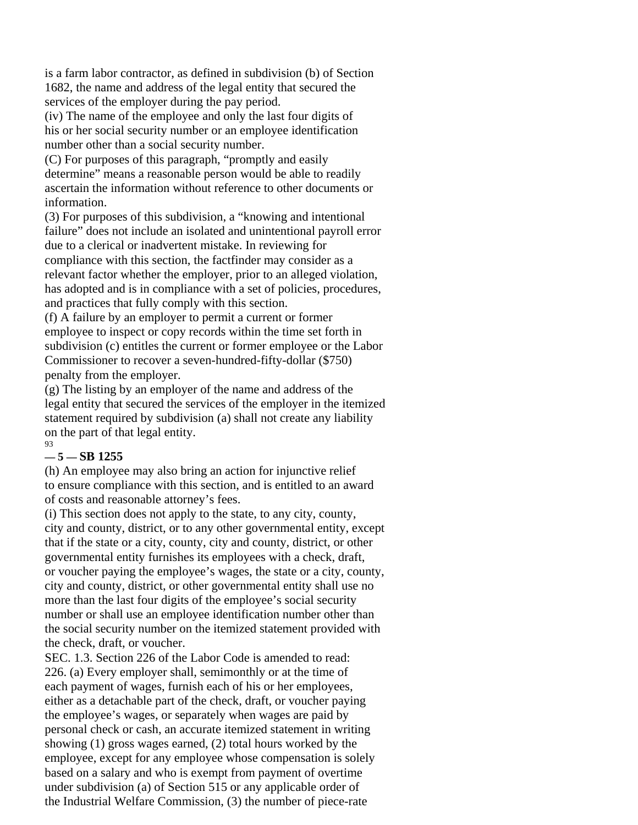is a farm labor contractor, as defined in subdivision (b) of Section 1682, the name and address of the legal entity that secured the services of the employer during the pay period.

(iv) The name of the employee and only the last four digits of his or her social security number or an employee identification number other than a social security number.

(C) For purposes of this paragraph, "promptly and easily determine" means a reasonable person would be able to readily ascertain the information without reference to other documents or information.

(3) For purposes of this subdivision, a "knowing and intentional failure" does not include an isolated and unintentional payroll error due to a clerical or inadvertent mistake. In reviewing for compliance with this section, the factfinder may consider as a relevant factor whether the employer, prior to an alleged violation, has adopted and is in compliance with a set of policies, procedures, and practices that fully comply with this section.

(f) A failure by an employer to permit a current or former employee to inspect or copy records within the time set forth in subdivision (c) entitles the current or former employee or the Labor Commissioner to recover a seven-hundred-fifty-dollar (\$750) penalty from the employer.

(g) The listing by an employer of the name and address of the legal entity that secured the services of the employer in the itemized statement required by subdivision (a) shall not create any liability on the part of that legal entity. 93

# **— 5 — SB 1255**

(h) An employee may also bring an action for injunctive relief to ensure compliance with this section, and is entitled to an award of costs and reasonable attorney's fees.

(i) This section does not apply to the state, to any city, county, city and county, district, or to any other governmental entity, except that if the state or a city, county, city and county, district, or other governmental entity furnishes its employees with a check, draft, or voucher paying the employee's wages, the state or a city, county, city and county, district, or other governmental entity shall use no more than the last four digits of the employee's social security number or shall use an employee identification number other than the social security number on the itemized statement provided with the check, draft, or voucher.

SEC. 1.3. Section 226 of the Labor Code is amended to read: 226. (a) Every employer shall, semimonthly or at the time of each payment of wages, furnish each of his or her employees, either as a detachable part of the check, draft, or voucher paying the employee's wages, or separately when wages are paid by personal check or cash, an accurate itemized statement in writing showing (1) gross wages earned, (2) total hours worked by the employee, except for any employee whose compensation is solely based on a salary and who is exempt from payment of overtime under subdivision (a) of Section 515 or any applicable order of the Industrial Welfare Commission, (3) the number of piece-rate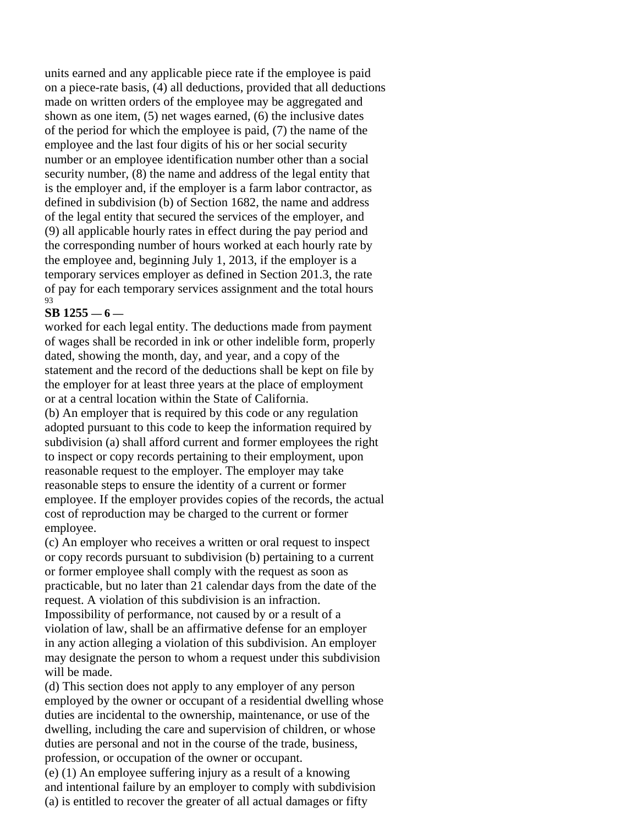units earned and any applicable piece rate if the employee is paid on a piece-rate basis, (4) all deductions, provided that all deductions made on written orders of the employee may be aggregated and shown as one item, (5) net wages earned, (6) the inclusive dates of the period for which the employee is paid, (7) the name of the employee and the last four digits of his or her social security number or an employee identification number other than a social security number, (8) the name and address of the legal entity that is the employer and, if the employer is a farm labor contractor, as defined in subdivision (b) of Section 1682, the name and address of the legal entity that secured the services of the employer, and (9) all applicable hourly rates in effect during the pay period and the corresponding number of hours worked at each hourly rate by the employee and, beginning July 1, 2013, if the employer is a temporary services employer as defined in Section 201.3, the rate of pay for each temporary services assignment and the total hours 93

# **SB 1255 — 6 —**

worked for each legal entity. The deductions made from payment of wages shall be recorded in ink or other indelible form, properly dated, showing the month, day, and year, and a copy of the statement and the record of the deductions shall be kept on file by the employer for at least three years at the place of employment or at a central location within the State of California. (b) An employer that is required by this code or any regulation adopted pursuant to this code to keep the information required by subdivision (a) shall afford current and former employees the right to inspect or copy records pertaining to their employment, upon reasonable request to the employer. The employer may take reasonable steps to ensure the identity of a current or former employee. If the employer provides copies of the records, the actual cost of reproduction may be charged to the current or former employee.

(c) An employer who receives a written or oral request to inspect or copy records pursuant to subdivision (b) pertaining to a current or former employee shall comply with the request as soon as practicable, but no later than 21 calendar days from the date of the request. A violation of this subdivision is an infraction. Impossibility of performance, not caused by or a result of a violation of law, shall be an affirmative defense for an employer in any action alleging a violation of this subdivision. An employer may designate the person to whom a request under this subdivision will be made.

(d) This section does not apply to any employer of any person employed by the owner or occupant of a residential dwelling whose duties are incidental to the ownership, maintenance, or use of the dwelling, including the care and supervision of children, or whose duties are personal and not in the course of the trade, business, profession, or occupation of the owner or occupant.

(e) (1) An employee suffering injury as a result of a knowing and intentional failure by an employer to comply with subdivision (a) is entitled to recover the greater of all actual damages or fifty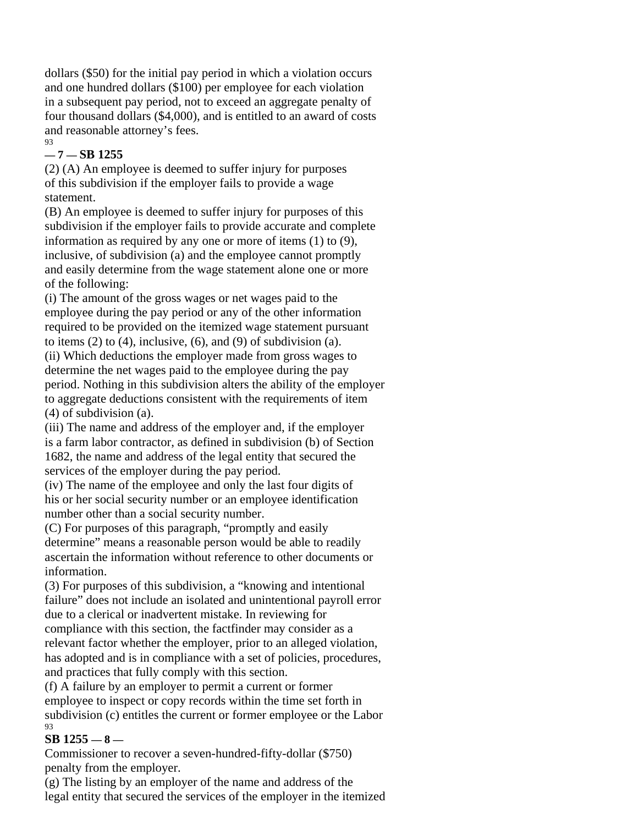dollars (\$50) for the initial pay period in which a violation occurs and one hundred dollars (\$100) per employee for each violation in a subsequent pay period, not to exceed an aggregate penalty of four thousand dollars (\$4,000), and is entitled to an award of costs and reasonable attorney's fees. 93

# **— 7 — SB 1255**

(2) (A) An employee is deemed to suffer injury for purposes of this subdivision if the employer fails to provide a wage statement.

(B) An employee is deemed to suffer injury for purposes of this subdivision if the employer fails to provide accurate and complete information as required by any one or more of items (1) to (9), inclusive, of subdivision (a) and the employee cannot promptly and easily determine from the wage statement alone one or more of the following:

(i) The amount of the gross wages or net wages paid to the employee during the pay period or any of the other information required to be provided on the itemized wage statement pursuant to items  $(2)$  to  $(4)$ , inclusive,  $(6)$ , and  $(9)$  of subdivision  $(a)$ . (ii) Which deductions the employer made from gross wages to determine the net wages paid to the employee during the pay period. Nothing in this subdivision alters the ability of the employer to aggregate deductions consistent with the requirements of item (4) of subdivision (a).

(iii) The name and address of the employer and, if the employer is a farm labor contractor, as defined in subdivision (b) of Section 1682, the name and address of the legal entity that secured the services of the employer during the pay period.

(iv) The name of the employee and only the last four digits of his or her social security number or an employee identification number other than a social security number.

(C) For purposes of this paragraph, "promptly and easily determine" means a reasonable person would be able to readily ascertain the information without reference to other documents or information.

(3) For purposes of this subdivision, a "knowing and intentional failure" does not include an isolated and unintentional payroll error due to a clerical or inadvertent mistake. In reviewing for compliance with this section, the factfinder may consider as a relevant factor whether the employer, prior to an alleged violation, has adopted and is in compliance with a set of policies, procedures, and practices that fully comply with this section.

(f) A failure by an employer to permit a current or former employee to inspect or copy records within the time set forth in subdivision (c) entitles the current or former employee or the Labor 93

# **SB 1255 — 8 —**

Commissioner to recover a seven-hundred-fifty-dollar (\$750) penalty from the employer.

(g) The listing by an employer of the name and address of the legal entity that secured the services of the employer in the itemized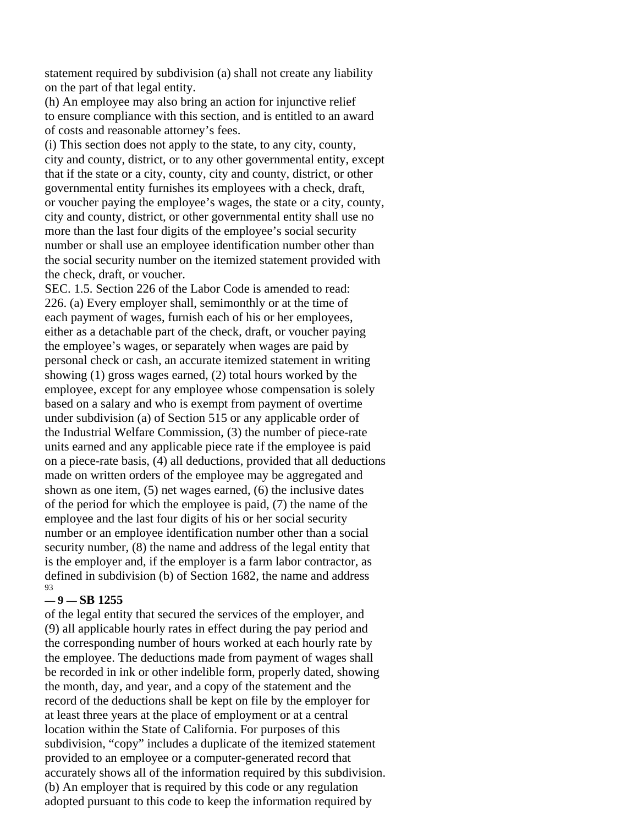statement required by subdivision (a) shall not create any liability on the part of that legal entity.

(h) An employee may also bring an action for injunctive relief to ensure compliance with this section, and is entitled to an award of costs and reasonable attorney's fees.

(i) This section does not apply to the state, to any city, county, city and county, district, or to any other governmental entity, except that if the state or a city, county, city and county, district, or other governmental entity furnishes its employees with a check, draft, or voucher paying the employee's wages, the state or a city, county, city and county, district, or other governmental entity shall use no more than the last four digits of the employee's social security number or shall use an employee identification number other than the social security number on the itemized statement provided with the check, draft, or voucher.

SEC. 1.5. Section 226 of the Labor Code is amended to read: 226. (a) Every employer shall, semimonthly or at the time of each payment of wages, furnish each of his or her employees, either as a detachable part of the check, draft, or voucher paying the employee's wages, or separately when wages are paid by personal check or cash, an accurate itemized statement in writing showing (1) gross wages earned, (2) total hours worked by the employee, except for any employee whose compensation is solely based on a salary and who is exempt from payment of overtime under subdivision (a) of Section 515 or any applicable order of the Industrial Welfare Commission, (3) the number of piece-rate units earned and any applicable piece rate if the employee is paid on a piece-rate basis, (4) all deductions, provided that all deductions made on written orders of the employee may be aggregated and shown as one item, (5) net wages earned, (6) the inclusive dates of the period for which the employee is paid, (7) the name of the employee and the last four digits of his or her social security number or an employee identification number other than a social security number, (8) the name and address of the legal entity that is the employer and, if the employer is a farm labor contractor, as defined in subdivision (b) of Section 1682, the name and address 93

#### **— 9 — SB 1255**

of the legal entity that secured the services of the employer, and (9) all applicable hourly rates in effect during the pay period and the corresponding number of hours worked at each hourly rate by the employee. The deductions made from payment of wages shall be recorded in ink or other indelible form, properly dated, showing the month, day, and year, and a copy of the statement and the record of the deductions shall be kept on file by the employer for at least three years at the place of employment or at a central location within the State of California. For purposes of this subdivision, "copy" includes a duplicate of the itemized statement provided to an employee or a computer-generated record that accurately shows all of the information required by this subdivision. (b) An employer that is required by this code or any regulation adopted pursuant to this code to keep the information required by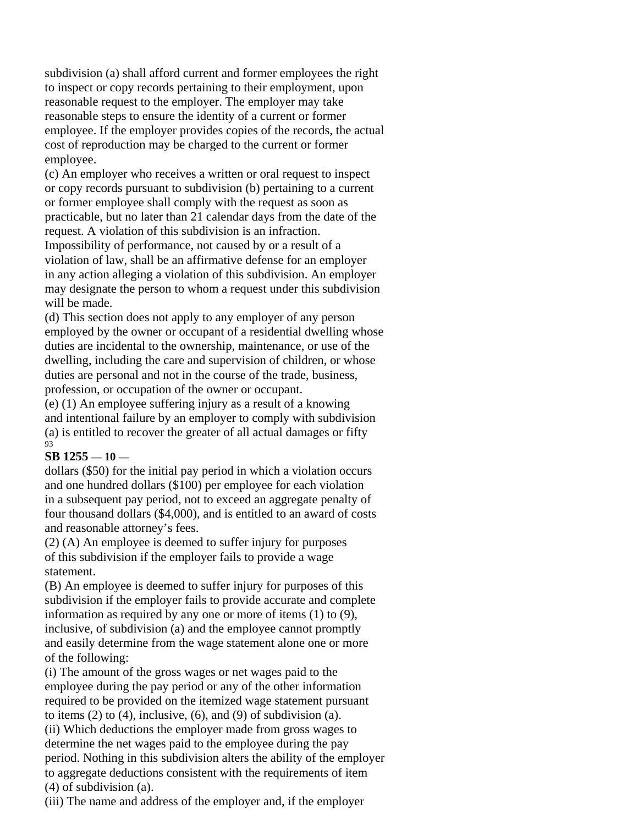subdivision (a) shall afford current and former employees the right to inspect or copy records pertaining to their employment, upon reasonable request to the employer. The employer may take reasonable steps to ensure the identity of a current or former employee. If the employer provides copies of the records, the actual cost of reproduction may be charged to the current or former employee.

(c) An employer who receives a written or oral request to inspect or copy records pursuant to subdivision (b) pertaining to a current or former employee shall comply with the request as soon as practicable, but no later than 21 calendar days from the date of the request. A violation of this subdivision is an infraction.

Impossibility of performance, not caused by or a result of a violation of law, shall be an affirmative defense for an employer in any action alleging a violation of this subdivision. An employer may designate the person to whom a request under this subdivision will be made.

(d) This section does not apply to any employer of any person employed by the owner or occupant of a residential dwelling whose duties are incidental to the ownership, maintenance, or use of the dwelling, including the care and supervision of children, or whose duties are personal and not in the course of the trade, business, profession, or occupation of the owner or occupant.

(e) (1) An employee suffering injury as a result of a knowing and intentional failure by an employer to comply with subdivision (a) is entitled to recover the greater of all actual damages or fifty 93

# **SB 1255 — 10 —**

dollars (\$50) for the initial pay period in which a violation occurs and one hundred dollars (\$100) per employee for each violation in a subsequent pay period, not to exceed an aggregate penalty of four thousand dollars (\$4,000), and is entitled to an award of costs and reasonable attorney's fees.

(2) (A) An employee is deemed to suffer injury for purposes of this subdivision if the employer fails to provide a wage statement.

(B) An employee is deemed to suffer injury for purposes of this subdivision if the employer fails to provide accurate and complete information as required by any one or more of items (1) to (9), inclusive, of subdivision (a) and the employee cannot promptly and easily determine from the wage statement alone one or more of the following:

(i) The amount of the gross wages or net wages paid to the employee during the pay period or any of the other information required to be provided on the itemized wage statement pursuant to items  $(2)$  to  $(4)$ , inclusive,  $(6)$ , and  $(9)$  of subdivision  $(a)$ .

(ii) Which deductions the employer made from gross wages to determine the net wages paid to the employee during the pay period. Nothing in this subdivision alters the ability of the employer to aggregate deductions consistent with the requirements of item (4) of subdivision (a).

(iii) The name and address of the employer and, if the employer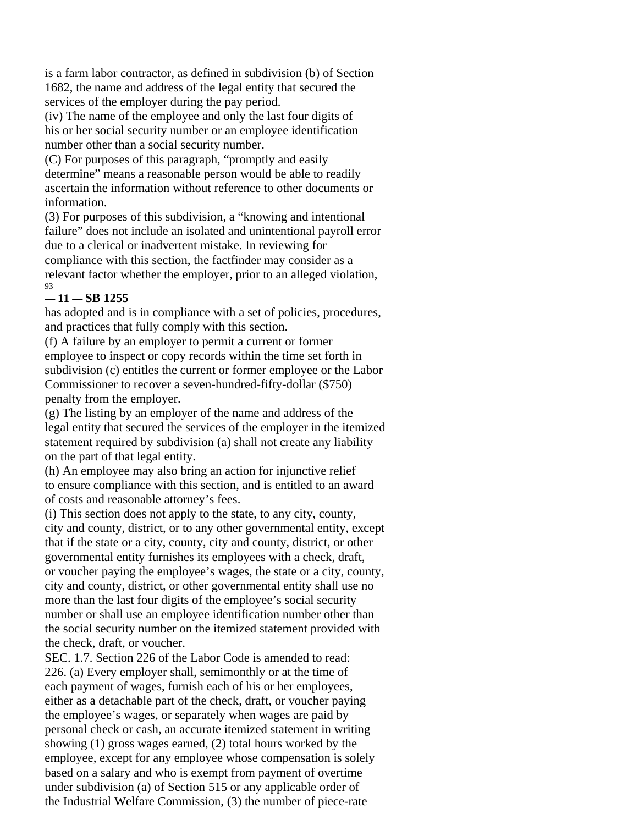is a farm labor contractor, as defined in subdivision (b) of Section 1682, the name and address of the legal entity that secured the services of the employer during the pay period.

(iv) The name of the employee and only the last four digits of his or her social security number or an employee identification number other than a social security number.

(C) For purposes of this paragraph, "promptly and easily determine" means a reasonable person would be able to readily ascertain the information without reference to other documents or information.

(3) For purposes of this subdivision, a "knowing and intentional failure" does not include an isolated and unintentional payroll error due to a clerical or inadvertent mistake. In reviewing for compliance with this section, the factfinder may consider as a relevant factor whether the employer, prior to an alleged violation, 93

# **— 11 — SB 1255**

has adopted and is in compliance with a set of policies, procedures, and practices that fully comply with this section.

(f) A failure by an employer to permit a current or former employee to inspect or copy records within the time set forth in subdivision (c) entitles the current or former employee or the Labor Commissioner to recover a seven-hundred-fifty-dollar (\$750) penalty from the employer.

(g) The listing by an employer of the name and address of the legal entity that secured the services of the employer in the itemized statement required by subdivision (a) shall not create any liability on the part of that legal entity.

(h) An employee may also bring an action for injunctive relief to ensure compliance with this section, and is entitled to an award of costs and reasonable attorney's fees.

(i) This section does not apply to the state, to any city, county, city and county, district, or to any other governmental entity, except that if the state or a city, county, city and county, district, or other governmental entity furnishes its employees with a check, draft, or voucher paying the employee's wages, the state or a city, county, city and county, district, or other governmental entity shall use no more than the last four digits of the employee's social security number or shall use an employee identification number other than the social security number on the itemized statement provided with the check, draft, or voucher.

SEC. 1.7. Section 226 of the Labor Code is amended to read: 226. (a) Every employer shall, semimonthly or at the time of each payment of wages, furnish each of his or her employees, either as a detachable part of the check, draft, or voucher paying the employee's wages, or separately when wages are paid by personal check or cash, an accurate itemized statement in writing showing (1) gross wages earned, (2) total hours worked by the employee, except for any employee whose compensation is solely based on a salary and who is exempt from payment of overtime under subdivision (a) of Section 515 or any applicable order of the Industrial Welfare Commission, (3) the number of piece-rate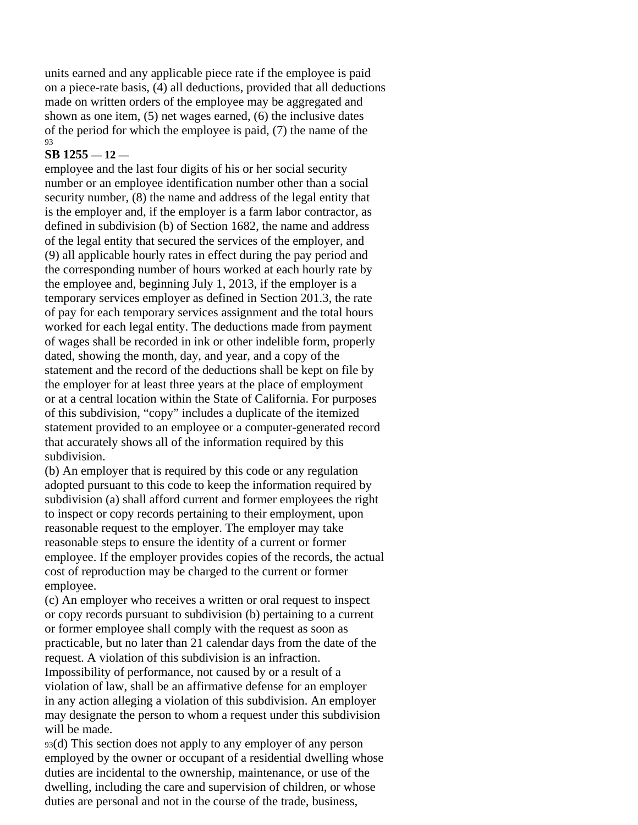units earned and any applicable piece rate if the employee is paid on a piece-rate basis, (4) all deductions, provided that all deductions made on written orders of the employee may be aggregated and shown as one item, (5) net wages earned, (6) the inclusive dates of the period for which the employee is paid, (7) the name of the 93

# **SB 1255 — 12 —**

employee and the last four digits of his or her social security number or an employee identification number other than a social security number, (8) the name and address of the legal entity that is the employer and, if the employer is a farm labor contractor, as defined in subdivision (b) of Section 1682, the name and address of the legal entity that secured the services of the employer, and (9) all applicable hourly rates in effect during the pay period and the corresponding number of hours worked at each hourly rate by the employee and, beginning July 1, 2013, if the employer is a temporary services employer as defined in Section 201.3, the rate of pay for each temporary services assignment and the total hours worked for each legal entity. The deductions made from payment of wages shall be recorded in ink or other indelible form, properly dated, showing the month, day, and year, and a copy of the statement and the record of the deductions shall be kept on file by the employer for at least three years at the place of employment or at a central location within the State of California. For purposes of this subdivision, "copy" includes a duplicate of the itemized statement provided to an employee or a computer-generated record that accurately shows all of the information required by this subdivision.

(b) An employer that is required by this code or any regulation adopted pursuant to this code to keep the information required by subdivision (a) shall afford current and former employees the right to inspect or copy records pertaining to their employment, upon reasonable request to the employer. The employer may take reasonable steps to ensure the identity of a current or former employee. If the employer provides copies of the records, the actual cost of reproduction may be charged to the current or former employee.

(c) An employer who receives a written or oral request to inspect or copy records pursuant to subdivision (b) pertaining to a current or former employee shall comply with the request as soon as practicable, but no later than 21 calendar days from the date of the request. A violation of this subdivision is an infraction. Impossibility of performance, not caused by or a result of a violation of law, shall be an affirmative defense for an employer in any action alleging a violation of this subdivision. An employer may designate the person to whom a request under this subdivision will be made.

93(d) This section does not apply to any employer of any person employed by the owner or occupant of a residential dwelling whose duties are incidental to the ownership, maintenance, or use of the dwelling, including the care and supervision of children, or whose duties are personal and not in the course of the trade, business,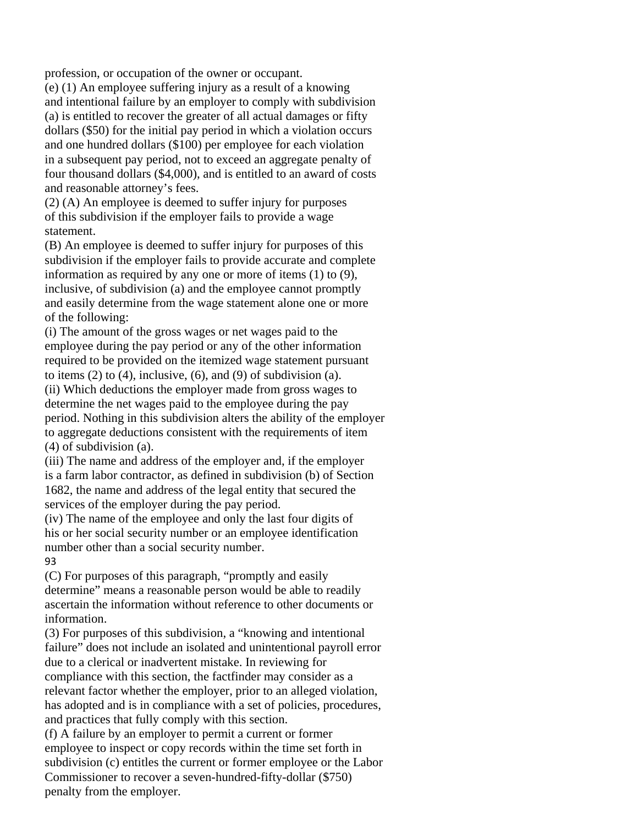profession, or occupation of the owner or occupant.

(e) (1) An employee suffering injury as a result of a knowing and intentional failure by an employer to comply with subdivision (a) is entitled to recover the greater of all actual damages or fifty dollars (\$50) for the initial pay period in which a violation occurs and one hundred dollars (\$100) per employee for each violation in a subsequent pay period, not to exceed an aggregate penalty of four thousand dollars (\$4,000), and is entitled to an award of costs and reasonable attorney's fees.

(2) (A) An employee is deemed to suffer injury for purposes of this subdivision if the employer fails to provide a wage statement.

(B) An employee is deemed to suffer injury for purposes of this subdivision if the employer fails to provide accurate and complete information as required by any one or more of items (1) to (9), inclusive, of subdivision (a) and the employee cannot promptly and easily determine from the wage statement alone one or more of the following:

(i) The amount of the gross wages or net wages paid to the employee during the pay period or any of the other information required to be provided on the itemized wage statement pursuant to items  $(2)$  to  $(4)$ , inclusive,  $(6)$ , and  $(9)$  of subdivision  $(a)$ .

(ii) Which deductions the employer made from gross wages to determine the net wages paid to the employee during the pay period. Nothing in this subdivision alters the ability of the employer to aggregate deductions consistent with the requirements of item (4) of subdivision (a).

(iii) The name and address of the employer and, if the employer is a farm labor contractor, as defined in subdivision (b) of Section 1682, the name and address of the legal entity that secured the services of the employer during the pay period.

(iv) The name of the employee and only the last four digits of his or her social security number or an employee identification number other than a social security number. 93

(C) For purposes of this paragraph, "promptly and easily determine" means a reasonable person would be able to readily ascertain the information without reference to other documents or information.

(3) For purposes of this subdivision, a "knowing and intentional failure" does not include an isolated and unintentional payroll error due to a clerical or inadvertent mistake. In reviewing for compliance with this section, the factfinder may consider as a relevant factor whether the employer, prior to an alleged violation, has adopted and is in compliance with a set of policies, procedures, and practices that fully comply with this section.

(f) A failure by an employer to permit a current or former employee to inspect or copy records within the time set forth in subdivision (c) entitles the current or former employee or the Labor Commissioner to recover a seven-hundred-fifty-dollar (\$750) penalty from the employer.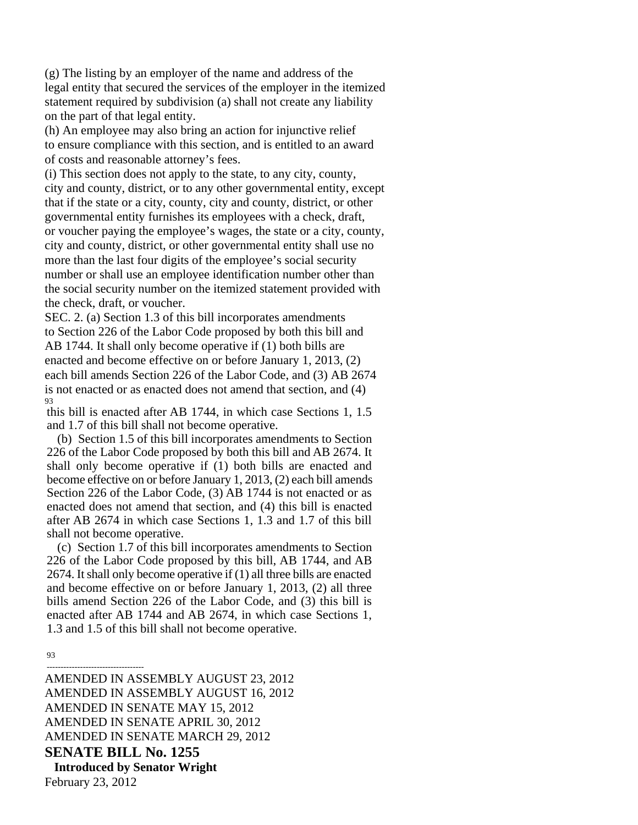(g) The listing by an employer of the name and address of the legal entity that secured the services of the employer in the itemized statement required by subdivision (a) shall not create any liability on the part of that legal entity.

(h) An employee may also bring an action for injunctive relief to ensure compliance with this section, and is entitled to an award of costs and reasonable attorney's fees.

(i) This section does not apply to the state, to any city, county, city and county, district, or to any other governmental entity, except that if the state or a city, county, city and county, district, or other governmental entity furnishes its employees with a check, draft, or voucher paying the employee's wages, the state or a city, county, city and county, district, or other governmental entity shall use no more than the last four digits of the employee's social security number or shall use an employee identification number other than the social security number on the itemized statement provided with the check, draft, or voucher.

SEC. 2. (a) Section 1.3 of this bill incorporates amendments to Section 226 of the Labor Code proposed by both this bill and AB 1744. It shall only become operative if (1) both bills are enacted and become effective on or before January 1, 2013, (2) each bill amends Section 226 of the Labor Code, and (3) AB 2674 is not enacted or as enacted does not amend that section, and (4) 93

this bill is enacted after AB 1744, in which case Sections 1, 1.5 and 1.7 of this bill shall not become operative.

(b) Section 1.5 of this bill incorporates amendments to Section 226 of the Labor Code proposed by both this bill and AB 2674. It shall only become operative if (1) both bills are enacted and become effective on or before January 1, 2013, (2) each bill amends Section 226 of the Labor Code, (3) AB 1744 is not enacted or as enacted does not amend that section, and (4) this bill is enacted after AB 2674 in which case Sections 1, 1.3 and 1.7 of this bill shall not become operative.

(c) Section 1.7 of this bill incorporates amendments to Section 226 of the Labor Code proposed by this bill, AB 1744, and AB 2674. It shall only become operative if (1) all three bills are enacted and become effective on or before January 1, 2013, (2) all three bills amend Section 226 of the Labor Code, and (3) this bill is enacted after AB 1744 and AB 2674, in which case Sections 1, 1.3 and 1.5 of this bill shall not become operative.

93

----------------------------------- AMENDED IN ASSEMBLY AUGUST 23, 2012 AMENDED IN ASSEMBLY AUGUST 16, 2012 AMENDED IN SENATE MAY 15, 2012 AMENDED IN SENATE APRIL 30, 2012 AMENDED IN SENATE MARCH 29, 2012 **SENATE BILL No. 1255**  1 **Introduced by Senator Wright**  February 23, 2012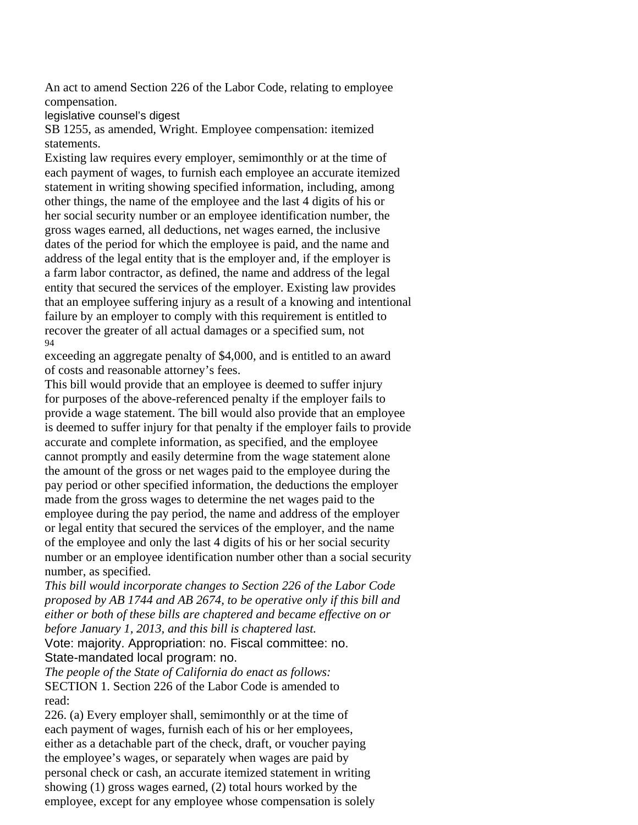An act to amend Section 226 of the Labor Code, relating to employee compensation.

legislative counsel's digest

SB 1255, as amended, Wright. Employee compensation: itemized statements.

Existing law requires every employer, semimonthly or at the time of each payment of wages, to furnish each employee an accurate itemized statement in writing showing specified information, including, among other things, the name of the employee and the last 4 digits of his or her social security number or an employee identification number, the gross wages earned, all deductions, net wages earned, the inclusive dates of the period for which the employee is paid, and the name and address of the legal entity that is the employer and, if the employer is a farm labor contractor, as defined, the name and address of the legal entity that secured the services of the employer. Existing law provides that an employee suffering injury as a result of a knowing and intentional failure by an employer to comply with this requirement is entitled to recover the greater of all actual damages or a specified sum, not 94

exceeding an aggregate penalty of \$4,000, and is entitled to an award of costs and reasonable attorney's fees.

This bill would provide that an employee is deemed to suffer injury for purposes of the above-referenced penalty if the employer fails to provide a wage statement. The bill would also provide that an employee is deemed to suffer injury for that penalty if the employer fails to provide accurate and complete information, as specified, and the employee cannot promptly and easily determine from the wage statement alone the amount of the gross or net wages paid to the employee during the pay period or other specified information, the deductions the employer made from the gross wages to determine the net wages paid to the employee during the pay period, the name and address of the employer or legal entity that secured the services of the employer, and the name of the employee and only the last 4 digits of his or her social security number or an employee identification number other than a social security number, as specified.

*This bill would incorporate changes to Section 226 of the Labor Code proposed by AB 1744 and AB 2674, to be operative only if this bill and either or both of these bills are chaptered and became effective on or before January 1, 2013, and this bill is chaptered last.* 

Vote: majority. Appropriation: no. Fiscal committee: no. State-mandated local program: no.

*The people of the State of California do enact as follows:*  SECTION 1. Section 226 of the Labor Code is amended to read:

226. (a) Every employer shall, semimonthly or at the time of each payment of wages, furnish each of his or her employees, either as a detachable part of the check, draft, or voucher paying the employee's wages, or separately when wages are paid by personal check or cash, an accurate itemized statement in writing showing (1) gross wages earned, (2) total hours worked by the employee, except for any employee whose compensation is solely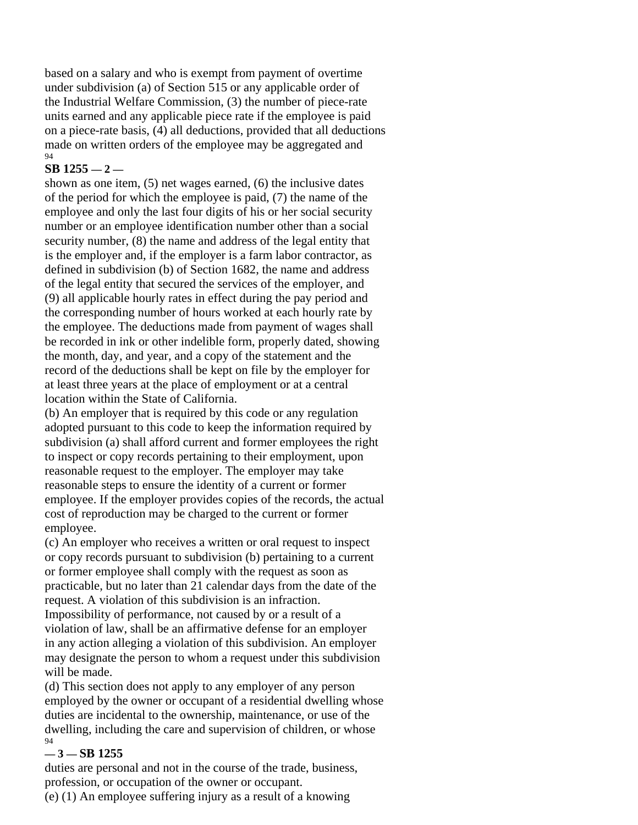based on a salary and who is exempt from payment of overtime under subdivision (a) of Section 515 or any applicable order of the Industrial Welfare Commission, (3) the number of piece-rate units earned and any applicable piece rate if the employee is paid on a piece-rate basis, (4) all deductions, provided that all deductions made on written orders of the employee may be aggregated and 94

# **SB 1255 — 2 —**

shown as one item, (5) net wages earned, (6) the inclusive dates of the period for which the employee is paid, (7) the name of the employee and only the last four digits of his or her social security number or an employee identification number other than a social security number, (8) the name and address of the legal entity that is the employer and, if the employer is a farm labor contractor, as defined in subdivision (b) of Section 1682, the name and address of the legal entity that secured the services of the employer, and (9) all applicable hourly rates in effect during the pay period and the corresponding number of hours worked at each hourly rate by the employee. The deductions made from payment of wages shall be recorded in ink or other indelible form, properly dated, showing the month, day, and year, and a copy of the statement and the record of the deductions shall be kept on file by the employer for at least three years at the place of employment or at a central location within the State of California.

(b) An employer that is required by this code or any regulation adopted pursuant to this code to keep the information required by subdivision (a) shall afford current and former employees the right to inspect or copy records pertaining to their employment, upon reasonable request to the employer. The employer may take reasonable steps to ensure the identity of a current or former employee. If the employer provides copies of the records, the actual cost of reproduction may be charged to the current or former employee.

(c) An employer who receives a written or oral request to inspect or copy records pursuant to subdivision (b) pertaining to a current or former employee shall comply with the request as soon as practicable, but no later than 21 calendar days from the date of the request. A violation of this subdivision is an infraction. Impossibility of performance, not caused by or a result of a violation of law, shall be an affirmative defense for an employer in any action alleging a violation of this subdivision. An employer may designate the person to whom a request under this subdivision will be made.

(d) This section does not apply to any employer of any person employed by the owner or occupant of a residential dwelling whose duties are incidental to the ownership, maintenance, or use of the dwelling, including the care and supervision of children, or whose 94

# **— 3 — SB 1255**

duties are personal and not in the course of the trade, business, profession, or occupation of the owner or occupant.

(e) (1) An employee suffering injury as a result of a knowing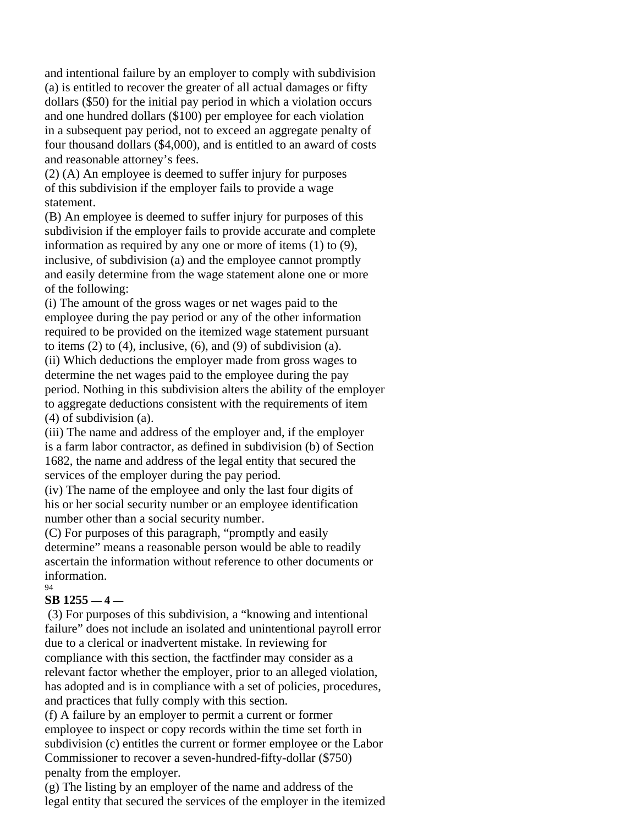and intentional failure by an employer to comply with subdivision (a) is entitled to recover the greater of all actual damages or fifty dollars (\$50) for the initial pay period in which a violation occurs and one hundred dollars (\$100) per employee for each violation in a subsequent pay period, not to exceed an aggregate penalty of four thousand dollars (\$4,000), and is entitled to an award of costs and reasonable attorney's fees.

(2) (A) An employee is deemed to suffer injury for purposes of this subdivision if the employer fails to provide a wage statement.

(B) An employee is deemed to suffer injury for purposes of this subdivision if the employer fails to provide accurate and complete information as required by any one or more of items (1) to (9), inclusive, of subdivision (a) and the employee cannot promptly and easily determine from the wage statement alone one or more of the following:

(i) The amount of the gross wages or net wages paid to the employee during the pay period or any of the other information required to be provided on the itemized wage statement pursuant to items  $(2)$  to  $(4)$ , inclusive,  $(6)$ , and  $(9)$  of subdivision  $(a)$ .

(ii) Which deductions the employer made from gross wages to determine the net wages paid to the employee during the pay period. Nothing in this subdivision alters the ability of the employer to aggregate deductions consistent with the requirements of item (4) of subdivision (a).

(iii) The name and address of the employer and, if the employer is a farm labor contractor, as defined in subdivision (b) of Section 1682, the name and address of the legal entity that secured the services of the employer during the pay period.

(iv) The name of the employee and only the last four digits of his or her social security number or an employee identification number other than a social security number.

(C) For purposes of this paragraph, "promptly and easily determine" means a reasonable person would be able to readily ascertain the information without reference to other documents or information. 94

# **SB 1255 — 4 —**

 (3) For purposes of this subdivision, a "knowing and intentional failure" does not include an isolated and unintentional payroll error due to a clerical or inadvertent mistake. In reviewing for compliance with this section, the factfinder may consider as a relevant factor whether the employer, prior to an alleged violation, has adopted and is in compliance with a set of policies, procedures, and practices that fully comply with this section.

(f) A failure by an employer to permit a current or former employee to inspect or copy records within the time set forth in subdivision (c) entitles the current or former employee or the Labor Commissioner to recover a seven-hundred-fifty-dollar (\$750) penalty from the employer.

(g) The listing by an employer of the name and address of the legal entity that secured the services of the employer in the itemized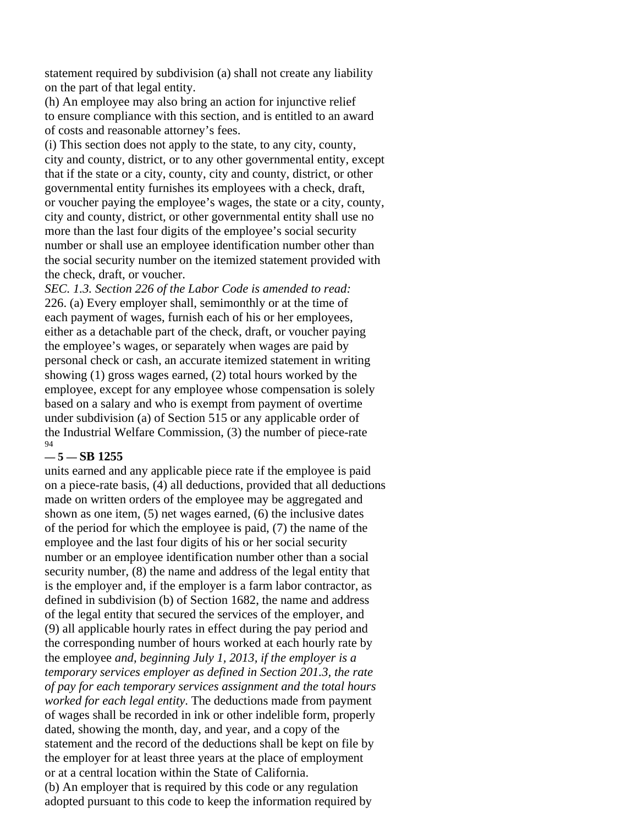statement required by subdivision (a) shall not create any liability on the part of that legal entity.

(h) An employee may also bring an action for injunctive relief to ensure compliance with this section, and is entitled to an award of costs and reasonable attorney's fees.

(i) This section does not apply to the state, to any city, county, city and county, district, or to any other governmental entity, except that if the state or a city, county, city and county, district, or other governmental entity furnishes its employees with a check, draft, or voucher paying the employee's wages, the state or a city, county, city and county, district, or other governmental entity shall use no more than the last four digits of the employee's social security number or shall use an employee identification number other than the social security number on the itemized statement provided with the check, draft, or voucher.

*SEC. 1.3. Section 226 of the Labor Code is amended to read:*  226. (a) Every employer shall, semimonthly or at the time of each payment of wages, furnish each of his or her employees, either as a detachable part of the check, draft, or voucher paying the employee's wages, or separately when wages are paid by personal check or cash, an accurate itemized statement in writing showing (1) gross wages earned, (2) total hours worked by the employee, except for any employee whose compensation is solely based on a salary and who is exempt from payment of overtime under subdivision (a) of Section 515 or any applicable order of the Industrial Welfare Commission, (3) the number of piece-rate 94

# **— 5 — SB 1255**

units earned and any applicable piece rate if the employee is paid on a piece-rate basis, (4) all deductions, provided that all deductions made on written orders of the employee may be aggregated and shown as one item, (5) net wages earned, (6) the inclusive dates of the period for which the employee is paid, (7) the name of the employee and the last four digits of his or her social security number or an employee identification number other than a social security number, (8) the name and address of the legal entity that is the employer and, if the employer is a farm labor contractor, as defined in subdivision (b) of Section 1682, the name and address of the legal entity that secured the services of the employer, and (9) all applicable hourly rates in effect during the pay period and the corresponding number of hours worked at each hourly rate by the employee *and, beginning July 1, 2013, if the employer is a temporary services employer as defined in Section 201.3, the rate of pay for each temporary services assignment and the total hours worked for each legal entity*. The deductions made from payment of wages shall be recorded in ink or other indelible form, properly dated, showing the month, day, and year, and a copy of the statement and the record of the deductions shall be kept on file by the employer for at least three years at the place of employment or at a central location within the State of California. (b) An employer that is required by this code or any regulation adopted pursuant to this code to keep the information required by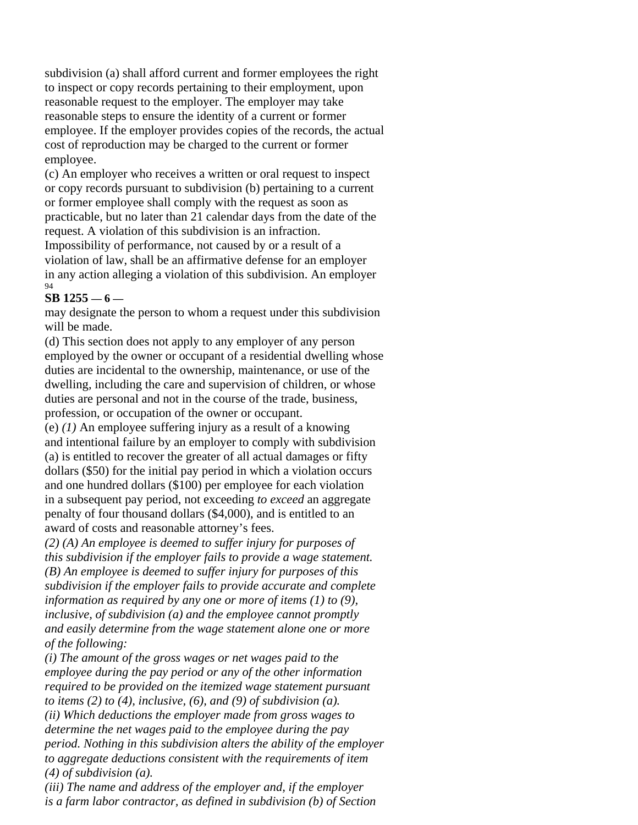subdivision (a) shall afford current and former employees the right to inspect or copy records pertaining to their employment, upon reasonable request to the employer. The employer may take reasonable steps to ensure the identity of a current or former employee. If the employer provides copies of the records, the actual cost of reproduction may be charged to the current or former employee.

(c) An employer who receives a written or oral request to inspect or copy records pursuant to subdivision (b) pertaining to a current or former employee shall comply with the request as soon as practicable, but no later than 21 calendar days from the date of the request. A violation of this subdivision is an infraction.

Impossibility of performance, not caused by or a result of a violation of law, shall be an affirmative defense for an employer in any action alleging a violation of this subdivision. An employer 94

# **SB 1255 — 6 —**

may designate the person to whom a request under this subdivision will be made.

(d) This section does not apply to any employer of any person employed by the owner or occupant of a residential dwelling whose duties are incidental to the ownership, maintenance, or use of the dwelling, including the care and supervision of children, or whose duties are personal and not in the course of the trade, business, profession, or occupation of the owner or occupant.

(e) *(1)* An employee suffering injury as a result of a knowing and intentional failure by an employer to comply with subdivision (a) is entitled to recover the greater of all actual damages or fifty dollars (\$50) for the initial pay period in which a violation occurs and one hundred dollars (\$100) per employee for each violation in a subsequent pay period, not exceeding *to exceed* an aggregate penalty of four thousand dollars (\$4,000), and is entitled to an award of costs and reasonable attorney's fees.

*(2) (A) An employee is deemed to suffer injury for purposes of this subdivision if the employer fails to provide a wage statement. (B) An employee is deemed to suffer injury for purposes of this subdivision if the employer fails to provide accurate and complete information as required by any one or more of items (1) to (9), inclusive, of subdivision (a) and the employee cannot promptly and easily determine from the wage statement alone one or more of the following:* 

*(i) The amount of the gross wages or net wages paid to the employee during the pay period or any of the other information required to be provided on the itemized wage statement pursuant to items (2) to (4), inclusive, (6), and (9) of subdivision (a). (ii) Which deductions the employer made from gross wages to determine the net wages paid to the employee during the pay period. Nothing in this subdivision alters the ability of the employer to aggregate deductions consistent with the requirements of item (4) of subdivision (a).* 

*(iii) The name and address of the employer and, if the employer is a farm labor contractor, as defined in subdivision (b) of Section*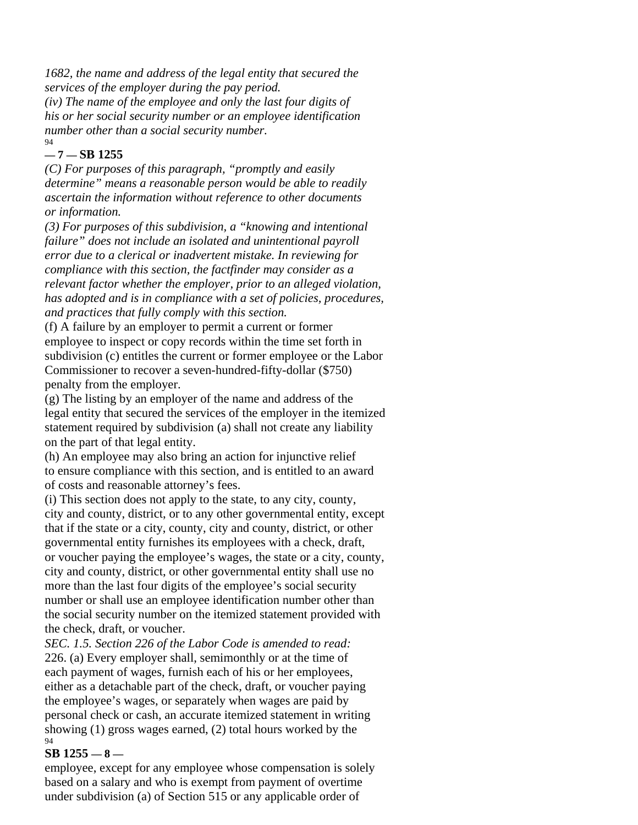*1682, the name and address of the legal entity that secured the services of the employer during the pay period. (iv) The name of the employee and only the last four digits of his or her social security number or an employee identification number other than a social security number.*  94

# **— 7 — SB 1255**

*(C) For purposes of this paragraph, "promptly and easily determine" means a reasonable person would be able to readily ascertain the information without reference to other documents or information.* 

*(3) For purposes of this subdivision, a "knowing and intentional failure" does not include an isolated and unintentional payroll error due to a clerical or inadvertent mistake. In reviewing for compliance with this section, the factfinder may consider as a relevant factor whether the employer, prior to an alleged violation, has adopted and is in compliance with a set of policies, procedures, and practices that fully comply with this section.* 

(f) A failure by an employer to permit a current or former employee to inspect or copy records within the time set forth in subdivision (c) entitles the current or former employee or the Labor Commissioner to recover a seven-hundred-fifty-dollar (\$750) penalty from the employer.

(g) The listing by an employer of the name and address of the legal entity that secured the services of the employer in the itemized statement required by subdivision (a) shall not create any liability on the part of that legal entity.

(h) An employee may also bring an action for injunctive relief to ensure compliance with this section, and is entitled to an award of costs and reasonable attorney's fees.

(i) This section does not apply to the state, to any city, county, city and county, district, or to any other governmental entity, except that if the state or a city, county, city and county, district, or other governmental entity furnishes its employees with a check, draft, or voucher paying the employee's wages, the state or a city, county, city and county, district, or other governmental entity shall use no more than the last four digits of the employee's social security number or shall use an employee identification number other than the social security number on the itemized statement provided with the check, draft, or voucher.

*SEC. 1.5. Section 226 of the Labor Code is amended to read:*  226. (a) Every employer shall, semimonthly or at the time of each payment of wages, furnish each of his or her employees, either as a detachable part of the check, draft, or voucher paying the employee's wages, or separately when wages are paid by personal check or cash, an accurate itemized statement in writing showing (1) gross wages earned, (2) total hours worked by the 94

# **SB 1255 — 8 —**

employee, except for any employee whose compensation is solely based on a salary and who is exempt from payment of overtime under subdivision (a) of Section 515 or any applicable order of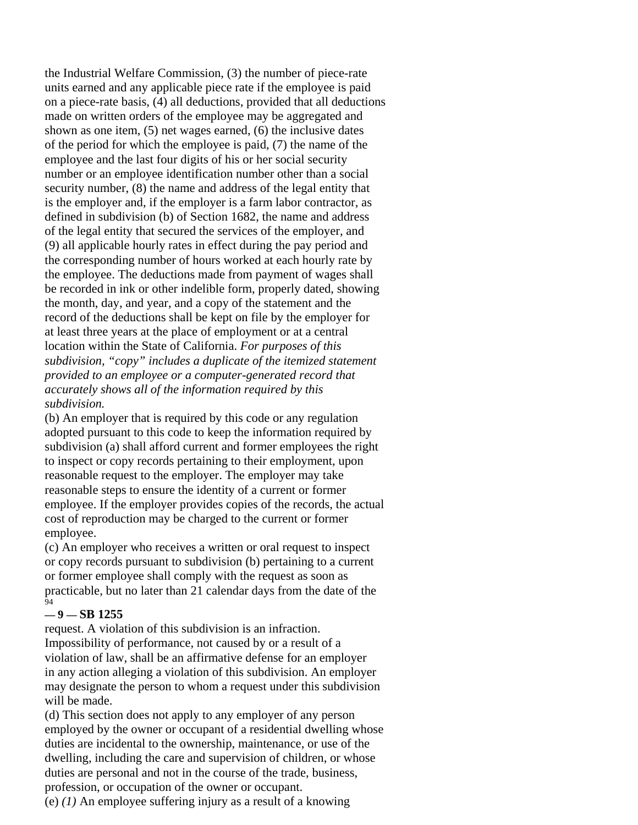the Industrial Welfare Commission, (3) the number of piece-rate units earned and any applicable piece rate if the employee is paid on a piece-rate basis, (4) all deductions, provided that all deductions made on written orders of the employee may be aggregated and shown as one item, (5) net wages earned, (6) the inclusive dates of the period for which the employee is paid, (7) the name of the employee and the last four digits of his or her social security number or an employee identification number other than a social security number, (8) the name and address of the legal entity that is the employer and, if the employer is a farm labor contractor, as defined in subdivision (b) of Section 1682, the name and address of the legal entity that secured the services of the employer, and (9) all applicable hourly rates in effect during the pay period and the corresponding number of hours worked at each hourly rate by the employee. The deductions made from payment of wages shall be recorded in ink or other indelible form, properly dated, showing the month, day, and year, and a copy of the statement and the record of the deductions shall be kept on file by the employer for at least three years at the place of employment or at a central location within the State of California. *For purposes of this subdivision, "copy" includes a duplicate of the itemized statement provided to an employee or a computer-generated record that accurately shows all of the information required by this subdivision.* 

(b) An employer that is required by this code or any regulation adopted pursuant to this code to keep the information required by subdivision (a) shall afford current and former employees the right to inspect or copy records pertaining to their employment, upon reasonable request to the employer. The employer may take reasonable steps to ensure the identity of a current or former employee. If the employer provides copies of the records, the actual cost of reproduction may be charged to the current or former employee.

(c) An employer who receives a written or oral request to inspect or copy records pursuant to subdivision (b) pertaining to a current or former employee shall comply with the request as soon as practicable, but no later than 21 calendar days from the date of the  $\overline{94}$ 

# **— 9 — SB 1255**

request. A violation of this subdivision is an infraction. Impossibility of performance, not caused by or a result of a violation of law, shall be an affirmative defense for an employer in any action alleging a violation of this subdivision. An employer may designate the person to whom a request under this subdivision will be made.

(d) This section does not apply to any employer of any person employed by the owner or occupant of a residential dwelling whose duties are incidental to the ownership, maintenance, or use of the dwelling, including the care and supervision of children, or whose duties are personal and not in the course of the trade, business, profession, or occupation of the owner or occupant.

(e) *(1)* An employee suffering injury as a result of a knowing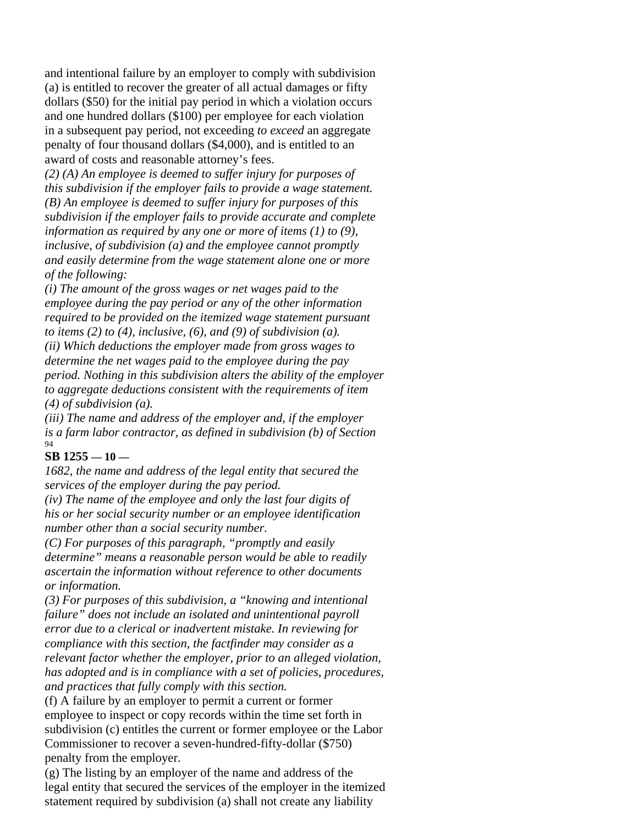and intentional failure by an employer to comply with subdivision (a) is entitled to recover the greater of all actual damages or fifty dollars (\$50) for the initial pay period in which a violation occurs and one hundred dollars (\$100) per employee for each violation in a subsequent pay period, not exceeding *to exceed* an aggregate penalty of four thousand dollars (\$4,000), and is entitled to an award of costs and reasonable attorney's fees.

*(2) (A) An employee is deemed to suffer injury for purposes of this subdivision if the employer fails to provide a wage statement. (B) An employee is deemed to suffer injury for purposes of this subdivision if the employer fails to provide accurate and complete information as required by any one or more of items (1) to (9), inclusive, of subdivision (a) and the employee cannot promptly and easily determine from the wage statement alone one or more of the following:* 

*(i) The amount of the gross wages or net wages paid to the employee during the pay period or any of the other information required to be provided on the itemized wage statement pursuant to items (2) to (4), inclusive, (6), and (9) of subdivision (a). (ii) Which deductions the employer made from gross wages to determine the net wages paid to the employee during the pay period. Nothing in this subdivision alters the ability of the employer to aggregate deductions consistent with the requirements of item (4) of subdivision (a).* 

*(iii) The name and address of the employer and, if the employer is a farm labor contractor, as defined in subdivision (b) of Section*  94

# **SB 1255 — 10 —**

*1682, the name and address of the legal entity that secured the services of the employer during the pay period.* 

*(iv) The name of the employee and only the last four digits of his or her social security number or an employee identification number other than a social security number.* 

*(C) For purposes of this paragraph, "promptly and easily determine" means a reasonable person would be able to readily ascertain the information without reference to other documents or information.* 

*(3) For purposes of this subdivision, a "knowing and intentional failure" does not include an isolated and unintentional payroll error due to a clerical or inadvertent mistake. In reviewing for compliance with this section, the factfinder may consider as a relevant factor whether the employer, prior to an alleged violation, has adopted and is in compliance with a set of policies, procedures, and practices that fully comply with this section.* 

(f) A failure by an employer to permit a current or former employee to inspect or copy records within the time set forth in subdivision (c) entitles the current or former employee or the Labor Commissioner to recover a seven-hundred-fifty-dollar (\$750) penalty from the employer.

(g) The listing by an employer of the name and address of the legal entity that secured the services of the employer in the itemized statement required by subdivision (a) shall not create any liability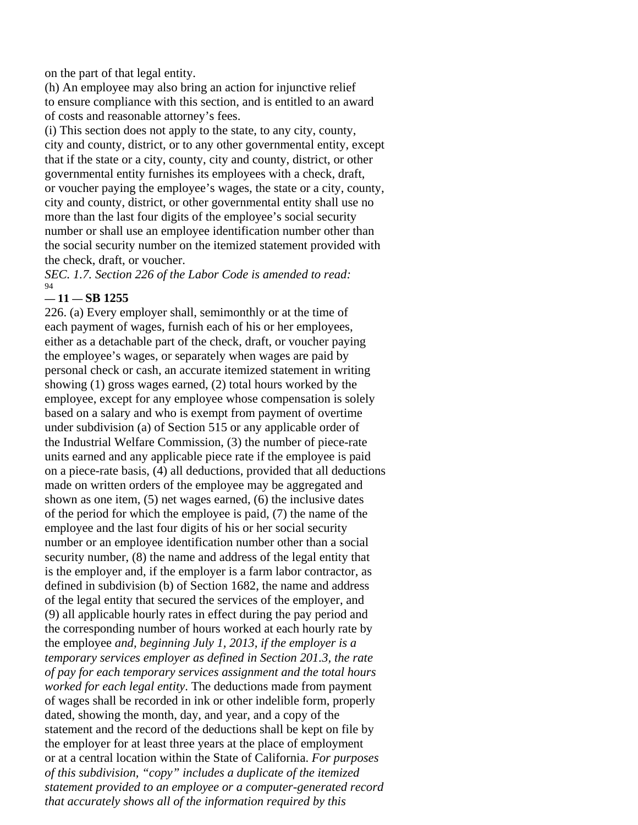on the part of that legal entity.

(h) An employee may also bring an action for injunctive relief to ensure compliance with this section, and is entitled to an award of costs and reasonable attorney's fees.

(i) This section does not apply to the state, to any city, county, city and county, district, or to any other governmental entity, except that if the state or a city, county, city and county, district, or other governmental entity furnishes its employees with a check, draft, or voucher paying the employee's wages, the state or a city, county, city and county, district, or other governmental entity shall use no more than the last four digits of the employee's social security number or shall use an employee identification number other than the social security number on the itemized statement provided with the check, draft, or voucher.

*SEC. 1.7. Section 226 of the Labor Code is amended to read:*  94

# **— 11 — SB 1255**

226. (a) Every employer shall, semimonthly or at the time of each payment of wages, furnish each of his or her employees, either as a detachable part of the check, draft, or voucher paying the employee's wages, or separately when wages are paid by personal check or cash, an accurate itemized statement in writing showing (1) gross wages earned, (2) total hours worked by the employee, except for any employee whose compensation is solely based on a salary and who is exempt from payment of overtime under subdivision (a) of Section 515 or any applicable order of the Industrial Welfare Commission, (3) the number of piece-rate units earned and any applicable piece rate if the employee is paid on a piece-rate basis, (4) all deductions, provided that all deductions made on written orders of the employee may be aggregated and shown as one item, (5) net wages earned, (6) the inclusive dates of the period for which the employee is paid, (7) the name of the employee and the last four digits of his or her social security number or an employee identification number other than a social security number, (8) the name and address of the legal entity that is the employer and, if the employer is a farm labor contractor, as defined in subdivision (b) of Section 1682, the name and address of the legal entity that secured the services of the employer, and (9) all applicable hourly rates in effect during the pay period and the corresponding number of hours worked at each hourly rate by the employee *and, beginning July 1, 2013, if the employer is a temporary services employer as defined in Section 201.3, the rate of pay for each temporary services assignment and the total hours worked for each legal entity*. The deductions made from payment of wages shall be recorded in ink or other indelible form, properly dated, showing the month, day, and year, and a copy of the statement and the record of the deductions shall be kept on file by the employer for at least three years at the place of employment or at a central location within the State of California. *For purposes of this subdivision, "copy" includes a duplicate of the itemized statement provided to an employee or a computer-generated record that accurately shows all of the information required by this*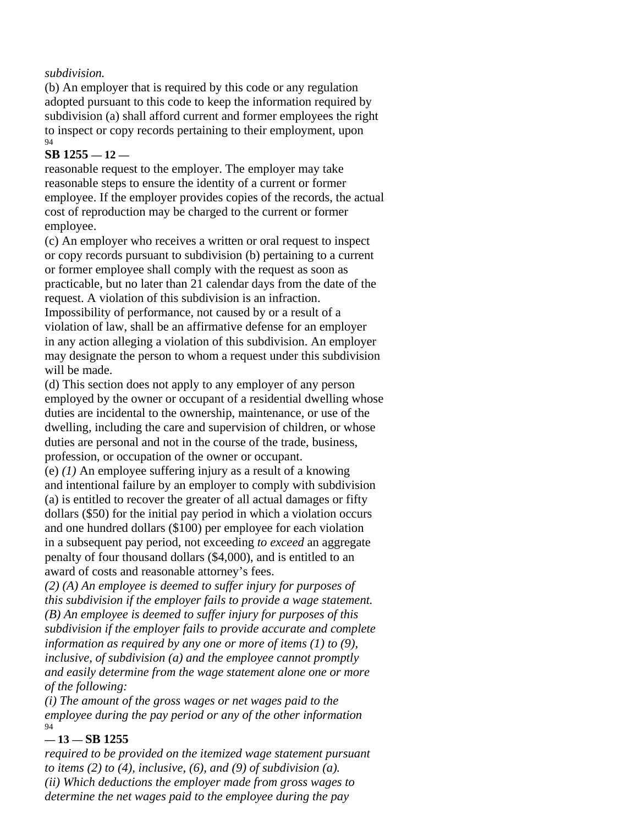# *subdivision.*

(b) An employer that is required by this code or any regulation adopted pursuant to this code to keep the information required by subdivision (a) shall afford current and former employees the right to inspect or copy records pertaining to their employment, upon 94

# **SB 1255 — 12 —**

reasonable request to the employer. The employer may take reasonable steps to ensure the identity of a current or former employee. If the employer provides copies of the records, the actual cost of reproduction may be charged to the current or former employee.

(c) An employer who receives a written or oral request to inspect or copy records pursuant to subdivision (b) pertaining to a current or former employee shall comply with the request as soon as practicable, but no later than 21 calendar days from the date of the request. A violation of this subdivision is an infraction. Impossibility of performance, not caused by or a result of a violation of law, shall be an affirmative defense for an employer in any action alleging a violation of this subdivision. An employer may designate the person to whom a request under this subdivision will be made.

(d) This section does not apply to any employer of any person employed by the owner or occupant of a residential dwelling whose duties are incidental to the ownership, maintenance, or use of the dwelling, including the care and supervision of children, or whose duties are personal and not in the course of the trade, business, profession, or occupation of the owner or occupant.

(e) *(1)* An employee suffering injury as a result of a knowing and intentional failure by an employer to comply with subdivision (a) is entitled to recover the greater of all actual damages or fifty dollars (\$50) for the initial pay period in which a violation occurs and one hundred dollars (\$100) per employee for each violation in a subsequent pay period, not exceeding *to exceed* an aggregate penalty of four thousand dollars (\$4,000), and is entitled to an award of costs and reasonable attorney's fees.

*(2) (A) An employee is deemed to suffer injury for purposes of this subdivision if the employer fails to provide a wage statement. (B) An employee is deemed to suffer injury for purposes of this subdivision if the employer fails to provide accurate and complete information as required by any one or more of items (1) to (9), inclusive, of subdivision (a) and the employee cannot promptly and easily determine from the wage statement alone one or more of the following:* 

*(i) The amount of the gross wages or net wages paid to the employee during the pay period or any of the other information*  94

# **— 13 — SB 1255**

*required to be provided on the itemized wage statement pursuant to items (2) to (4), inclusive, (6), and (9) of subdivision (a). (ii) Which deductions the employer made from gross wages to determine the net wages paid to the employee during the pay*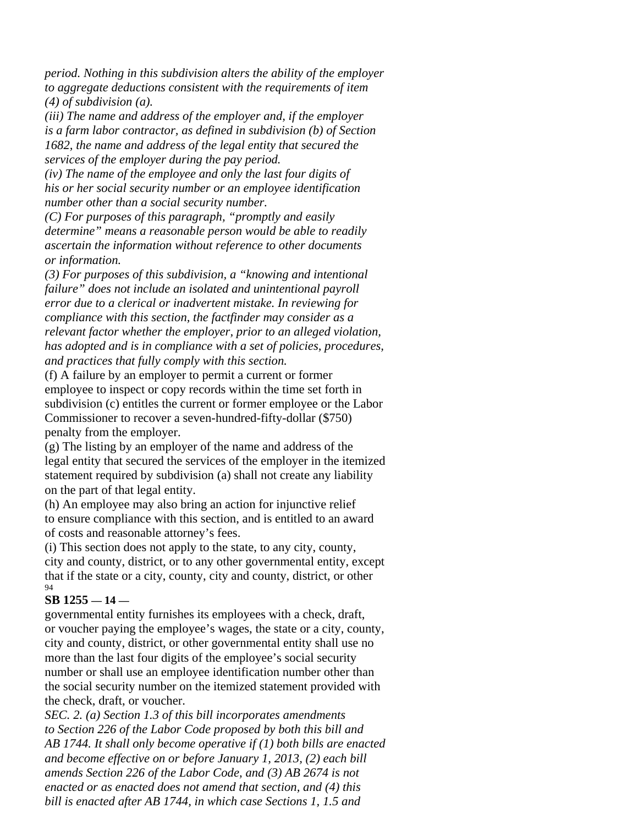*period. Nothing in this subdivision alters the ability of the employer to aggregate deductions consistent with the requirements of item (4) of subdivision (a).* 

*(iii) The name and address of the employer and, if the employer is a farm labor contractor, as defined in subdivision (b) of Section 1682, the name and address of the legal entity that secured the services of the employer during the pay period.* 

*(iv) The name of the employee and only the last four digits of his or her social security number or an employee identification number other than a social security number.* 

*(C) For purposes of this paragraph, "promptly and easily determine" means a reasonable person would be able to readily ascertain the information without reference to other documents or information.* 

*(3) For purposes of this subdivision, a "knowing and intentional failure" does not include an isolated and unintentional payroll error due to a clerical or inadvertent mistake. In reviewing for compliance with this section, the factfinder may consider as a relevant factor whether the employer, prior to an alleged violation, has adopted and is in compliance with a set of policies, procedures, and practices that fully comply with this section.* 

(f) A failure by an employer to permit a current or former employee to inspect or copy records within the time set forth in subdivision (c) entitles the current or former employee or the Labor Commissioner to recover a seven-hundred-fifty-dollar (\$750) penalty from the employer.

(g) The listing by an employer of the name and address of the legal entity that secured the services of the employer in the itemized statement required by subdivision (a) shall not create any liability on the part of that legal entity.

(h) An employee may also bring an action for injunctive relief to ensure compliance with this section, and is entitled to an award of costs and reasonable attorney's fees.

(i) This section does not apply to the state, to any city, county, city and county, district, or to any other governmental entity, except that if the state or a city, county, city and county, district, or other 94

# **SB 1255 — 14 —**

governmental entity furnishes its employees with a check, draft, or voucher paying the employee's wages, the state or a city, county, city and county, district, or other governmental entity shall use no more than the last four digits of the employee's social security number or shall use an employee identification number other than the social security number on the itemized statement provided with the check, draft, or voucher.

*SEC. 2. (a) Section 1.3 of this bill incorporates amendments to Section 226 of the Labor Code proposed by both this bill and AB 1744. It shall only become operative if (1) both bills are enacted and become effective on or before January 1, 2013, (2) each bill amends Section 226 of the Labor Code, and (3) AB 2674 is not enacted or as enacted does not amend that section, and (4) this bill is enacted after AB 1744, in which case Sections 1, 1.5 and*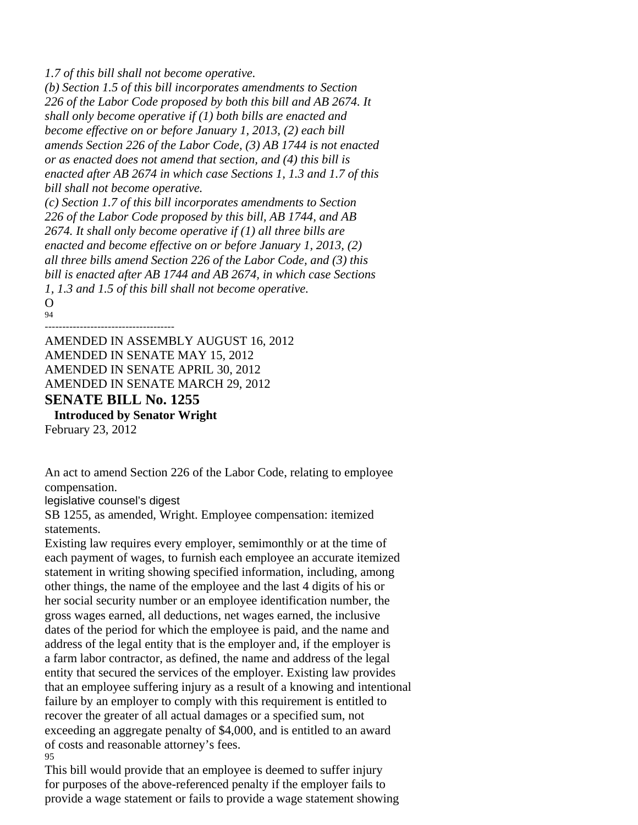*1.7 of this bill shall not become operative.* 

*(b) Section 1.5 of this bill incorporates amendments to Section 226 of the Labor Code proposed by both this bill and AB 2674. It shall only become operative if (1) both bills are enacted and become effective on or before January 1, 2013, (2) each bill amends Section 226 of the Labor Code, (3) AB 1744 is not enacted or as enacted does not amend that section, and (4) this bill is enacted after AB 2674 in which case Sections 1, 1.3 and 1.7 of this bill shall not become operative. (c) Section 1.7 of this bill incorporates amendments to Section 226 of the Labor Code proposed by this bill, AB 1744, and AB 2674. It shall only become operative if (1) all three bills are enacted and become effective on or before January 1, 2013, (2) all three bills amend Section 226 of the Labor Code, and (3) this bill is enacted after AB 1744 and AB 2674, in which case Sections 1, 1.3 and 1.5 of this bill shall not become operative.*   $\Omega$ 

94

‐‐‐‐‐‐‐‐‐‐‐‐‐‐‐‐‐‐‐‐‐‐‐‐‐‐‐‐‐‐‐‐‐‐‐‐‐ AMENDED IN ASSEMBLY AUGUST 16, 2012 AMENDED IN SENATE MAY 15, 2012 AMENDED IN SENATE APRIL 30, 2012 AMENDED IN SENATE MARCH 29, 2012 **SENATE BILL No. 1255**  1 **Introduced by Senator Wright** 

February 23, 2012

An act to amend Section 226 of the Labor Code, relating to employee compensation.

legislative counsel's digest

SB 1255, as amended, Wright. Employee compensation: itemized statements.

Existing law requires every employer, semimonthly or at the time of each payment of wages, to furnish each employee an accurate itemized statement in writing showing specified information, including, among other things, the name of the employee and the last 4 digits of his or her social security number or an employee identification number, the gross wages earned, all deductions, net wages earned, the inclusive dates of the period for which the employee is paid, and the name and address of the legal entity that is the employer and, if the employer is a farm labor contractor, as defined, the name and address of the legal entity that secured the services of the employer. Existing law provides that an employee suffering injury as a result of a knowing and intentional failure by an employer to comply with this requirement is entitled to recover the greater of all actual damages or a specified sum, not exceeding an aggregate penalty of \$4,000, and is entitled to an award of costs and reasonable attorney's fees. 95

This bill would provide that an employee is deemed to suffer injury for purposes of the above-referenced penalty if the employer fails to provide a wage statement or fails to provide a wage statement showing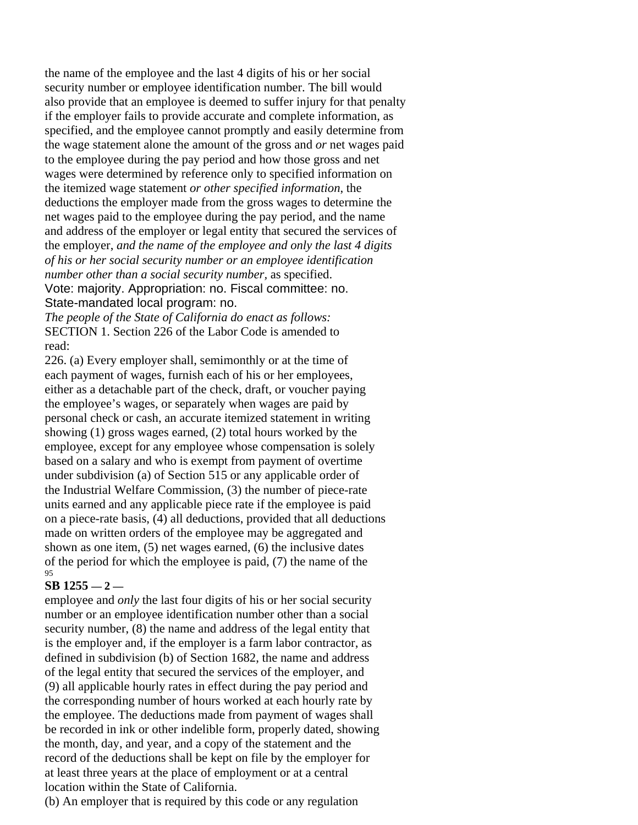the name of the employee and the last 4 digits of his or her social security number or employee identification number. The bill would also provide that an employee is deemed to suffer injury for that penalty if the employer fails to provide accurate and complete information, as specified, and the employee cannot promptly and easily determine from the wage statement alone the amount of the gross and *or* net wages paid to the employee during the pay period and how those gross and net wages were determined by reference only to specified information on the itemized wage statement *or other specified information*, the deductions the employer made from the gross wages to determine the net wages paid to the employee during the pay period, and the name and address of the employer or legal entity that secured the services of the employer, *and the name of the employee and only the last 4 digits of his or her social security number or an employee identification number other than a social security number,* as specified. Vote: majority. Appropriation: no. Fiscal committee: no. State-mandated local program: no.

*The people of the State of California do enact as follows:*  SECTION 1. Section 226 of the Labor Code is amended to read:

226. (a) Every employer shall, semimonthly or at the time of each payment of wages, furnish each of his or her employees, either as a detachable part of the check, draft, or voucher paying the employee's wages, or separately when wages are paid by personal check or cash, an accurate itemized statement in writing showing (1) gross wages earned, (2) total hours worked by the employee, except for any employee whose compensation is solely based on a salary and who is exempt from payment of overtime under subdivision (a) of Section 515 or any applicable order of the Industrial Welfare Commission, (3) the number of piece-rate units earned and any applicable piece rate if the employee is paid on a piece-rate basis, (4) all deductions, provided that all deductions made on written orders of the employee may be aggregated and shown as one item, (5) net wages earned, (6) the inclusive dates of the period for which the employee is paid, (7) the name of the 95

# **SB 1255 — 2 —**

employee and *only* the last four digits of his or her social security number or an employee identification number other than a social security number, (8) the name and address of the legal entity that is the employer and, if the employer is a farm labor contractor, as defined in subdivision (b) of Section 1682, the name and address of the legal entity that secured the services of the employer, and (9) all applicable hourly rates in effect during the pay period and the corresponding number of hours worked at each hourly rate by the employee. The deductions made from payment of wages shall be recorded in ink or other indelible form, properly dated, showing the month, day, and year, and a copy of the statement and the record of the deductions shall be kept on file by the employer for at least three years at the place of employment or at a central location within the State of California.

(b) An employer that is required by this code or any regulation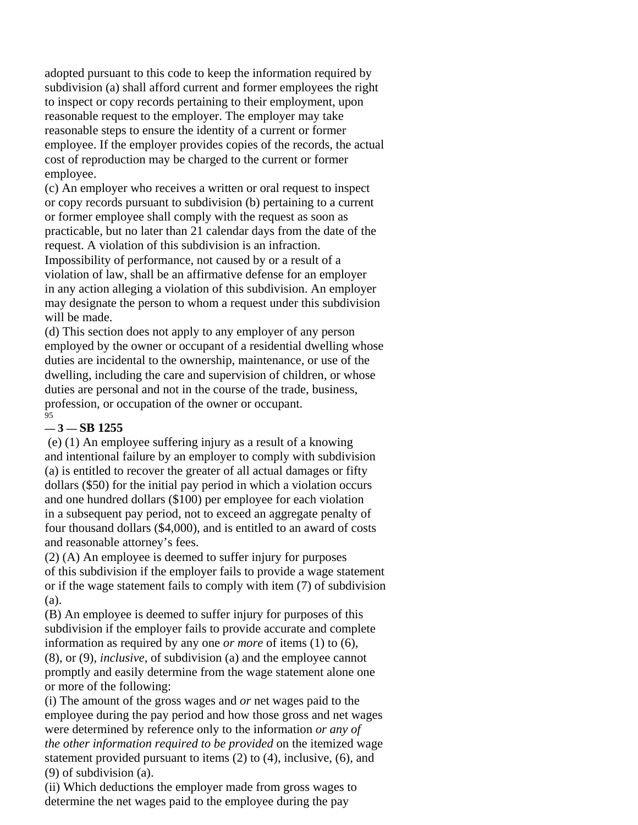adopted pursuant to this code to keep the information required by subdivision (a) shall afford current and former employees the right to inspect or copy records pertaining to their employment, upon reasonable request to the employer. The employer may take reasonable steps to ensure the identity of a current or former employee. If the employer provides copies of the records, the actual cost of reproduction may be charged to the current or former employee.

(c) An employer who receives a written or oral request to inspect or copy records pursuant to subdivision (b) pertaining to a current or former employee shall comply with the request as soon as practicable, but no later than 21 calendar days from the date of the request. A violation of this subdivision is an infraction. Impossibility of performance, not caused by or a result of a violation of law, shall be an affirmative defense for an employer in any action alleging a violation of this subdivision. An employer may designate the person to whom a request under this subdivision will be made.

(d) This section does not apply to any employer of any person employed by the owner or occupant of a residential dwelling whose duties are incidental to the ownership, maintenance, or use of the dwelling, including the care and supervision of children, or whose duties are personal and not in the course of the trade, business, profession, or occupation of the owner or occupant.  $\overline{9}5$ 

# **— 3 — SB 1255**

 (e) (1) An employee suffering injury as a result of a knowing and intentional failure by an employer to comply with subdivision (a) is entitled to recover the greater of all actual damages or fifty dollars (\$50) for the initial pay period in which a violation occurs and one hundred dollars (\$100) per employee for each violation in a subsequent pay period, not to exceed an aggregate penalty of four thousand dollars (\$4,000), and is entitled to an award of costs and reasonable attorney's fees.

(2) (A) An employee is deemed to suffer injury for purposes of this subdivision if the employer fails to provide a wage statement or if the wage statement fails to comply with item (7) of subdivision (a).

(B) An employee is deemed to suffer injury for purposes of this subdivision if the employer fails to provide accurate and complete information as required by any one *or more* of items (1) to (6), (8), or (9)*, inclusive,* of subdivision (a) and the employee cannot promptly and easily determine from the wage statement alone one or more of the following:

(i) The amount of the gross wages and *or* net wages paid to the employee during the pay period and how those gross and net wages were determined by reference only to the information *or any of the other information required to be provided* on the itemized wage statement provided pursuant to items (2) to (4), inclusive, (6), and (9) of subdivision (a).

(ii) Which deductions the employer made from gross wages to determine the net wages paid to the employee during the pay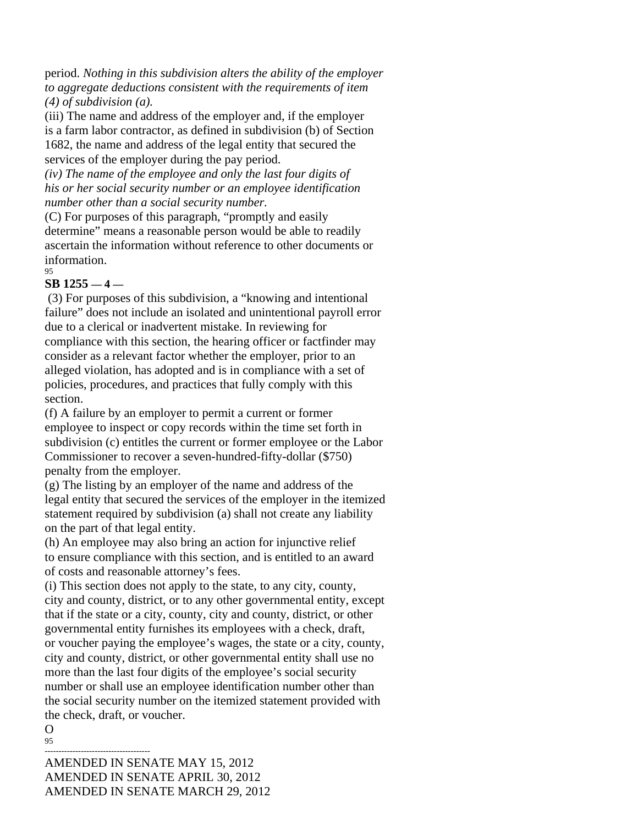period. *Nothing in this subdivision alters the ability of the employer to aggregate deductions consistent with the requirements of item (4) of subdivision (a).* 

(iii) The name and address of the employer and, if the employer is a farm labor contractor, as defined in subdivision (b) of Section 1682, the name and address of the legal entity that secured the services of the employer during the pay period.

*(iv) The name of the employee and only the last four digits of his or her social security number or an employee identification number other than a social security number.* 

(C) For purposes of this paragraph, "promptly and easily determine" means a reasonable person would be able to readily ascertain the information without reference to other documents or information.  $05$ 

# **SB 1255 — 4 —**

 (3) For purposes of this subdivision, a "knowing and intentional failure" does not include an isolated and unintentional payroll error due to a clerical or inadvertent mistake. In reviewing for compliance with this section, the hearing officer or factfinder may consider as a relevant factor whether the employer, prior to an alleged violation, has adopted and is in compliance with a set of policies, procedures, and practices that fully comply with this section.

(f) A failure by an employer to permit a current or former employee to inspect or copy records within the time set forth in subdivision (c) entitles the current or former employee or the Labor Commissioner to recover a seven-hundred-fifty-dollar (\$750) penalty from the employer.

(g) The listing by an employer of the name and address of the legal entity that secured the services of the employer in the itemized statement required by subdivision (a) shall not create any liability on the part of that legal entity.

(h) An employee may also bring an action for injunctive relief to ensure compliance with this section, and is entitled to an award of costs and reasonable attorney's fees.

(i) This section does not apply to the state, to any city, county, city and county, district, or to any other governmental entity, except that if the state or a city, county, city and county, district, or other governmental entity furnishes its employees with a check, draft, or voucher paying the employee's wages, the state or a city, county, city and county, district, or other governmental entity shall use no more than the last four digits of the employee's social security number or shall use an employee identification number other than the social security number on the itemized statement provided with the check, draft, or voucher.

 $\Omega$ 95

-------------------------------------- AMENDED IN SENATE MAY 15, 2012 AMENDED IN SENATE APRIL 30, 2012 AMENDED IN SENATE MARCH 29, 2012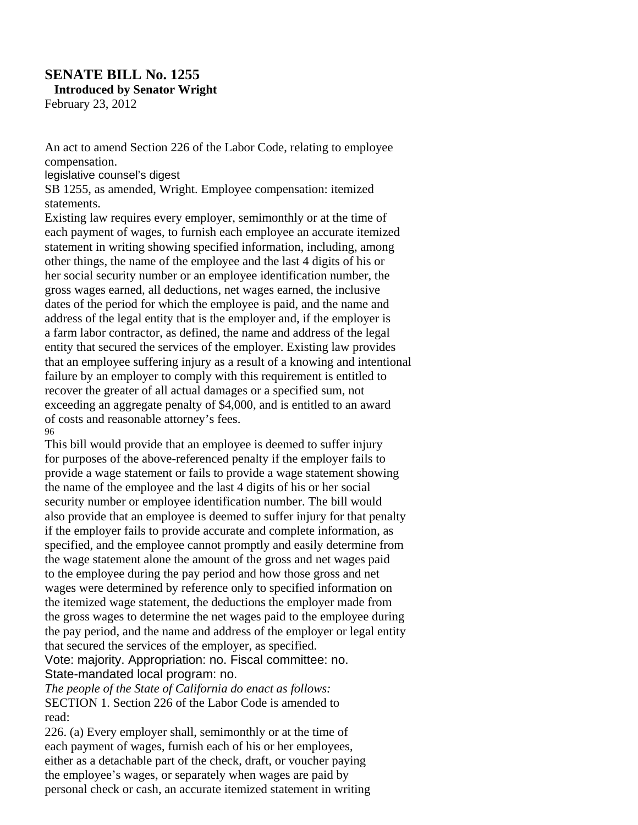# **SENATE BILL No. 1255**  1 **Introduced by Senator Wright**  February 23, 2012

An act to amend Section 226 of the Labor Code, relating to employee compensation.

legislative counsel's digest

SB 1255, as amended, Wright. Employee compensation: itemized statements.

Existing law requires every employer, semimonthly or at the time of each payment of wages, to furnish each employee an accurate itemized statement in writing showing specified information, including, among other things, the name of the employee and the last 4 digits of his or her social security number or an employee identification number, the gross wages earned, all deductions, net wages earned, the inclusive dates of the period for which the employee is paid, and the name and address of the legal entity that is the employer and, if the employer is a farm labor contractor, as defined, the name and address of the legal entity that secured the services of the employer. Existing law provides that an employee suffering injury as a result of a knowing and intentional failure by an employer to comply with this requirement is entitled to recover the greater of all actual damages or a specified sum, not exceeding an aggregate penalty of \$4,000, and is entitled to an award of costs and reasonable attorney's fees. 96

This bill would provide that an employee is deemed to suffer injury for purposes of the above-referenced penalty if the employer fails to provide a wage statement or fails to provide a wage statement showing the name of the employee and the last 4 digits of his or her social security number or employee identification number. The bill would also provide that an employee is deemed to suffer injury for that penalty if the employer fails to provide accurate and complete information, as specified, and the employee cannot promptly and easily determine from the wage statement alone the amount of the gross and net wages paid to the employee during the pay period and how those gross and net wages were determined by reference only to specified information on the itemized wage statement, the deductions the employer made from the gross wages to determine the net wages paid to the employee during the pay period, and the name and address of the employer or legal entity that secured the services of the employer, as specified.

Vote: majority. Appropriation: no. Fiscal committee: no. State-mandated local program: no.

*The people of the State of California do enact as follows:*  SECTION 1. Section 226 of the Labor Code is amended to read:

226. (a) Every employer shall, semimonthly or at the time of each payment of wages, furnish each of his or her employees, either as a detachable part of the check, draft, or voucher paying the employee's wages, or separately when wages are paid by personal check or cash, an accurate itemized statement in writing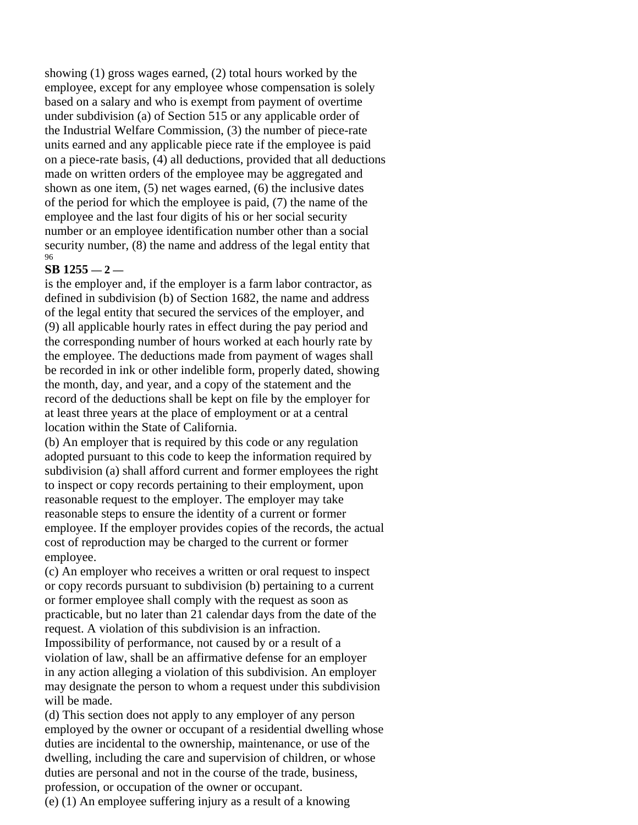showing (1) gross wages earned, (2) total hours worked by the employee, except for any employee whose compensation is solely based on a salary and who is exempt from payment of overtime under subdivision (a) of Section 515 or any applicable order of the Industrial Welfare Commission, (3) the number of piece-rate units earned and any applicable piece rate if the employee is paid on a piece-rate basis, (4) all deductions, provided that all deductions made on written orders of the employee may be aggregated and shown as one item, (5) net wages earned, (6) the inclusive dates of the period for which the employee is paid, (7) the name of the employee and the last four digits of his or her social security number or an employee identification number other than a social security number, (8) the name and address of the legal entity that 96

# **SB 1255 — 2 —**

is the employer and, if the employer is a farm labor contractor, as defined in subdivision (b) of Section 1682, the name and address of the legal entity that secured the services of the employer, and (9) all applicable hourly rates in effect during the pay period and the corresponding number of hours worked at each hourly rate by the employee. The deductions made from payment of wages shall be recorded in ink or other indelible form, properly dated, showing the month, day, and year, and a copy of the statement and the record of the deductions shall be kept on file by the employer for at least three years at the place of employment or at a central location within the State of California.

(b) An employer that is required by this code or any regulation adopted pursuant to this code to keep the information required by subdivision (a) shall afford current and former employees the right to inspect or copy records pertaining to their employment, upon reasonable request to the employer. The employer may take reasonable steps to ensure the identity of a current or former employee. If the employer provides copies of the records, the actual cost of reproduction may be charged to the current or former employee.

(c) An employer who receives a written or oral request to inspect or copy records pursuant to subdivision (b) pertaining to a current or former employee shall comply with the request as soon as practicable, but no later than 21 calendar days from the date of the request. A violation of this subdivision is an infraction.

Impossibility of performance, not caused by or a result of a violation of law, shall be an affirmative defense for an employer in any action alleging a violation of this subdivision. An employer may designate the person to whom a request under this subdivision will be made.

(d) This section does not apply to any employer of any person employed by the owner or occupant of a residential dwelling whose duties are incidental to the ownership, maintenance, or use of the dwelling, including the care and supervision of children, or whose duties are personal and not in the course of the trade, business, profession, or occupation of the owner or occupant.

(e) (1) An employee suffering injury as a result of a knowing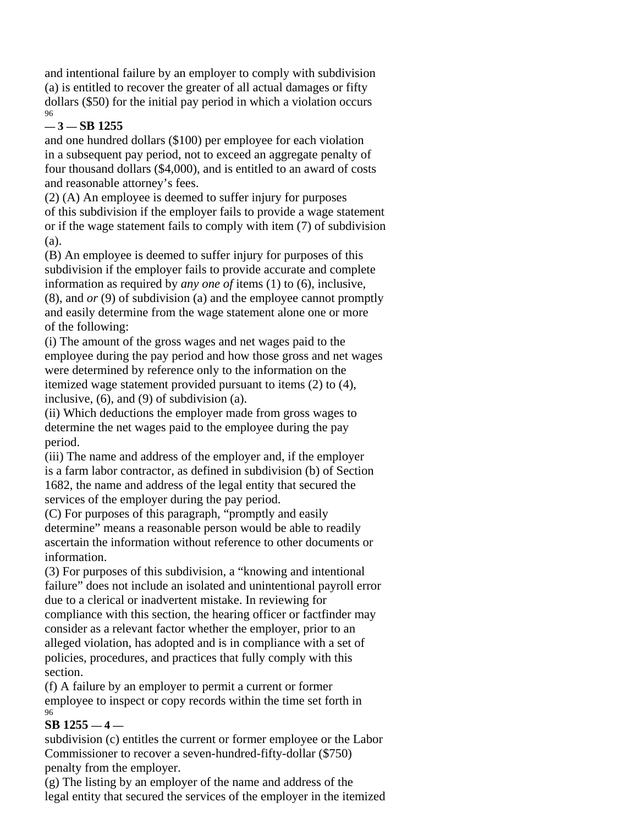and intentional failure by an employer to comply with subdivision (a) is entitled to recover the greater of all actual damages or fifty dollars (\$50) for the initial pay period in which a violation occurs 96

# **— 3 — SB 1255**

and one hundred dollars (\$100) per employee for each violation in a subsequent pay period, not to exceed an aggregate penalty of four thousand dollars (\$4,000), and is entitled to an award of costs and reasonable attorney's fees.

(2) (A) An employee is deemed to suffer injury for purposes of this subdivision if the employer fails to provide a wage statement or if the wage statement fails to comply with item (7) of subdivision (a).

(B) An employee is deemed to suffer injury for purposes of this subdivision if the employer fails to provide accurate and complete information as required by *any one of* items (1) to (6), inclusive, (8), and *or* (9) of subdivision (a) and the employee cannot promptly and easily determine from the wage statement alone one or more of the following:

(i) The amount of the gross wages and net wages paid to the employee during the pay period and how those gross and net wages were determined by reference only to the information on the itemized wage statement provided pursuant to items (2) to (4), inclusive, (6), and (9) of subdivision (a).

(ii) Which deductions the employer made from gross wages to determine the net wages paid to the employee during the pay period.

(iii) The name and address of the employer and, if the employer is a farm labor contractor, as defined in subdivision (b) of Section 1682, the name and address of the legal entity that secured the services of the employer during the pay period.

(C) For purposes of this paragraph, "promptly and easily determine" means a reasonable person would be able to readily ascertain the information without reference to other documents or information.

(3) For purposes of this subdivision, a "knowing and intentional failure" does not include an isolated and unintentional payroll error due to a clerical or inadvertent mistake. In reviewing for compliance with this section, the hearing officer or factfinder may consider as a relevant factor whether the employer, prior to an alleged violation, has adopted and is in compliance with a set of policies, procedures, and practices that fully comply with this section.

(f) A failure by an employer to permit a current or former employee to inspect or copy records within the time set forth in 96

# **SB 1255 — 4 —**

subdivision (c) entitles the current or former employee or the Labor Commissioner to recover a seven-hundred-fifty-dollar (\$750) penalty from the employer.

(g) The listing by an employer of the name and address of the legal entity that secured the services of the employer in the itemized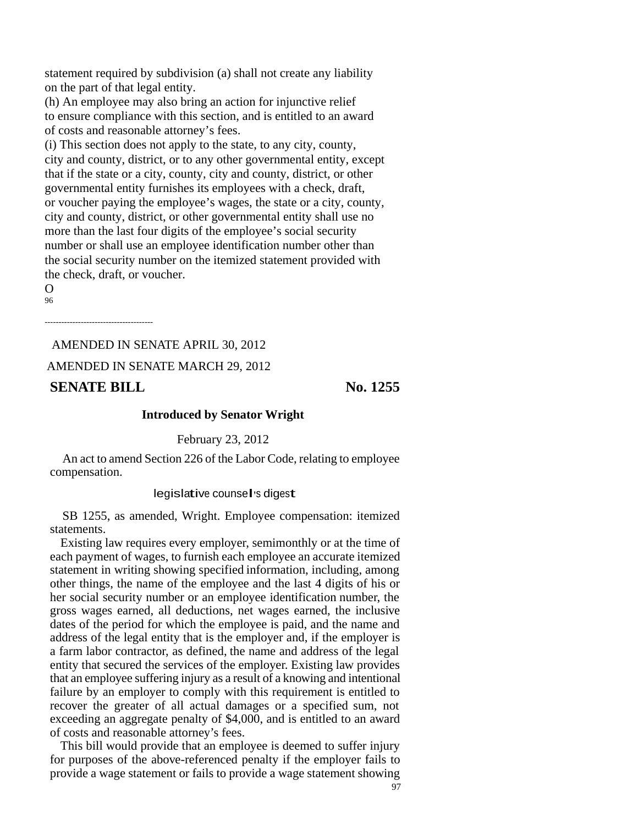statement required by subdivision (a) shall not create any liability on the part of that legal entity.

(h) An employee may also bring an action for injunctive relief to ensure compliance with this section, and is entitled to an award of costs and reasonable attorney's fees.

(i) This section does not apply to the state, to any city, county, city and county, district, or to any other governmental entity, except that if the state or a city, county, city and county, district, or other governmental entity furnishes its employees with a check, draft, or voucher paying the employee's wages, the state or a city, county, city and county, district, or other governmental entity shall use no more than the last four digits of the employee's social security number or shall use an employee identification number other than the social security number on the itemized statement provided with the check, draft, or voucher.

 $\Omega$ 96

---------------------------------------

AMENDED IN SENATE APRIL 30, 2012 AMENDED IN SENATE MARCH 29, 2012 **SENATE BILL** No. 1255

#### **Introduced by Senator Wright**

February 23, 2012

An act to amend Section 226 of the Labor Code, relating to employee compensation.

#### legislative counsel's digest

SB 1255, as amended, Wright. Employee compensation: itemized statements.

Existing law requires every employer, semimonthly or at the time of each payment of wages, to furnish each employee an accurate itemized statement in writing showing specified information, including, among other things, the name of the employee and the last 4 digits of his or her social security number or an employee identification number, the gross wages earned, all deductions, net wages earned, the inclusive dates of the period for which the employee is paid, and the name and address of the legal entity that is the employer and, if the employer is a farm labor contractor, as defined, the name and address of the legal entity that secured the services of the employer. Existing law provides that an employee suffering injury as a result of a knowing and intentional failure by an employer to comply with this requirement is entitled to recover the greater of all actual damages or a specified sum, not exceeding an aggregate penalty of \$4,000, and is entitled to an award of costs and reasonable attorney's fees.

This bill would provide that an employee is deemed to suffer injury for purposes of the above-referenced penalty if the employer fails to provide a wage statement or fails to provide a wage statement showing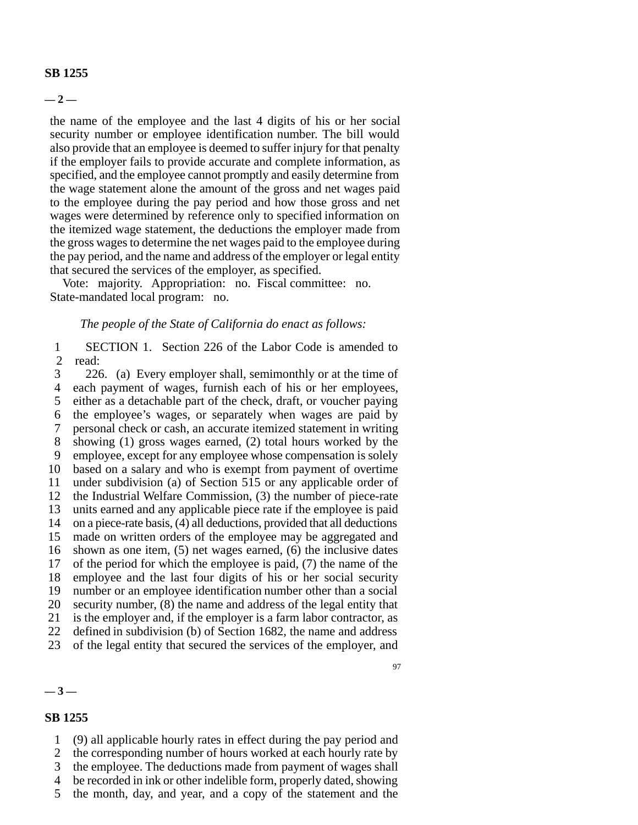#### **SB 1255**

**— 2 —**

the name of the employee and the last 4 digits of his or her social security number or employee identification number. The bill would also provide that an employee is deemed to suffer injury for that penalty if the employer fails to provide accurate and complete information, as specified, and the employee cannot promptly and easily determine from the wage statement alone the amount of the gross and net wages paid to the employee during the pay period and how those gross and net wages were determined by reference only to specified information on the itemized wage statement, the deductions the employer made from the gross wages to determine the net wages paid to the employee during the pay period, and the name and address of the employer or legal entity that secured the services of the employer, as specified.

Vote: majority. Appropriation: no. Fiscal committee: no. State-mandated local program: no.

#### *The people of the State of California do enact as follows:*

1 SECTION 1. Section 226 of the Labor Code is amended to 2 read:

3 226. (a) Every employer shall, semimonthly or at the time of 4 each payment of wages, furnish each of his or her employees, 5 either as a detachable part of the check, draft, or voucher paying 6 the employee's wages, or separately when wages are paid by 7 personal check or cash, an accurate itemized statement in writing 8 showing (1) gross wages earned, (2) total hours worked by the 9 employee, except for any employee whose compensation is solely 10 based on a salary and who is exempt from payment of overtime 11 under subdivision (a) of Section 515 or any applicable order of 12 the Industrial Welfare Commission, (3) the number of piece-rate 13 units earned and any applicable piece rate if the employee is paid 14 on a piece-rate basis, (4) all deductions, provided that all deductions 15 made on written orders of the employee may be aggregated and 16 shown as one item, (5) net wages earned, (6) the inclusive dates 17 of the period for which the employee is paid, (7) the name of the 18 employee and the last four digits of his or her social security 19 number or an employee identification number other than a social 20 security number, (8) the name and address of the legal entity that 21 is the employer and, if the employer is a farm labor contractor, as 22 defined in subdivision (b) of Section 1682, the name and address 23 of the legal entity that secured the services of the employer, and

#### **— 3 —**

#### **SB 1255**

- 1 (9) all applicable hourly rates in effect during the pay period and
- 2 the corresponding number of hours worked at each hourly rate by
- 3 the employee. The deductions made from payment of wages shall
- 4 be recorded in ink or other indelible form, properly dated, showing
- 5 the month, day, and year, and a copy of the statement and the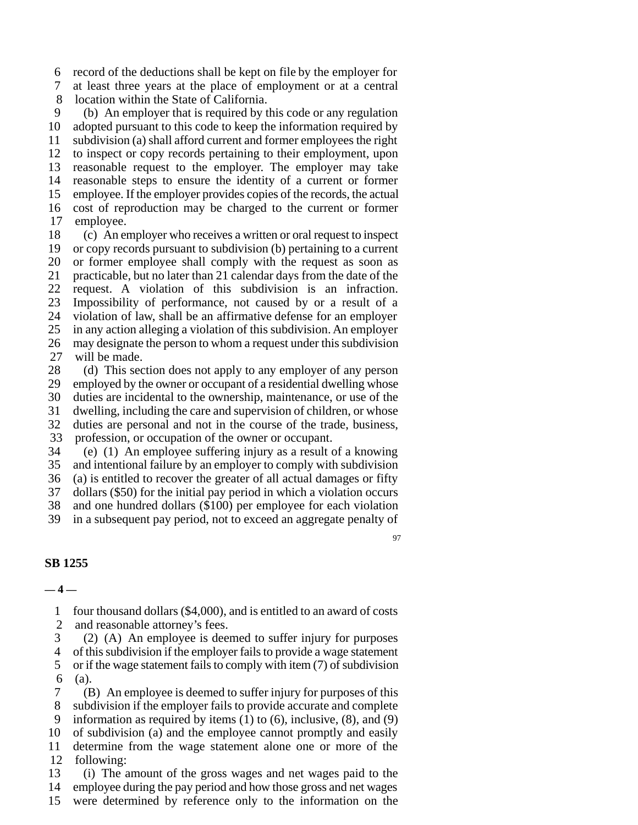6 record of the deductions shall be kept on file by the employer for

7 at least three years at the place of employment or at a central 8 location within the State of California.

9 (b) An employer that is required by this code or any regulation 10 adopted pursuant to this code to keep the information required by 11 subdivision (a) shall afford current and former employees the right 12 to inspect or copy records pertaining to their employment, upon 13 reasonable request to the employer. The employer may take 14 reasonable steps to ensure the identity of a current or former 15 employee. If the employer provides copies of the records, the actual 16 cost of reproduction may be charged to the current or former 17 employee.

18 (c) An employer who receives a written or oral request to inspect 19 or copy records pursuant to subdivision (b) pertaining to a current 20 or former employee shall comply with the request as soon as 21 practicable, but no later than 21 calendar days from the date of the 22 request. A violation of this subdivision is an infraction. 23 Impossibility of performance, not caused by or a result of a 24 violation of law, shall be an affirmative defense for an employer 25 in any action alleging a violation of this subdivision. An employer 26 may designate the person to whom a request under this subdivision 27 will be made.

28 (d) This section does not apply to any employer of any person 29 employed by the owner or occupant of a residential dwelling whose 30 duties are incidental to the ownership, maintenance, or use of the 31 dwelling, including the care and supervision of children, or whose 32 duties are personal and not in the course of the trade, business,

33 profession, or occupation of the owner or occupant.

34 (e) (1) An employee suffering injury as a result of a knowing 35 and intentional failure by an employer to comply with subdivision

36 (a) is entitled to recover the greater of all actual damages or fifty

37 dollars (\$50) for the initial pay period in which a violation occurs

38 and one hundred dollars (\$100) per employee for each violation

39 in a subsequent pay period, not to exceed an aggregate penalty of

97

#### **SB 1255**

#### **— 4 —**

1 four thousand dollars (\$4,000), and is entitled to an award of costs

2 and reasonable attorney's fees.

3 (2) (A) An employee is deemed to suffer injury for purposes 4 of this subdivision if the employer fails to provide a wage statement

5 or if the wage statement fails to comply with item (7) of subdivision 6 (a).

7 (B) An employee is deemed to suffer injury for purposes of this 8 subdivision if the employer fails to provide accurate and complete 9 information as required by items (1) to (6), inclusive, (8), and (9) 10 of subdivision (a) and the employee cannot promptly and easily 11 determine from the wage statement alone one or more of the 12 following:

13 (i) The amount of the gross wages and net wages paid to the 14 employee during the pay period and how those gross and net wages 15 were determined by reference only to the information on the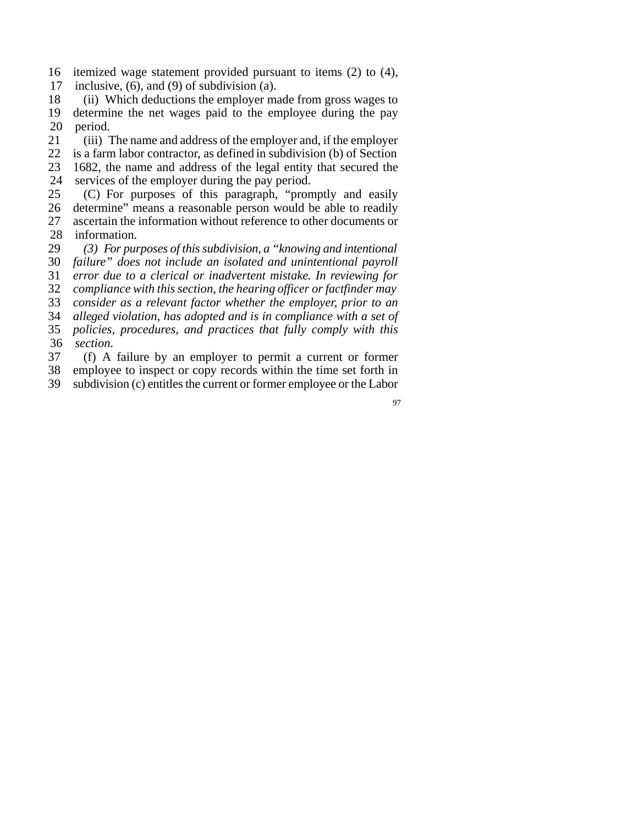- 16 itemized wage statement provided pursuant to items (2) to (4),
- 17 inclusive, (6), and (9) of subdivision (a).

18 (ii) Which deductions the employer made from gross wages to 19 determine the net wages paid to the employee during the pay 20 period.

21 (iii) The name and address of the employer and, if the employer

22 is a farm labor contractor, as defined in subdivision (b) of Section

23 1682, the name and address of the legal entity that secured the

24 services of the employer during the pay period.

25 (C) For purposes of this paragraph, "promptly and easily 26 determine" means a reasonable person would be able to readily 27 ascertain the information without reference to other documents or

28 information.

29 *(3) For purposes of this subdivision, a "knowing and intentional*

30 *failure" does not include an isolated and unintentional payroll* 31 *error due to a clerical or inadvertent mistake. In reviewing for*

32 *compliance with this section, the hearing officer or factfinder may*

33 *consider as a relevant factor whether the employer, prior to an*

34 *alleged violation, has adopted and is in compliance with a set of*

35 *policies, procedures, and practices that fully comply with this*

36 *section.*

37 (f) A failure by an employer to permit a current or former 38 employee to inspect or copy records within the time set forth in

39 subdivision (c) entitles the current or former employee or the Labor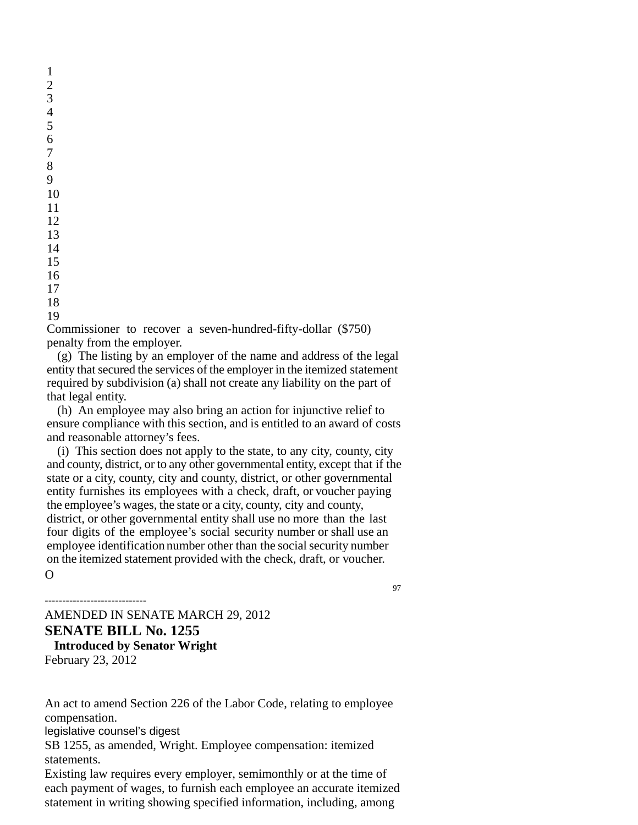19

Commissioner to recover a seven-hundred-fifty-dollar (\$750) penalty from the employer.

(g) The listing by an employer of the name and address of the legal entity that secured the services of the employer in the itemized statement required by subdivision (a) shall not create any liability on the part of that legal entity.

(h) An employee may also bring an action for injunctive relief to ensure compliance with this section, and is entitled to an award of costs and reasonable attorney's fees.

(i) This section does not apply to the state, to any city, county, city and county, district, or to any other governmental entity, except that if the state or a city, county, city and county, district, or other governmental entity furnishes its employees with a check, draft, or voucher paying the employee's wages, the state or a city, county, city and county, district, or other governmental entity shall use no more than the last four digits of the employee's social security number or shall use an employee identification number other than the social security number on the itemized statement provided with the check, draft, or voucher.  $\Omega$ 

97

AMENDED IN SENATE MARCH 29, 2012 **SENATE BILL No. 1255**  1 **Introduced by Senator Wright** 

February 23, 2012

‐‐‐‐‐‐‐‐‐‐‐‐‐‐‐‐‐‐‐‐‐‐‐‐‐‐‐‐‐

An act to amend Section 226 of the Labor Code, relating to employee compensation.

legislative counsel's digest

SB 1255, as amended, Wright. Employee compensation: itemized statements.

Existing law requires every employer, semimonthly or at the time of each payment of wages, to furnish each employee an accurate itemized statement in writing showing specified information, including, among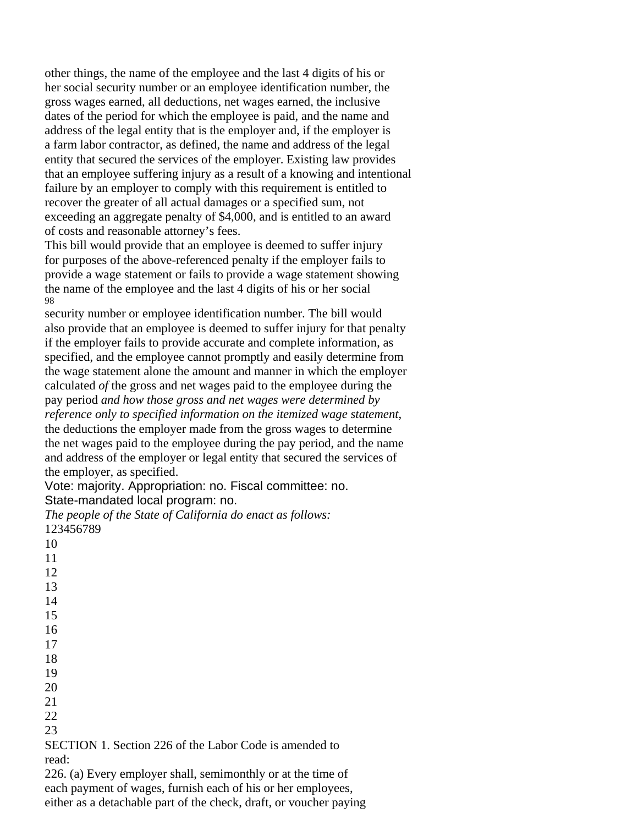other things, the name of the employee and the last 4 digits of his or her social security number or an employee identification number, the gross wages earned, all deductions, net wages earned, the inclusive dates of the period for which the employee is paid, and the name and address of the legal entity that is the employer and, if the employer is a farm labor contractor, as defined, the name and address of the legal entity that secured the services of the employer. Existing law provides that an employee suffering injury as a result of a knowing and intentional failure by an employer to comply with this requirement is entitled to recover the greater of all actual damages or a specified sum, not exceeding an aggregate penalty of \$4,000, and is entitled to an award of costs and reasonable attorney's fees.

This bill would provide that an employee is deemed to suffer injury for purposes of the above-referenced penalty if the employer fails to provide a wage statement or fails to provide a wage statement showing the name of the employee and the last 4 digits of his or her social 98

security number or employee identification number. The bill would also provide that an employee is deemed to suffer injury for that penalty if the employer fails to provide accurate and complete information, as specified, and the employee cannot promptly and easily determine from the wage statement alone the amount and manner in which the employer calculated *of* the gross and net wages paid to the employee during the pay period *and how those gross and net wages were determined by reference only to specified information on the itemized wage statement*, the deductions the employer made from the gross wages to determine the net wages paid to the employee during the pay period, and the name and address of the employer or legal entity that secured the services of the employer, as specified.

Vote: majority. Appropriation: no. Fiscal committee: no. State-mandated local program: no.

*The people of the State of California do enact as follows:*  123456789 10

SECTION 1. Section 226 of the Labor Code is amended to read:

226. (a) Every employer shall, semimonthly or at the time of each payment of wages, furnish each of his or her employees, either as a detachable part of the check, draft, or voucher paying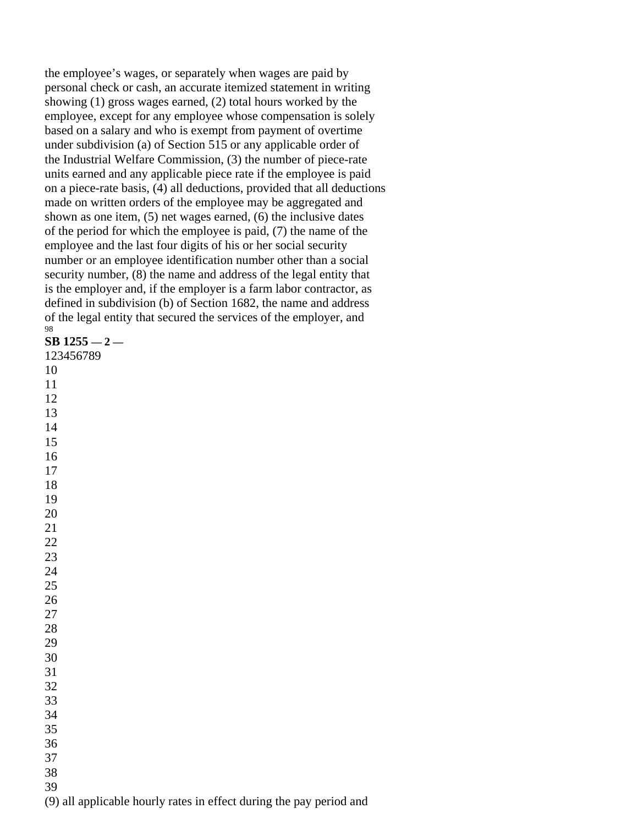the employee's wages, or separately when wages are paid by personal check or cash, an accurate itemized statement in writing showing (1) gross wages earned, (2) total hours worked by the employee, except for any employee whose compensation is solely based on a salary and who is exempt from payment of overtime under subdivision (a) of Section 515 or any applicable order of the Industrial Welfare Commission, (3) the number of piece-rate units earned and any applicable piece rate if the employee is paid on a piece-rate basis, (4) all deductions, provided that all deductions made on written orders of the employee may be aggregated and shown as one item, (5) net wages earned, (6) the inclusive dates of the period for which the employee is paid, (7) the name of the employee and the last four digits of his or her social security number or an employee identification number other than a social security number, (8) the name and address of the legal entity that is the employer and, if the employer is a farm labor contractor, as defined in subdivision (b) of Section 1682, the name and address of the legal entity that secured the services of the employer, and

| 98                      |
|-------------------------|
| $SB$ 1255 $-$ 2 -       |
| 123456789               |
| 10                      |
| 11                      |
| 12                      |
| 13                      |
| 14                      |
| 15                      |
| 16                      |
| 17                      |
| 18                      |
| 19                      |
| 20                      |
| 21                      |
| $\overline{22}$         |
| 23                      |
| 24                      |
| 25                      |
| 26                      |
| 27                      |
| 28                      |
| 29                      |
| 30                      |
| 31                      |
| 32                      |
| 33                      |
| 34                      |
| 35                      |
| 36                      |
| 37                      |
| 38                      |
| 39                      |
| (9)<br>all applicable l |

hourly rates in effect during the pay period and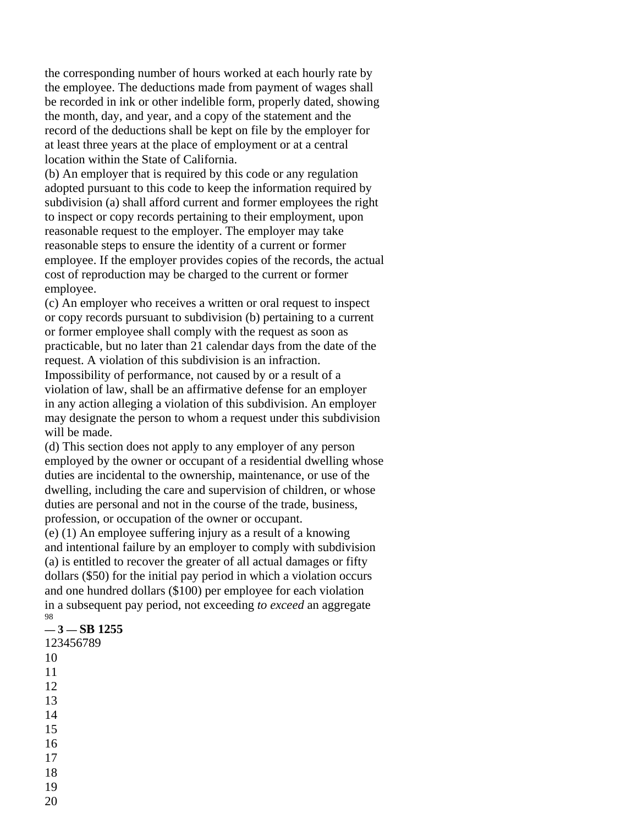the corresponding number of hours worked at each hourly rate by the employee. The deductions made from payment of wages shall be recorded in ink or other indelible form, properly dated, showing the month, day, and year, and a copy of the statement and the record of the deductions shall be kept on file by the employer for at least three years at the place of employment or at a central location within the State of California.

(b) An employer that is required by this code or any regulation adopted pursuant to this code to keep the information required by subdivision (a) shall afford current and former employees the right to inspect or copy records pertaining to their employment, upon reasonable request to the employer. The employer may take reasonable steps to ensure the identity of a current or former employee. If the employer provides copies of the records, the actual cost of reproduction may be charged to the current or former employee.

(c) An employer who receives a written or oral request to inspect or copy records pursuant to subdivision (b) pertaining to a current or former employee shall comply with the request as soon as practicable, but no later than 21 calendar days from the date of the request. A violation of this subdivision is an infraction. Impossibility of performance, not caused by or a result of a violation of law, shall be an affirmative defense for an employer in any action alleging a violation of this subdivision. An employer may designate the person to whom a request under this subdivision will be made.

(d) This section does not apply to any employer of any person employed by the owner or occupant of a residential dwelling whose duties are incidental to the ownership, maintenance, or use of the dwelling, including the care and supervision of children, or whose duties are personal and not in the course of the trade, business, profession, or occupation of the owner or occupant.

(e) (1) An employee suffering injury as a result of a knowing and intentional failure by an employer to comply with subdivision (a) is entitled to recover the greater of all actual damages or fifty dollars (\$50) for the initial pay period in which a violation occurs and one hundred dollars (\$100) per employee for each violation in a subsequent pay period, not exceeding *to exceed* an aggregate 98

#### **— 3 — SB 1255**

- 123456789 10 11 12 13 14 15 16 17 18 19
- 20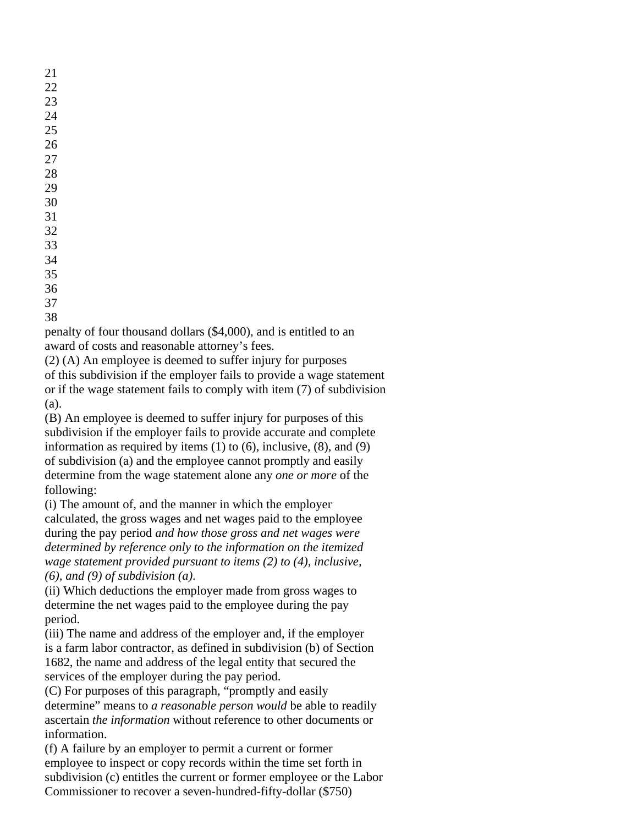21

36

37

38

penalty of four thousand dollars (\$4,000), and is entitled to an award of costs and reasonable attorney's fees.

(2) (A) An employee is deemed to suffer injury for purposes of this subdivision if the employer fails to provide a wage statement or if the wage statement fails to comply with item (7) of subdivision (a).

(B) An employee is deemed to suffer injury for purposes of this subdivision if the employer fails to provide accurate and complete information as required by items (1) to (6), inclusive, (8), and (9) of subdivision (a) and the employee cannot promptly and easily determine from the wage statement alone any *one or more* of the following:

(i) The amount of, and the manner in which the employer calculated, the gross wages and net wages paid to the employee during the pay period *and how those gross and net wages were determined by reference only to the information on the itemized wage statement provided pursuant to items (2) to (4), inclusive, (6), and (9) of subdivision (a)*.

(ii) Which deductions the employer made from gross wages to determine the net wages paid to the employee during the pay period.

(iii) The name and address of the employer and, if the employer is a farm labor contractor, as defined in subdivision (b) of Section 1682, the name and address of the legal entity that secured the services of the employer during the pay period.

(C) For purposes of this paragraph, "promptly and easily determine" means to *a reasonable person would* be able to readily ascertain *the information* without reference to other documents or information.

(f) A failure by an employer to permit a current or former employee to inspect or copy records within the time set forth in subdivision (c) entitles the current or former employee or the Labor Commissioner to recover a seven-hundred-fifty-dollar (\$750)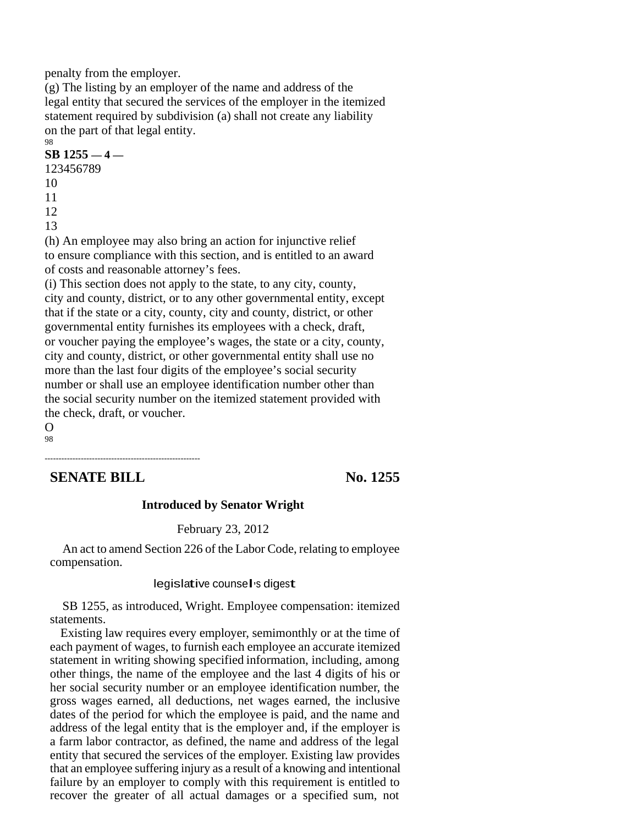penalty from the employer.

(g) The listing by an employer of the name and address of the legal entity that secured the services of the employer in the itemized statement required by subdivision (a) shall not create any liability on the part of that legal entity. 98

#### **SB 1255 — 4 —**

123456789 10 11 12 13 (h) An employee may also bring an action for injunctive relief to ensure compliance with this section, and is entitled to an award of costs and reasonable attorney's fees. (i) This section does not apply to the state, to any city, county, city and county, district, or to any other governmental entity, except that if the state or a city, county, city and county, district, or other governmental entity furnishes its employees with a check, draft, or voucher paying the employee's wages, the state or a city, county, city and county, district, or other governmental entity shall use no more than the last four digits of the employee's social security number or shall use an employee identification number other than

the social security number on the itemized statement provided with the check, draft, or voucher.

O 98

# **SENATE BILL** No. 1255

--------------------------------------------------------

#### **Introduced by Senator Wright**

#### February 23, 2012

An act to amend Section 226 of the Labor Code, relating to employee compensation.

# legislative counsel ' <sup>s</sup> digest

SB 1255, as introduced, Wright. Employee compensation: itemized statements.

Existing law requires every employer, semimonthly or at the time of each payment of wages, to furnish each employee an accurate itemized statement in writing showing specified information, including, among other things, the name of the employee and the last 4 digits of his or her social security number or an employee identification number, the gross wages earned, all deductions, net wages earned, the inclusive dates of the period for which the employee is paid, and the name and address of the legal entity that is the employer and, if the employer is a farm labor contractor, as defined, the name and address of the legal entity that secured the services of the employer. Existing law provides that an employee suffering injury as a result of a knowing and intentional failure by an employer to comply with this requirement is entitled to recover the greater of all actual damages or a specified sum, not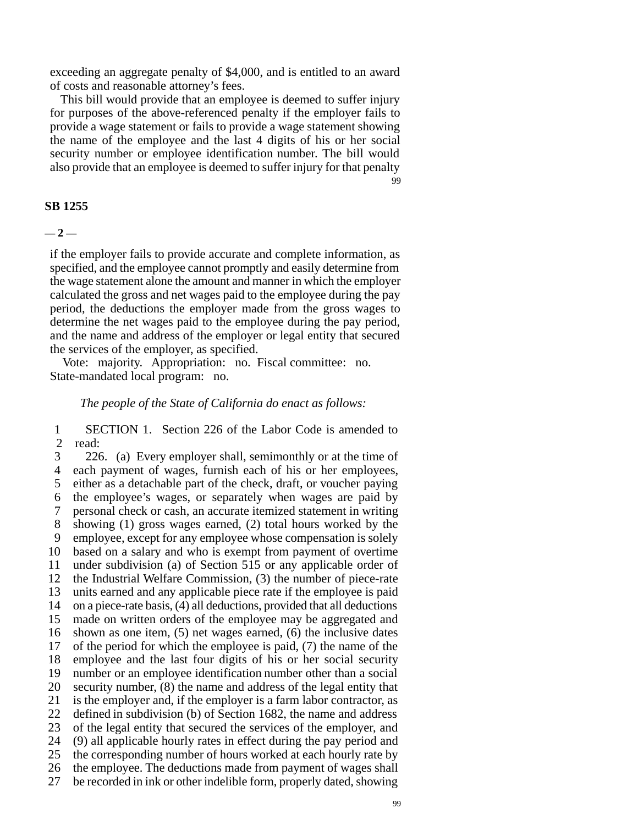exceeding an aggregate penalty of \$4,000, and is entitled to an award of costs and reasonable attorney's fees.

This bill would provide that an employee is deemed to suffer injury for purposes of the above-referenced penalty if the employer fails to provide a wage statement or fails to provide a wage statement showing the name of the employee and the last 4 digits of his or her social security number or employee identification number. The bill would also provide that an employee is deemed to suffer injury for that penalty 99

#### **SB 1255**

**— 2 —**

if the employer fails to provide accurate and complete information, as specified, and the employee cannot promptly and easily determine from the wage statement alone the amount and manner in which the employer calculated the gross and net wages paid to the employee during the pay period, the deductions the employer made from the gross wages to determine the net wages paid to the employee during the pay period, and the name and address of the employer or legal entity that secured the services of the employer, as specified.

Vote: majority. Appropriation: no. Fiscal committee: no. State-mandated local program: no.

#### *The people of the State of California do enact as follows:*

1 SECTION 1. Section 226 of the Labor Code is amended to  $\frac{2}{3}$  read: read:

3 226. (a) Every employer shall, semimonthly or at the time of 4 each payment of wages, furnish each of his or her employees, 5 either as a detachable part of the check, draft, or voucher paying 6 the employee's wages, or separately when wages are paid by 7 personal check or cash, an accurate itemized statement in writing 8 showing (1) gross wages earned, (2) total hours worked by the 9 employee, except for any employee whose compensation is solely 10 based on a salary and who is exempt from payment of overtime 11 under subdivision (a) of Section 515 or any applicable order of 12 the Industrial Welfare Commission, (3) the number of piece-rate 13 units earned and any applicable piece rate if the employee is paid 14 on a piece-rate basis, (4) all deductions, provided that all deductions 15 made on written orders of the employee may be aggregated and 16 shown as one item, (5) net wages earned, (6) the inclusive dates 17 of the period for which the employee is paid, (7) the name of the 18 employee and the last four digits of his or her social security 19 number or an employee identification number other than a social 20 security number, (8) the name and address of the legal entity that 21 is the employer and, if the employer is a farm labor contractor, as 22 defined in subdivision (b) of Section 1682, the name and address 23 of the legal entity that secured the services of the employer, and 24 (9) all applicable hourly rates in effect during the pay period and 25 the corresponding number of hours worked at each hourly rate by 26 the employee. The deductions made from payment of wages shall 27 be recorded in ink or other indelible form, properly dated, showing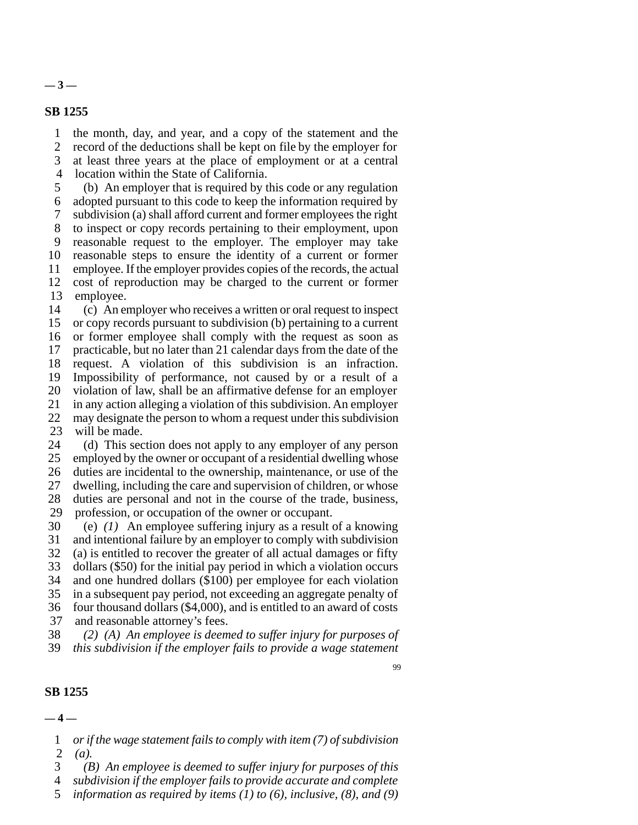**— 3 —**

#### **SB 1255**

1 the month, day, and year, and a copy of the statement and the

2 record of the deductions shall be kept on file by the employer for

3 at least three years at the place of employment or at a central

4 location within the State of California.

5 (b) An employer that is required by this code or any regulation 6 adopted pursuant to this code to keep the information required by 7 subdivision (a) shall afford current and former employees the right 8 to inspect or copy records pertaining to their employment, upon 9 reasonable request to the employer. The employer may take 10 reasonable steps to ensure the identity of a current or former 11 employee. If the employer provides copies of the records, the actual 12 cost of reproduction may be charged to the current or former 13 employee.

14 (c) An employer who receives a written or oral request to inspect 15 or copy records pursuant to subdivision (b) pertaining to a current 16 or former employee shall comply with the request as soon as 17 practicable, but no later than 21 calendar days from the date of the 18 request. A violation of this subdivision is an infraction. 19 Impossibility of performance, not caused by or a result of a 20 violation of law, shall be an affirmative defense for an employer 21 in any action alleging a violation of this subdivision. An employer 22 may designate the person to whom a request under this subdivision 23 will be made.

24 (d) This section does not apply to any employer of any person 25 employed by the owner or occupant of a residential dwelling whose 26 duties are incidental to the ownership, maintenance, or use of the 27 dwelling, including the care and supervision of children, or whose 28 duties are personal and not in the course of the trade, business, 29 profession, or occupation of the owner or occupant.

30 (e) *(1)* An employee suffering injury as a result of a knowing 31 and intentional failure by an employer to comply with subdivision 32 (a) is entitled to recover the greater of all actual damages or fifty 33 dollars (\$50) for the initial pay period in which a violation occurs 34 and one hundred dollars (\$100) per employee for each violation 35 in a subsequent pay period, not exceeding an aggregate penalty of 36 four thousand dollars (\$4,000), and is entitled to an award of costs 37 and reasonable attorney's fees.

38 *(2) (A) An employee is deemed to suffer injury for purposes of* 39 *this subdivision if the employer fails to provide a wage statement*

99

#### **SB 1255**

**— 4 —**

1 *or if the wage statement fails to comply with item (7) of subdivision* 2 *(a).*

3 *(B) An employee is deemed to suffer injury for purposes of this*

4 *subdivision if the employer fails to provide accurate and complete*

5 *information as required by items (1) to (6), inclusive, (8), and (9)*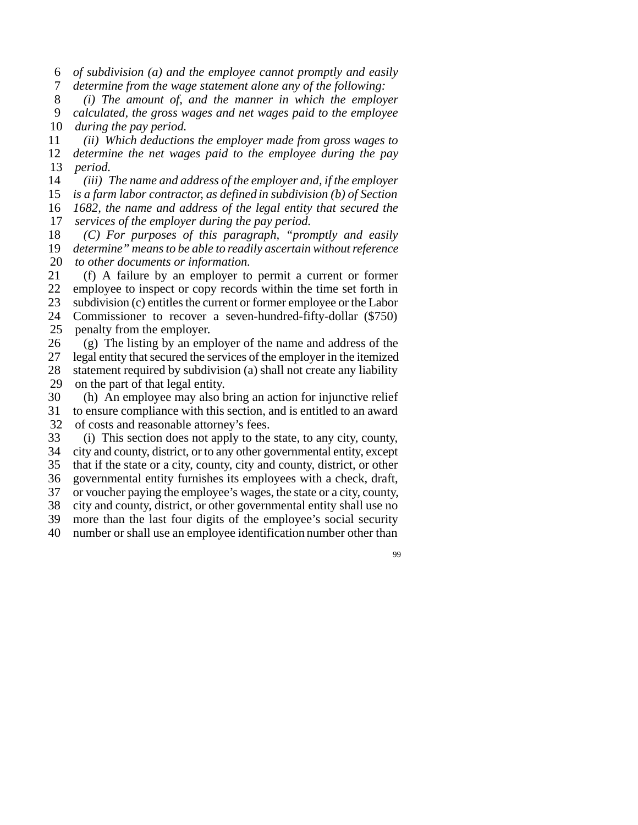6 *of subdivision (a) and the employee cannot promptly and easily*

7 *determine from the wage statement alone any of the following:*

8 *(i) The amount of, and the manner in which the employer* 9 *calculated, the gross wages and net wages paid to the employee* 10 *during the pay period.*

11 *(ii) Which deductions the employer made from gross wages to* 12 *determine the net wages paid to the employee during the pay* 13 *period.*

*(iii) The name and address of the employer and, if the employer is a farm labor contractor, as defined in subdivision (b) of Section 1682, the name and address of the legal entity that secured the services of the employer during the pay period.*

18 *(C) For purposes of this paragraph, "promptly and easily* 19 *determine" means to be able to readily ascertain without reference* 20 *to other documents or information.*

21 (f) A failure by an employer to permit a current or former 22 employee to inspect or copy records within the time set forth in 23 subdivision (c) entitles the current or former employee or the Labor 24 Commissioner to recover a seven-hundred-fifty-dollar (\$750) 25 penalty from the employer.

26 (g) The listing by an employer of the name and address of the 27 legal entity that secured the services of the employer in the itemized 28 statement required by subdivision (a) shall not create any liability 29 on the part of that legal entity.

30 (h) An employee may also bring an action for injunctive relief 31 to ensure compliance with this section, and is entitled to an award 32 of costs and reasonable attorney's fees.

33 (i) This section does not apply to the state, to any city, county,

34 city and county, district, or to any other governmental entity, except

35 that if the state or a city, county, city and county, district, or other

36 governmental entity furnishes its employees with a check, draft,

37 or voucher paying the employee's wages, the state or a city, county, 38 city and county, district, or other governmental entity shall use no

39 more than the last four digits of the employee's social security

40 number or shall use an employee identification number other than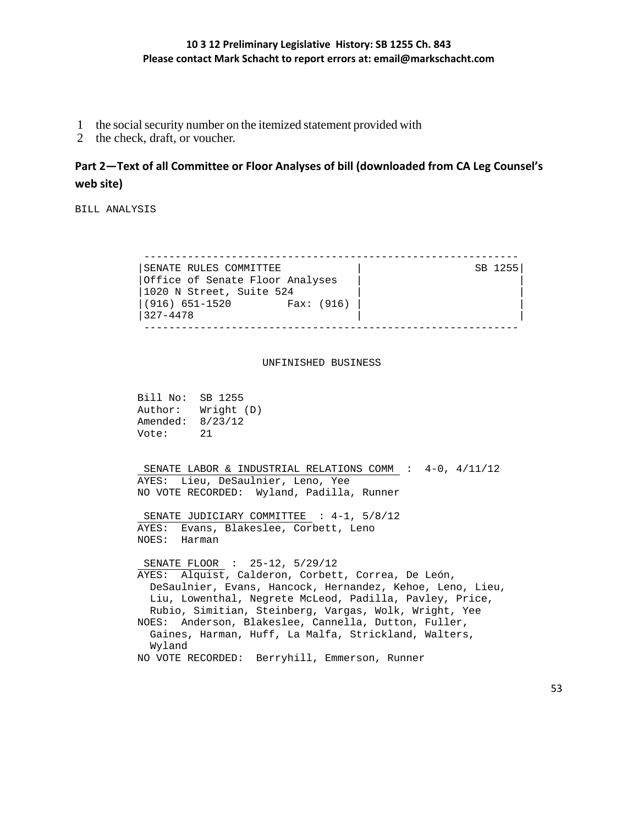- 1 the social security number on the itemized statement provided with
- 2 the check, draft, or voucher.

# **Part 2—Text of all Committee or Floor Analyses of bill (downloaded from CA Leg Counsel's web site)**

BILL ANALYSIS

 ------------------------------------------------------------ | SENATE RULES COMMITTEE | SB 1255| |Office of Senate Floor Analyses | |  $|1020 \tN$  Street, Suite 524 |(916) 651-1520 Fax: (916) | |  $|327-4478$ ------------------------------------------------------------

#### UNFINISHED BUSINESS

 Bill No: SB 1255 Author: Wright (D) Amended: 8/23/12 Vote: 21

 SENATE LABOR & INDUSTRIAL RELATIONS COMM : 4-0, 4/11/12 AYES: Lieu, DeSaulnier, Leno, Yee NO VOTE RECORDED: Wyland, Padilla, Runner

 SENATE JUDICIARY COMMITTEE : 4-1, 5/8/12 AYES: Evans, Blakeslee, Corbett, Leno NOES: Harman

 SENATE FLOOR : 25-12, 5/29/12 AYES: Alquist, Calderon, Corbett, Correa, De León, DeSaulnier, Evans, Hancock, Hernandez, Kehoe, Leno, Lieu, Liu, Lowenthal, Negrete McLeod, Padilla, Pavley, Price, Rubio, Simitian, Steinberg, Vargas, Wolk, Wright, Yee NOES: Anderson, Blakeslee, Cannella, Dutton, Fuller, Gaines, Harman, Huff, La Malfa, Strickland, Walters, Wyland NO VOTE RECORDED: Berryhill, Emmerson, Runner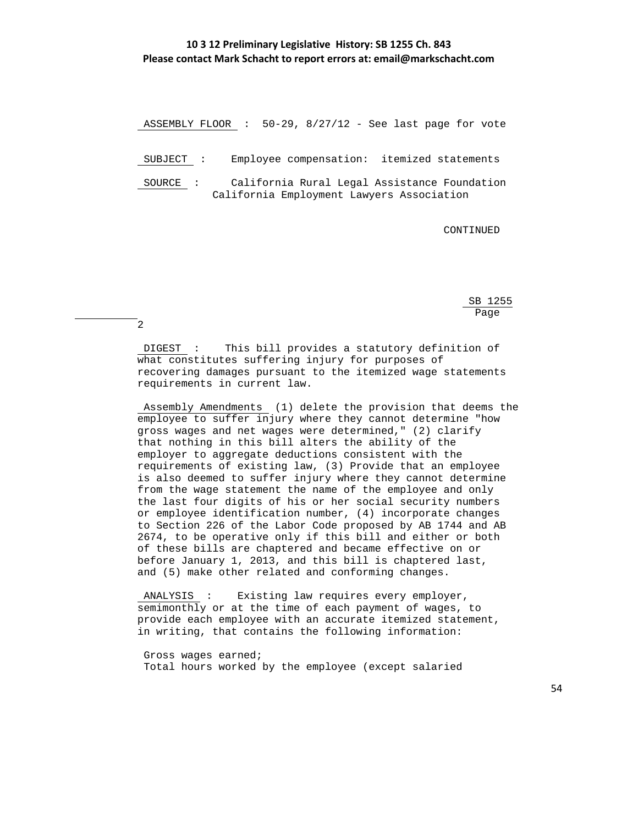ASSEMBLY FLOOR : 50-29, 8/27/12 - See last page for vote

SUBJECT : Employee compensation: itemized statements

 SOURCE : California Rural Legal Assistance Foundation California Employment Lawyers Association

CONTINUED

 $SB$  1255 <u>Page and the set of the set of the set of the set of the set of the set of the set of the set of the set of the set of the set of the set of the set of the set of the set of the set of the set of the set of the set of the</u>

2

 DIGEST : This bill provides a statutory definition of what constitutes suffering injury for purposes of recovering damages pursuant to the itemized wage statements requirements in current law.

 Assembly Amendments (1) delete the provision that deems the employee to suffer injury where they cannot determine "how gross wages and net wages were determined," (2) clarify that nothing in this bill alters the ability of the employer to aggregate deductions consistent with the requirements of existing law, (3) Provide that an employee is also deemed to suffer injury where they cannot determine from the wage statement the name of the employee and only the last four digits of his or her social security numbers or employee identification number, (4) incorporate changes to Section 226 of the Labor Code proposed by AB 1744 and AB 2674, to be operative only if this bill and either or both of these bills are chaptered and became effective on or before January 1, 2013, and this bill is chaptered last, and (5) make other related and conforming changes.

 ANALYSIS : Existing law requires every employer, semimonthly or at the time of each payment of wages, to provide each employee with an accurate itemized statement, in writing, that contains the following information:

 Gross wages earned; Total hours worked by the employee (except salaried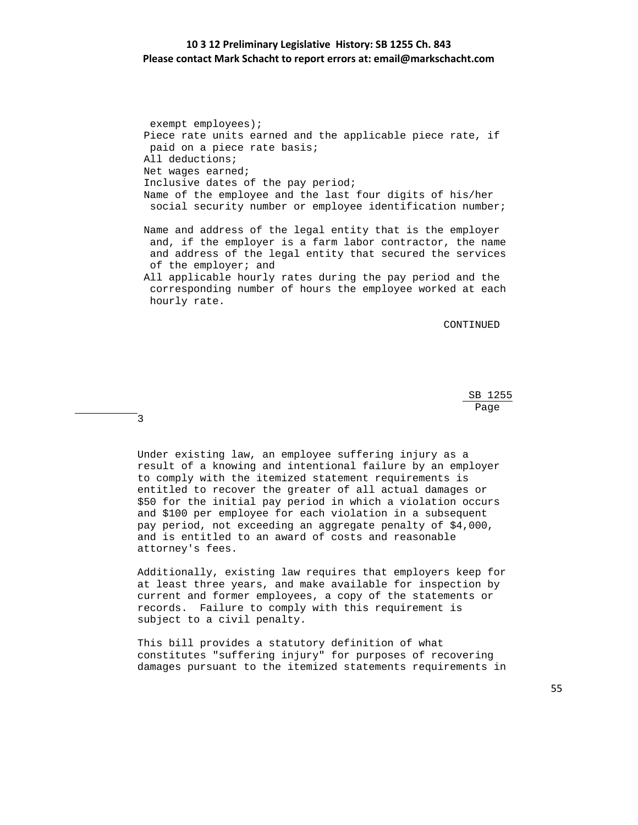exempt employees); Piece rate units earned and the applicable piece rate, if paid on a piece rate basis; All deductions; Net wages earned; Inclusive dates of the pay period; Name of the employee and the last four digits of his/her social security number or employee identification number; Name and address of the legal entity that is the employer

 and, if the employer is a farm labor contractor, the name and address of the legal entity that secured the services of the employer; and

 All applicable hourly rates during the pay period and the corresponding number of hours the employee worked at each hourly rate.

CONTINUED

 $SB$  1255 <u>Page and the set of the set of the set of the set of the set of the set of the set of the set of the set of the set of the set of the set of the set of the set of the set of the set of the set of the set of the set of the</u>

3

 Under existing law, an employee suffering injury as a result of a knowing and intentional failure by an employer to comply with the itemized statement requirements is entitled to recover the greater of all actual damages or \$50 for the initial pay period in which a violation occurs and \$100 per employee for each violation in a subsequent pay period, not exceeding an aggregate penalty of \$4,000, and is entitled to an award of costs and reasonable attorney's fees.

 Additionally, existing law requires that employers keep for at least three years, and make available for inspection by current and former employees, a copy of the statements or records. Failure to comply with this requirement is subject to a civil penalty.

 This bill provides a statutory definition of what constitutes "suffering injury" for purposes of recovering damages pursuant to the itemized statements requirements in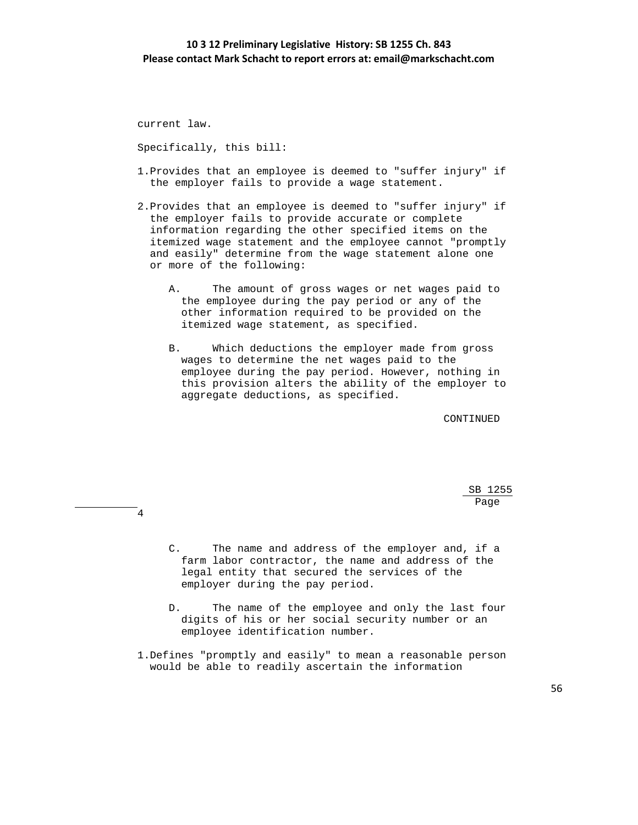current law.

4

Specifically, this bill:

- 1.Provides that an employee is deemed to "suffer injury" if the employer fails to provide a wage statement.
- 2.Provides that an employee is deemed to "suffer injury" if the employer fails to provide accurate or complete information regarding the other specified items on the itemized wage statement and the employee cannot "promptly and easily" determine from the wage statement alone one or more of the following:
	- A. The amount of gross wages or net wages paid to the employee during the pay period or any of the other information required to be provided on the itemized wage statement, as specified.
	- B. Which deductions the employer made from gross wages to determine the net wages paid to the employee during the pay period. However, nothing in this provision alters the ability of the employer to aggregate deductions, as specified.

CONTINUED

 $SB$  1255 <u>Page and the set of the set of the set of the set of the set of the set of the set of the set of the set of the set of the set of the set of the set of the set of the set of the set of the set of the set of the set of the</u>

- C. The name and address of the employer and, if a farm labor contractor, the name and address of the legal entity that secured the services of the employer during the pay period.
- D. The name of the employee and only the last four digits of his or her social security number or an employee identification number.
- 1.Defines "promptly and easily" to mean a reasonable person would be able to readily ascertain the information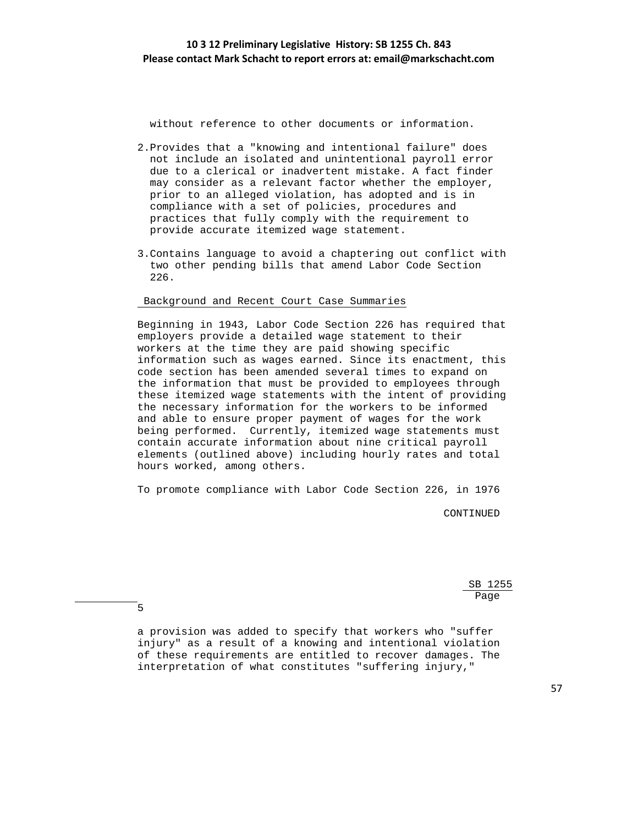without reference to other documents or information.

- 2.Provides that a "knowing and intentional failure" does not include an isolated and unintentional payroll error due to a clerical or inadvertent mistake. A fact finder may consider as a relevant factor whether the employer, prior to an alleged violation, has adopted and is in compliance with a set of policies, procedures and practices that fully comply with the requirement to provide accurate itemized wage statement.
- 3.Contains language to avoid a chaptering out conflict with two other pending bills that amend Labor Code Section 226.

#### Background and Recent Court Case Summaries

 Beginning in 1943, Labor Code Section 226 has required that employers provide a detailed wage statement to their workers at the time they are paid showing specific information such as wages earned. Since its enactment, this code section has been amended several times to expand on the information that must be provided to employees through these itemized wage statements with the intent of providing the necessary information for the workers to be informed and able to ensure proper payment of wages for the work being performed. Currently, itemized wage statements must contain accurate information about nine critical payroll elements (outlined above) including hourly rates and total hours worked, among others.

To promote compliance with Labor Code Section 226, in 1976

CONTINUED

 $SB$  1255 <u>Page and the set of the set of the set of the set of the set of the set of the set of the set of the set of the set of the set of the set of the set of the set of the set of the set of the set of the set of the set of the</u>

5

 a provision was added to specify that workers who "suffer injury" as a result of a knowing and intentional violation of these requirements are entitled to recover damages. The interpretation of what constitutes "suffering injury,"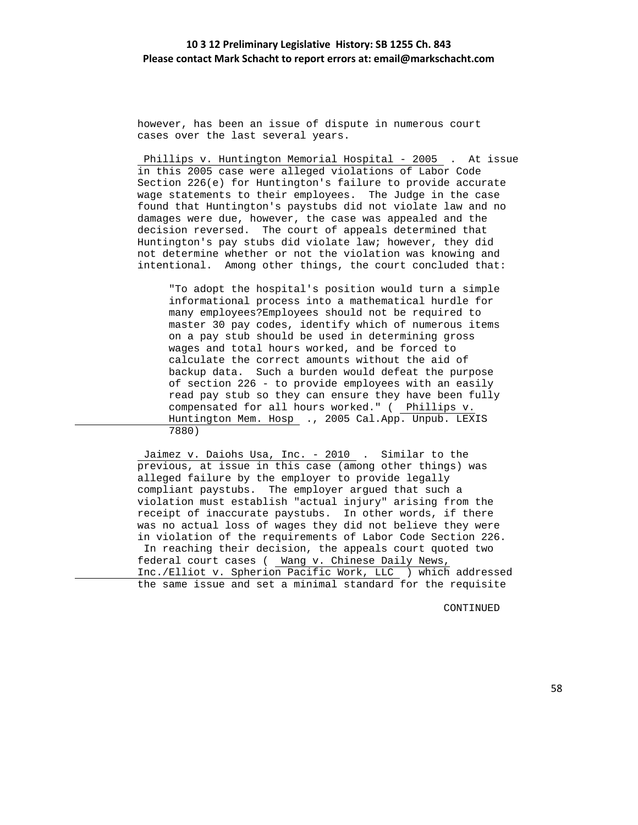however, has been an issue of dispute in numerous court cases over the last several years.

Phillips v. Huntington Memorial Hospital - 2005 . At issue in this 2005 case were alleged violations of Labor Code Section 226(e) for Huntington's failure to provide accurate wage statements to their employees. The Judge in the case found that Huntington's paystubs did not violate law and no damages were due, however, the case was appealed and the decision reversed. The court of appeals determined that Huntington's pay stubs did violate law; however, they did not determine whether or not the violation was knowing and intentional. Among other things, the court concluded that:

 "To adopt the hospital's position would turn a simple informational process into a mathematical hurdle for many employees?Employees should not be required to master 30 pay codes, identify which of numerous items on a pay stub should be used in determining gross wages and total hours worked, and be forced to calculate the correct amounts without the aid of backup data. Such a burden would defeat the purpose of section 226 - to provide employees with an easily read pay stub so they can ensure they have been fully compensated for all hours worked." ( Phillips v. Huntington Mem. Hosp ., 2005 Cal.App. Unpub. LEXIS 7880)

 Jaimez v. Daiohs Usa, Inc. - 2010 . Similar to the previous, at issue in this case (among other things) was alleged failure by the employer to provide legally compliant paystubs. The employer argued that such a violation must establish "actual injury" arising from the receipt of inaccurate paystubs. In other words, if there was no actual loss of wages they did not believe they were in violation of the requirements of Labor Code Section 226. In reaching their decision, the appeals court quoted two federal court cases ( Wang v. Chinese Daily News, Inc./Elliot v. Spherion Pacific Work, LLC ) which addressed the same issue and set a minimal standard for the requisite

CONTINUED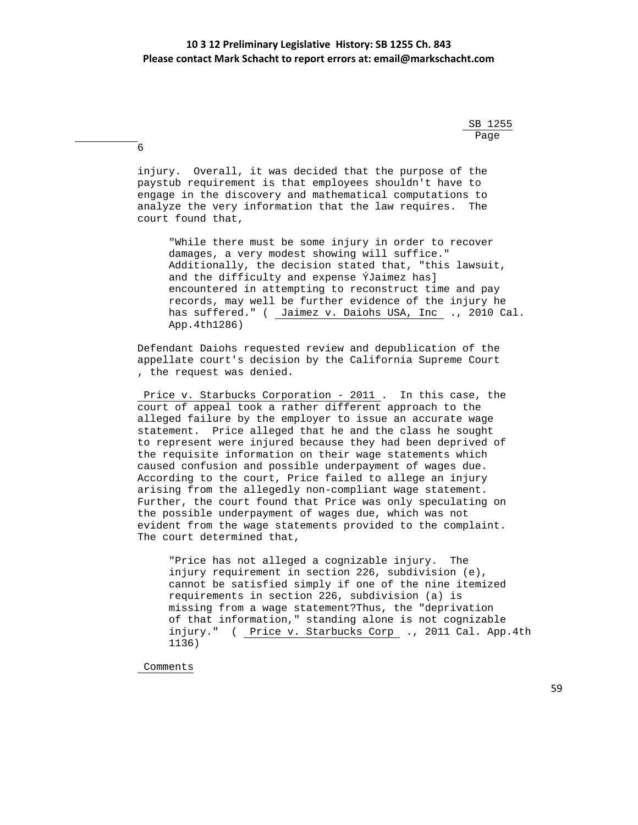$SB$  1255 <u>Page and the set of the set of the set of the set of the set of the set of the set of the set of the set of the set of the set of the set of the set of the set of the set of the set of the set of the set of the set of the</u>

> injury. Overall, it was decided that the purpose of the paystub requirement is that employees shouldn't have to engage in the discovery and mathematical computations to analyze the very information that the law requires. The court found that,

 "While there must be some injury in order to recover damages, a very modest showing will suffice." Additionally, the decision stated that, "this lawsuit, and the difficulty and expense ÝJaimez has] encountered in attempting to reconstruct time and pay records, may well be further evidence of the injury he has suffered." ( Jaimez v. Daiohs USA, Inc ., 2010 Cal. App.4th1286)

 Defendant Daiohs requested review and depublication of the appellate court's decision by the California Supreme Court , the request was denied.

 Price v. Starbucks Corporation - 2011 . In this case, the court of appeal took a rather different approach to the alleged failure by the employer to issue an accurate wage statement. Price alleged that he and the class he sought to represent were injured because they had been deprived of the requisite information on their wage statements which caused confusion and possible underpayment of wages due. According to the court, Price failed to allege an injury arising from the allegedly non-compliant wage statement. Further, the court found that Price was only speculating on the possible underpayment of wages due, which was not evident from the wage statements provided to the complaint. The court determined that,

 "Price has not alleged a cognizable injury. The injury requirement in section 226, subdivision (e), cannot be satisfied simply if one of the nine itemized requirements in section 226, subdivision (a) is missing from a wage statement?Thus, the "deprivation of that information," standing alone is not cognizable injury." ( Price v. Starbucks Corp ., 2011 Cal. App.4th 1136)

Comments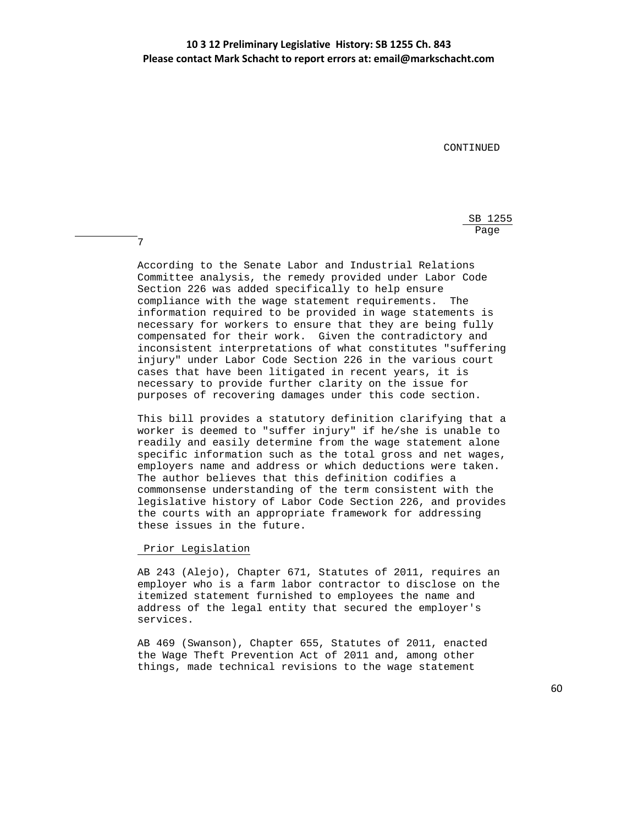CONTINUED

 $SB$  1255 <u>Page and the set of the set of the set of the set of the set of the set of the set of the set of the set of the set of the set of the set of the set of the set of the set of the set of the set of the set of the set of the</u>

> According to the Senate Labor and Industrial Relations Committee analysis, the remedy provided under Labor Code Section 226 was added specifically to help ensure compliance with the wage statement requirements. The information required to be provided in wage statements is necessary for workers to ensure that they are being fully compensated for their work. Given the contradictory and inconsistent interpretations of what constitutes "suffering injury" under Labor Code Section 226 in the various court cases that have been litigated in recent years, it is necessary to provide further clarity on the issue for purposes of recovering damages under this code section.

> This bill provides a statutory definition clarifying that a worker is deemed to "suffer injury" if he/she is unable to readily and easily determine from the wage statement alone specific information such as the total gross and net wages, employers name and address or which deductions were taken. The author believes that this definition codifies a commonsense understanding of the term consistent with the legislative history of Labor Code Section 226, and provides the courts with an appropriate framework for addressing these issues in the future.

#### Prior Legislation

7

 AB 243 (Alejo), Chapter 671, Statutes of 2011, requires an employer who is a farm labor contractor to disclose on the itemized statement furnished to employees the name and address of the legal entity that secured the employer's services.

 AB 469 (Swanson), Chapter 655, Statutes of 2011, enacted the Wage Theft Prevention Act of 2011 and, among other things, made technical revisions to the wage statement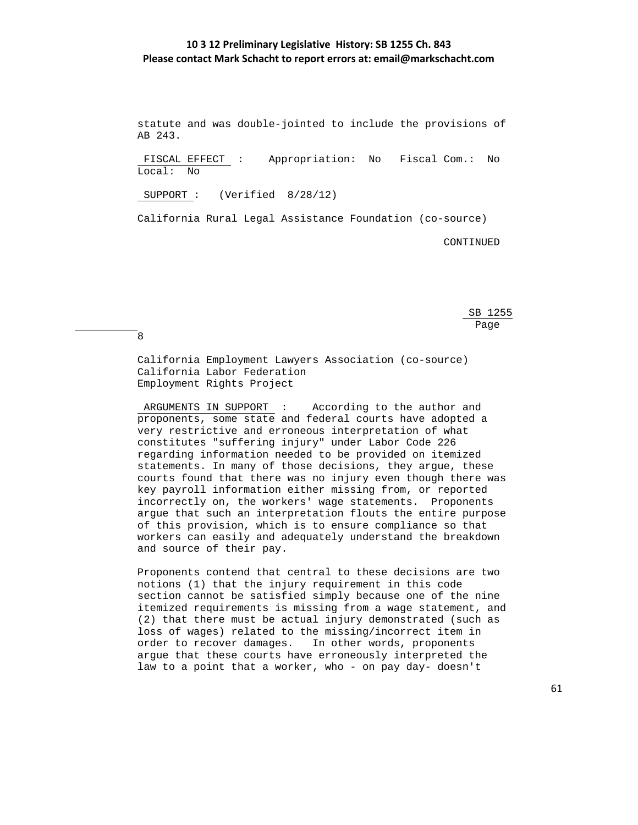statute and was double-jointed to include the provisions of AB 243.

 FISCAL EFFECT : Appropriation: No Fiscal Com.: No Local: No

SUPPORT : (Verified 8/28/12)

8

California Rural Legal Assistance Foundation (co-source)

CONTINUED

 $SB$  1255 <u>Page and the set of the set of the set of the set of the set of the set of the set of the set of the set of the set of the set of the set of the set of the set of the set of the set of the set of the set of the set of the</u>

> California Employment Lawyers Association (co-source) California Labor Federation Employment Rights Project

 ARGUMENTS IN SUPPORT : According to the author and proponents, some state and federal courts have adopted a very restrictive and erroneous interpretation of what constitutes "suffering injury" under Labor Code 226 regarding information needed to be provided on itemized statements. In many of those decisions, they argue, these courts found that there was no injury even though there was key payroll information either missing from, or reported incorrectly on, the workers' wage statements. Proponents argue that such an interpretation flouts the entire purpose of this provision, which is to ensure compliance so that workers can easily and adequately understand the breakdown and source of their pay.

 Proponents contend that central to these decisions are two notions (1) that the injury requirement in this code section cannot be satisfied simply because one of the nine itemized requirements is missing from a wage statement, and (2) that there must be actual injury demonstrated (such as loss of wages) related to the missing/incorrect item in order to recover damages. In other words, proponents argue that these courts have erroneously interpreted the law to a point that a worker, who - on pay day- doesn't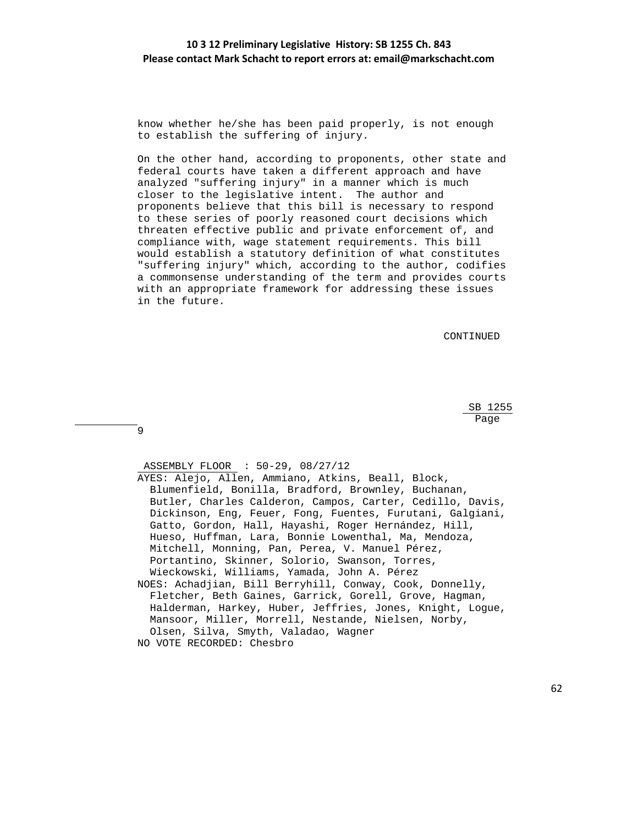know whether he/she has been paid properly, is not enough to establish the suffering of injury.

 On the other hand, according to proponents, other state and federal courts have taken a different approach and have analyzed "suffering injury" in a manner which is much closer to the legislative intent. The author and proponents believe that this bill is necessary to respond to these series of poorly reasoned court decisions which threaten effective public and private enforcement of, and compliance with, wage statement requirements. This bill would establish a statutory definition of what constitutes "suffering injury" which, according to the author, codifies a commonsense understanding of the term and provides courts with an appropriate framework for addressing these issues in the future.

CONTINUED

 SB 1255 <u>Page and the set of the set of the set of the set of the set of the set of the set of the set of the set of the set of the set of the set of the set of the set of the set of the set of the set of the set of the set of the</u>

9

ASSEMBLY FLOOR : 50-29, 08/27/12

 AYES: Alejo, Allen, Ammiano, Atkins, Beall, Block, Blumenfield, Bonilla, Bradford, Brownley, Buchanan, Butler, Charles Calderon, Campos, Carter, Cedillo, Davis, Dickinson, Eng, Feuer, Fong, Fuentes, Furutani, Galgiani, Gatto, Gordon, Hall, Hayashi, Roger Hernández, Hill, Hueso, Huffman, Lara, Bonnie Lowenthal, Ma, Mendoza, Mitchell, Monning, Pan, Perea, V. Manuel Pérez, Portantino, Skinner, Solorio, Swanson, Torres, Wieckowski, Williams, Yamada, John A. Pérez NOES: Achadjian, Bill Berryhill, Conway, Cook, Donnelly, Fletcher, Beth Gaines, Garrick, Gorell, Grove, Hagman, Halderman, Harkey, Huber, Jeffries, Jones, Knight, Logue, Mansoor, Miller, Morrell, Nestande, Nielsen, Norby,

- Olsen, Silva, Smyth, Valadao, Wagner
- NO VOTE RECORDED: Chesbro